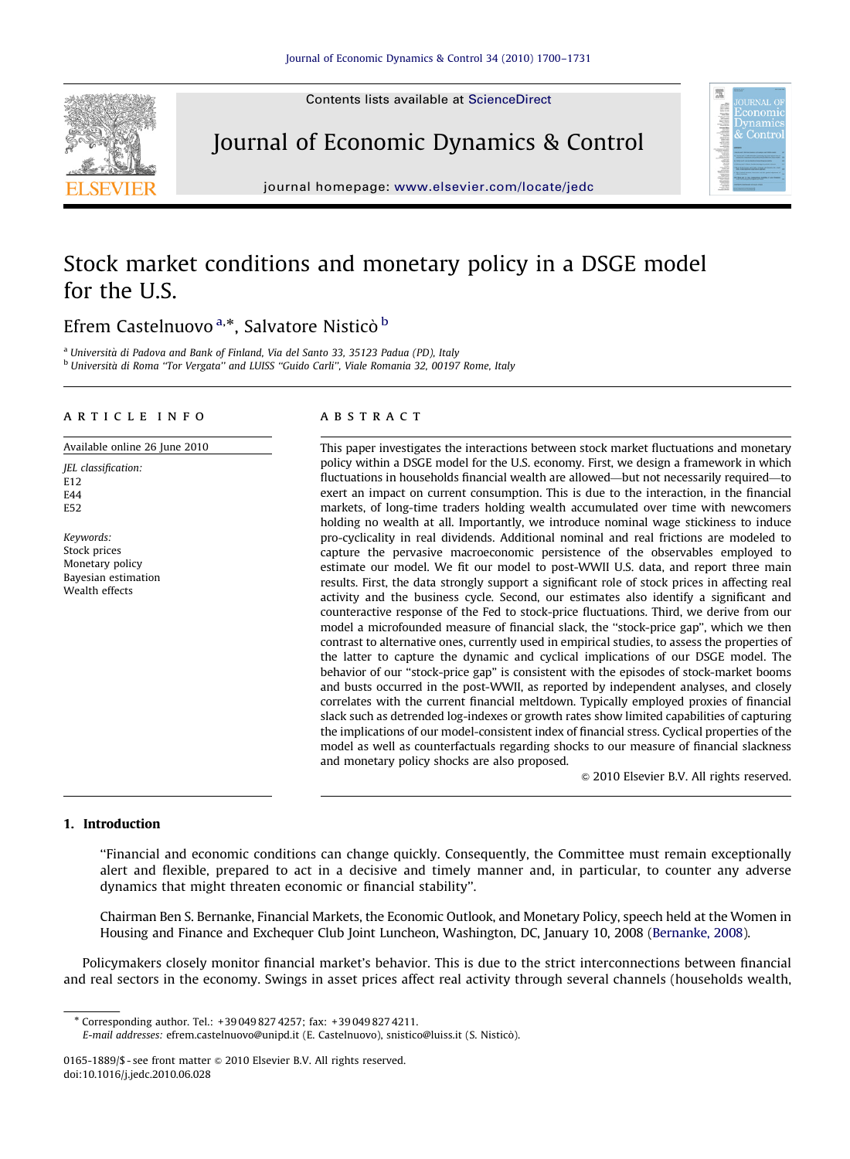Contents lists available at ScienceDirect



Journal of Economic Dynamics & Control



journal homepage: <www.elsevier.com/locate/jedc>

# Stock market conditions and monetary policy in a DSGE model for the U.S.

# Efrem Castelnuovo<sup>a,</sup>\*, Salvatore Nisticò <sup>b</sup>

<sup>a</sup> Università di Padova and Bank of Finland, Via del Santo 33, 35123 Padua (PD), Italy <sup>b</sup> Università di Roma "Tor Vergata" and LUISS "Guido Carli", Viale Romania 32, 00197 Rome, Italy

### article info

Available online 26 June 2010

JEL classification: E12 E44 E52

Keywords: Stock prices Monetary policy Bayesian estimation Wealth effects

# **ABSTRACT**

This paper investigates the interactions between stock market fluctuations and monetary policy within a DSGE model for the U.S. economy. First, we design a framework in which fluctuations in households financial wealth are allowed—but not necessarily required—to exert an impact on current consumption. This is due to the interaction, in the financial markets, of long-time traders holding wealth accumulated over time with newcomers holding no wealth at all. Importantly, we introduce nominal wage stickiness to induce pro-cyclicality in real dividends. Additional nominal and real frictions are modeled to capture the pervasive macroeconomic persistence of the observables employed to estimate our model. We fit our model to post-WWII U.S. data, and report three main results. First, the data strongly support a significant role of stock prices in affecting real activity and the business cycle. Second, our estimates also identify a significant and counteractive response of the Fed to stock-price fluctuations. Third, we derive from our model a microfounded measure of financial slack, the ''stock-price gap'', which we then contrast to alternative ones, currently used in empirical studies, to assess the properties of the latter to capture the dynamic and cyclical implications of our DSGE model. The behavior of our ''stock-price gap'' is consistent with the episodes of stock-market booms and busts occurred in the post-WWII, as reported by independent analyses, and closely correlates with the current financial meltdown. Typically employed proxies of financial slack such as detrended log-indexes or growth rates show limited capabilities of capturing the implications of our model-consistent index of financial stress. Cyclical properties of the model as well as counterfactuals regarding shocks to our measure of financial slackness and monetary policy shocks are also proposed.

 $\odot$  2010 Elsevier B.V. All rights reserved.

# 1. Introduction

''Financial and economic conditions can change quickly. Consequently, the Committee must remain exceptionally alert and flexible, prepared to act in a decisive and timely manner and, in particular, to counter any adverse dynamics that might threaten economic or financial stability''.

Chairman Ben S. Bernanke, Financial Markets, the Economic Outlook, and Monetary Policy, speech held at the Women in Housing and Finance and Exchequer Club Joint Luncheon, Washington, DC, January 10, 2008 [\(Bernanke, 2008](#page-29-0)).

Policymakers closely monitor financial market's behavior. This is due to the strict interconnections between financial and real sectors in the economy. Swings in asset prices affect real activity through several channels (households wealth,

<sup>-</sup> Corresponding author. Tel.: +39 049 827 4257; fax: +39 049 827 4211.

E-mail addresses: [efrem.castelnuovo@unipd.it \(E. Castelnuovo\),](mailto:efrem.castelnuovo@unipd.it) [snistico@luiss.it \(S. Nistico\).](mailto:snistico@luiss.it) -

<sup>0165-1889/\$ -</sup> see front matter  $\odot$  2010 Elsevier B.V. All rights reserved. doi:[10.1016/j.jedc.2010.06.028](dx.doi.org/10.1016/j.jedc.2010.06.028)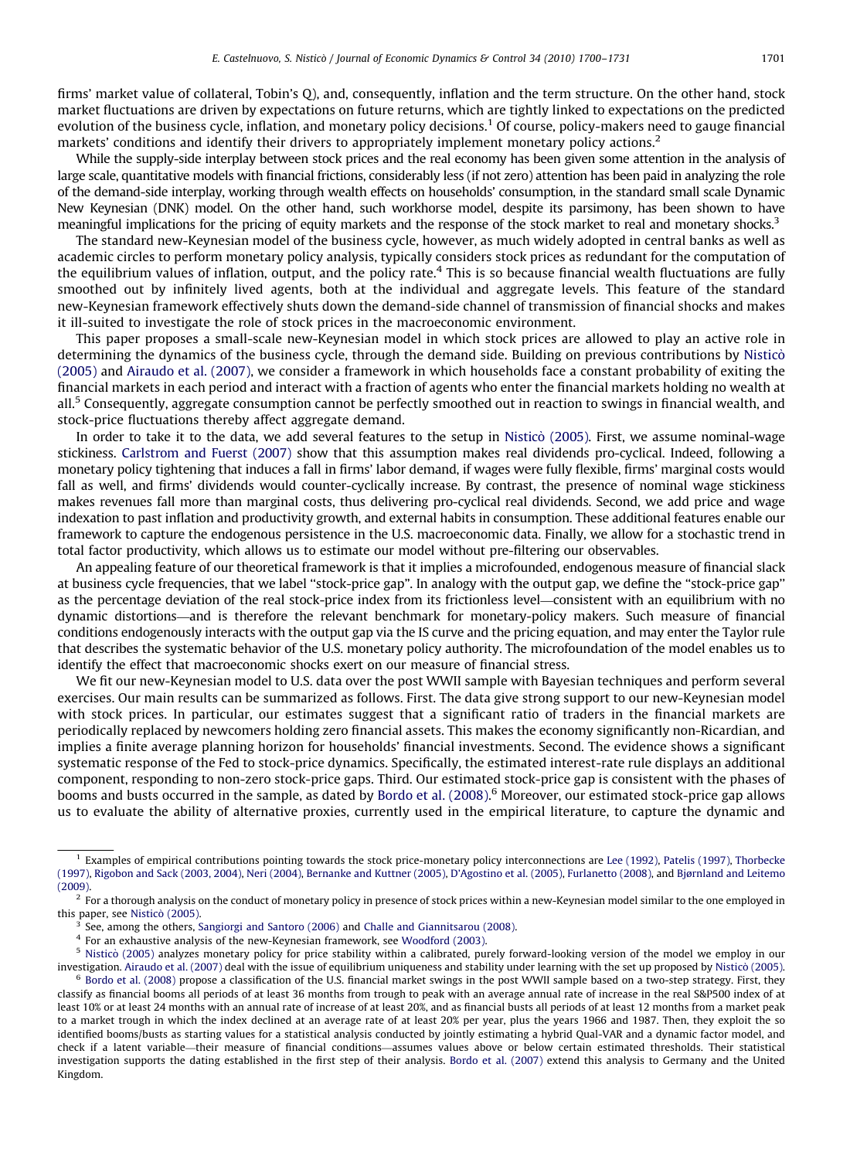firms' market value of collateral, Tobin's Q), and, consequently, inflation and the term structure. On the other hand, stock market fluctuations are driven by expectations on future returns, which are tightly linked to expectations on the predicted evolution of the business cycle, inflation, and monetary policy decisions.<sup>1</sup> Of course, policy-makers need to gauge financial markets' conditions and identify their drivers to appropriately implement monetary policy actions.<sup>2</sup>

While the supply-side interplay between stock prices and the real economy has been given some attention in the analysis of large scale, quantitative models with financial frictions, considerably less (if not zero) attention has been paid in analyzing the role of the demand-side interplay, working through wealth effects on households' consumption, in the standard small scale Dynamic New Keynesian (DNK) model. On the other hand, such workhorse model, despite its parsimony, has been shown to have meaningful implications for the pricing of equity markets and the response of the stock market to real and monetary shocks.<sup>3</sup>

The standard new-Keynesian model of the business cycle, however, as much widely adopted in central banks as well as academic circles to perform monetary policy analysis, typically considers stock prices as redundant for the computation of the equilibrium values of inflation, output, and the policy rate.<sup>4</sup> This is so because financial wealth fluctuations are fully smoothed out by infinitely lived agents, both at the individual and aggregate levels. This feature of the standard new-Keynesian framework effectively shuts down the demand-side channel of transmission of financial shocks and makes it ill-suited to investigate the role of stock prices in the macroeconomic environment.

This paper proposes a small-scale new-Keynesian model in which stock prices are allowed to play an active role in determining the dynamics of the business cycle, through the demand side. Building on previous contributions by [Nistic](#page-30-0)ò [\(2005\)](#page-30-0) and [Airaudo et al. \(2007\),](#page-29-0) we consider a framework in which households face a constant probability of exiting the financial markets in each period and interact with a fraction of agents who enter the financial markets holding no wealth at all.5 Consequently, aggregate consumption cannot be perfectly smoothed out in reaction to swings in financial wealth, and stock-price fluctuations thereby affect aggregate demand.

In order to take it to the data, we add several features to the setup in Nisticò (2005). First, we assume nominal-wage stickiness. [Carlstrom and Fuerst \(2007\)](#page-30-0) show that this assumption makes real dividends pro-cyclical. Indeed, following a monetary policy tightening that induces a fall in firms' labor demand, if wages were fully flexible, firms' marginal costs would fall as well, and firms' dividends would counter-cyclically increase. By contrast, the presence of nominal wage stickiness makes revenues fall more than marginal costs, thus delivering pro-cyclical real dividends. Second, we add price and wage indexation to past inflation and productivity growth, and external habits in consumption. These additional features enable our framework to capture the endogenous persistence in the U.S. macroeconomic data. Finally, we allow for a stochastic trend in total factor productivity, which allows us to estimate our model without pre-filtering our observables.

An appealing feature of our theoretical framework is that it implies a microfounded, endogenous measure of financial slack at business cycle frequencies, that we label ''stock-price gap''. In analogy with the output gap, we define the ''stock-price gap'' as the percentage deviation of the real stock-price index from its frictionless level—consistent with an equilibrium with no dynamic distortions—and is therefore the relevant benchmark for monetary-policy makers. Such measure of financial conditions endogenously interacts with the output gap via the IS curve and the pricing equation, and may enter the Taylor rule that describes the systematic behavior of the U.S. monetary policy authority. The microfoundation of the model enables us to identify the effect that macroeconomic shocks exert on our measure of financial stress.

We fit our new-Keynesian model to U.S. data over the post WWII sample with Bayesian techniques and perform several exercises. Our main results can be summarized as follows. First. The data give strong support to our new-Keynesian model with stock prices. In particular, our estimates suggest that a significant ratio of traders in the financial markets are periodically replaced by newcomers holding zero financial assets. This makes the economy significantly non-Ricardian, and implies a finite average planning horizon for households' financial investments. Second. The evidence shows a significant systematic response of the Fed to stock-price dynamics. Specifically, the estimated interest-rate rule displays an additional component, responding to non-zero stock-price gaps. Third. Our estimated stock-price gap is consistent with the phases of booms and busts occurred in the sample, as dated by [Bordo et al. \(2008\).](#page-29-0)<sup>6</sup> Moreover, our estimated stock-price gap allows us to evaluate the ability of alternative proxies, currently used in the empirical literature, to capture the dynamic and

 $<sup>1</sup>$  Examples of empirical contributions pointing towards the stock price-monetary policy interconnections are [Lee \(1992\),](#page-30-0) [Patelis \(1997\),](#page-30-0) [Thorbecke](#page-31-0)</sup> [\(1997\)](#page-31-0), [Rigobon and Sack \(2003, 2004\),](#page-30-0) [Neri \(2004\)](#page-30-0), [Bernanke and Kuttner \(2005\)](#page-29-0), [D'Agostino et al. \(2005\)](#page-30-0), [Furlanetto \(2008\)](#page-30-0), and [Bjørnland and Leitemo](#page-29-0) [\(2009\)](#page-29-0).

<sup>&</sup>lt;sup>2</sup> For a thorough analysis on the conduct of monetary policy in presence of stock prices within a new-Keynesian model similar to the one employed in this paper, see Nisticò (2005).

<sup>3</sup> See, among the others, [Sangiorgi and Santoro \(2006\)](#page-30-0) and [Challe and Giannitsarou \(2008\).](#page-30-0)

<sup>4</sup> For an exhaustive analysis of the new-Keynesian framework, see [Woodford \(2003\).](#page-31-0)

<sup>&</sup>lt;sup>5</sup> [Nistic](#page-30-0)ò [\(2005\)](#page-30-0) analyzes monetary policy for price stability within a calibrated, purely forward-looking version of the model we employ in our investigation. [Airaudo et al. \(2007\)](#page-29-0) deal with the issue of equilibrium uniqueness and stability under learning with the set up proposed by [Nistico \(2005\)](#page-30-0) - .

<sup>6</sup> [Bordo et al. \(2008\)](#page-29-0) propose a classification of the U.S. financial market swings in the post WWII sample based on a two-step strategy. First, they classify as financial booms all periods of at least 36 months from trough to peak with an average annual rate of increase in the real S&P500 index of at least 10% or at least 24 months with an annual rate of increase of at least 20%, and as financial busts all periods of at least 12 months from a market peak to a market trough in which the index declined at an average rate of at least 20% per year, plus the years 1966 and 1987. Then, they exploit the so identified booms/busts as starting values for a statistical analysis conducted by jointly estimating a hybrid Qual-VAR and a dynamic factor model, and check if a latent variable—their measure of financial conditions—assumes values above or below certain estimated thresholds. Their statistical investigation supports the dating established in the first step of their analysis. [Bordo et al. \(2007\)](#page-29-0) extend this analysis to Germany and the United Kingdom.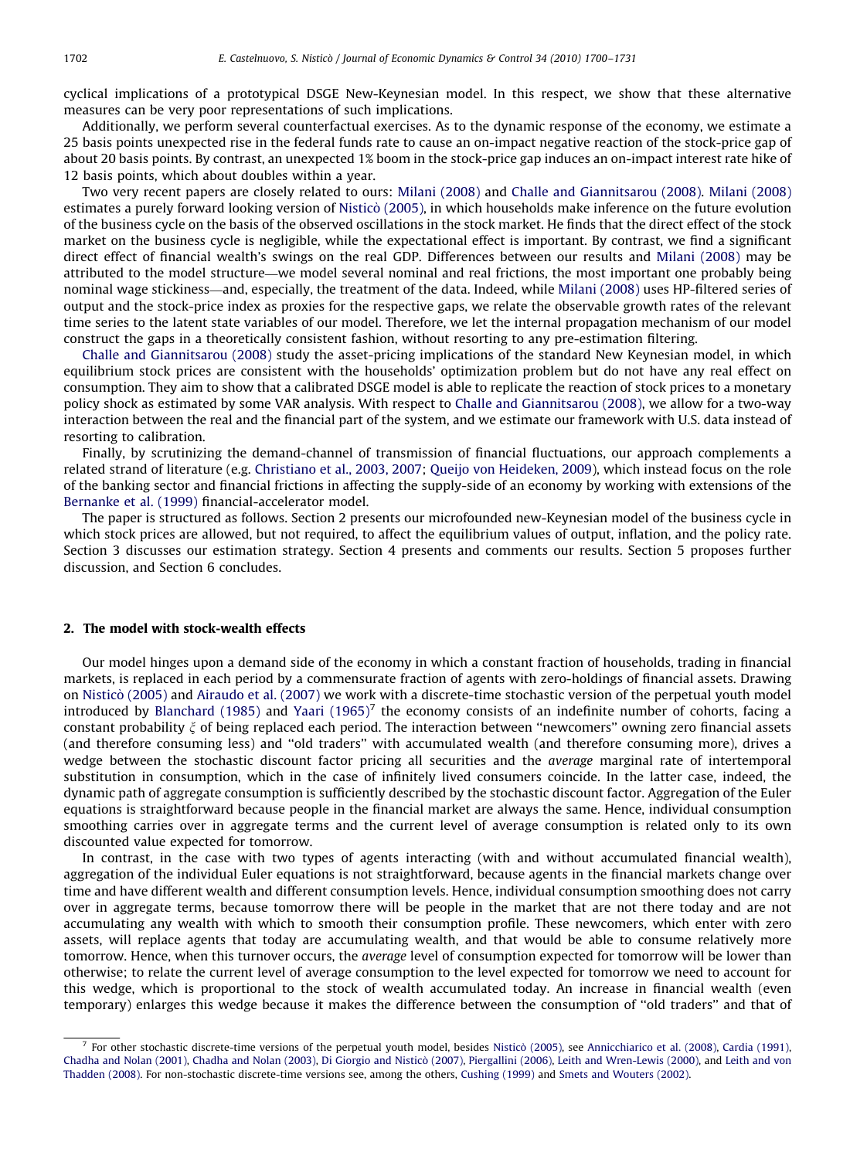cyclical implications of a prototypical DSGE New-Keynesian model. In this respect, we show that these alternative measures can be very poor representations of such implications.

Additionally, we perform several counterfactual exercises. As to the dynamic response of the economy, we estimate a 25 basis points unexpected rise in the federal funds rate to cause an on-impact negative reaction of the stock-price gap of about 20 basis points. By contrast, an unexpected 1% boom in the stock-price gap induces an on-impact interest rate hike of 12 basis points, which about doubles within a year.

Two very recent papers are closely related to ours: [Milani \(2008\)](#page-30-0) and [Challe and Giannitsarou \(2008\)](#page-30-0). [Milani \(2008\)](#page-30-0) estimates a purely forward looking version of [Nistic](#page-30-0)ò [\(2005\)](#page-30-0), in which households make inference on the future evolution of the business cycle on the basis of the observed oscillations in the stock market. He finds that the direct effect of the stock market on the business cycle is negligible, while the expectational effect is important. By contrast, we find a significant direct effect of financial wealth's swings on the real GDP. Differences between our results and [Milani \(2008\)](#page-30-0) may be attributed to the model structure—we model several nominal and real frictions, the most important one probably being nominal wage stickiness—and, especially, the treatment of the data. Indeed, while [Milani \(2008\)](#page-30-0) uses HP-filtered series of output and the stock-price index as proxies for the respective gaps, we relate the observable growth rates of the relevant time series to the latent state variables of our model. Therefore, we let the internal propagation mechanism of our model construct the gaps in a theoretically consistent fashion, without resorting to any pre-estimation filtering.

[Challe and Giannitsarou \(2008\)](#page-30-0) study the asset-pricing implications of the standard New Keynesian model, in which equilibrium stock prices are consistent with the households' optimization problem but do not have any real effect on consumption. They aim to show that a calibrated DSGE model is able to replicate the reaction of stock prices to a monetary policy shock as estimated by some VAR analysis. With respect to [Challe and Giannitsarou \(2008\)](#page-30-0), we allow for a two-way interaction between the real and the financial part of the system, and we estimate our framework with U.S. data instead of resorting to calibration.

Finally, by scrutinizing the demand-channel of transmission of financial fluctuations, our approach complements a related strand of literature (e.g. [Christiano et al., 2003, 2007](#page-30-0); [Queijo von Heideken, 2009](#page-30-0)), which instead focus on the role of the banking sector and financial frictions in affecting the supply-side of an economy by working with extensions of the [Bernanke et al. \(1999\)](#page-29-0) financial-accelerator model.

The paper is structured as follows. Section 2 presents our microfounded new-Keynesian model of the business cycle in which stock prices are allowed, but not required, to affect the equilibrium values of output, inflation, and the policy rate. Section 3 discusses our estimation strategy. Section 4 presents and comments our results. Section 5 proposes further discussion, and Section 6 concludes.

# 2. The model with stock-wealth effects

Our model hinges upon a demand side of the economy in which a constant fraction of households, trading in financial markets, is replaced in each period by a commensurate fraction of agents with zero-holdings of financial assets. Drawing on Nisticò (2005) and [Airaudo et al. \(2007\)](#page-29-0) we work with a discrete-time stochastic version of the perpetual youth model introduced by [Blanchard \(1985\)](#page-29-0) and [Yaari \(1965\)](#page-31-0)<sup>7</sup> the economy consists of an indefinite number of cohorts, facing a constant probability  $\xi$  of being replaced each period. The interaction between "newcomers" owning zero financial assets (and therefore consuming less) and ''old traders'' with accumulated wealth (and therefore consuming more), drives a wedge between the stochastic discount factor pricing all securities and the *average* marginal rate of intertemporal substitution in consumption, which in the case of infinitely lived consumers coincide. In the latter case, indeed, the dynamic path of aggregate consumption is sufficiently described by the stochastic discount factor. Aggregation of the Euler equations is straightforward because people in the financial market are always the same. Hence, individual consumption smoothing carries over in aggregate terms and the current level of average consumption is related only to its own discounted value expected for tomorrow.

In contrast, in the case with two types of agents interacting (with and without accumulated financial wealth), aggregation of the individual Euler equations is not straightforward, because agents in the financial markets change over time and have different wealth and different consumption levels. Hence, individual consumption smoothing does not carry over in aggregate terms, because tomorrow there will be people in the market that are not there today and are not accumulating any wealth with which to smooth their consumption profile. These newcomers, which enter with zero assets, will replace agents that today are accumulating wealth, and that would be able to consume relatively more tomorrow. Hence, when this turnover occurs, the average level of consumption expected for tomorrow will be lower than otherwise; to relate the current level of average consumption to the level expected for tomorrow we need to account for this wedge, which is proportional to the stock of wealth accumulated today. An increase in financial wealth (even temporary) enlarges this wedge because it makes the difference between the consumption of ''old traders'' and that of

 $^7$  For other stochastic discrete-time versions of the perpetual youth model, besides Nisticò (2005), see [Annicchiarico et al. \(2008\)](#page-29-0), [Cardia \(1991\),](#page-30-0) [Chadha and Nolan \(2001\),](#page-30-0) [Chadha and Nolan \(2003\)](#page-30-0), Di Giorgio and Nisticò (2007), [Piergallini \(2006\),](#page-30-0) [Leith and Wren-Lewis \(2000\),](#page-30-0) and [Leith and von](#page-30-0) [Thadden \(2008\).](#page-30-0) For non-stochastic discrete-time versions see, among the others, [Cushing \(1999\)](#page-30-0) and [Smets and Wouters \(2002\)](#page-30-0).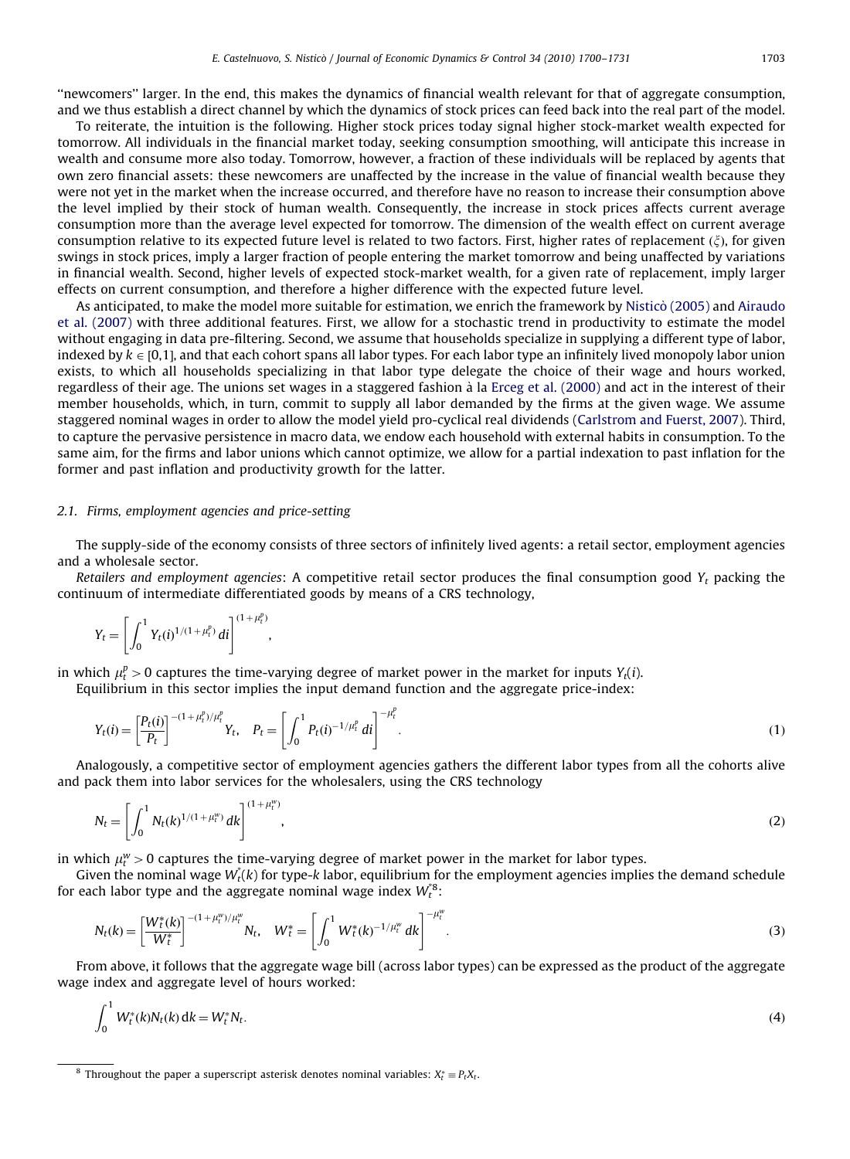''newcomers'' larger. In the end, this makes the dynamics of financial wealth relevant for that of aggregate consumption, and we thus establish a direct channel by which the dynamics of stock prices can feed back into the real part of the model.

To reiterate, the intuition is the following. Higher stock prices today signal higher stock-market wealth expected for tomorrow. All individuals in the financial market today, seeking consumption smoothing, will anticipate this increase in wealth and consume more also today. Tomorrow, however, a fraction of these individuals will be replaced by agents that own zero financial assets: these newcomers are unaffected by the increase in the value of financial wealth because they were not yet in the market when the increase occurred, and therefore have no reason to increase their consumption above the level implied by their stock of human wealth. Consequently, the increase in stock prices affects current average consumption more than the average level expected for tomorrow. The dimension of the wealth effect on current average consumption relative to its expected future level is related to two factors. First, higher rates of replacement  $(\xi)$ , for given swings in stock prices, imply a larger fraction of people entering the market tomorrow and being unaffected by variations in financial wealth. Second, higher levels of expected stock-market wealth, for a given rate of replacement, imply larger effects on current consumption, and therefore a higher difference with the expected future level.

As anticipated, to make the model more suitable for estimation, we enrich the framework by Nisticò (2005) and [Airaudo](#page-29-0) [et al. \(2007\)](#page-29-0) with three additional features. First, we allow for a stochastic trend in productivity to estimate the model without engaging in data pre-filtering. Second, we assume that households specialize in supplying a different type of labor, indexed by  $k\in [0,1]$ , and that each cohort spans all labor types. For each labor type an infinitely lived monopoly labor union exists, to which all households specializing in that labor type delegate the choice of their wage and hours worked, regardless of their age. The unions set wages in a staggered fashion à la [Erceg et al. \(2000\)](#page-30-0) and act in the interest of their member households, which, in turn, commit to supply all labor demanded by the firms at the given wage. We assume staggered nominal wages in order to allow the model yield pro-cyclical real dividends [\(Carlstrom and Fuerst, 2007\)](#page-30-0). Third, to capture the pervasive persistence in macro data, we endow each household with external habits in consumption. To the same aim, for the firms and labor unions which cannot optimize, we allow for a partial indexation to past inflation for the former and past inflation and productivity growth for the latter.

# 2.1. Firms, employment agencies and price-setting

The supply-side of the economy consists of three sectors of infinitely lived agents: a retail sector, employment agencies and a wholesale sector.

Retailers and employment agencies: A competitive retail sector produces the final consumption good  $Y_t$  packing the continuum of intermediate differentiated goods by means of a CRS technology,

$$
Y_t = \left[\int_0^1 Y_t(i)^{1/(1+\mu_t^p)}\,di\right]^{(1+\mu_t^p)},
$$

in which  $\mu_t^p > 0$  captures the time-varying degree of market power in the market for inputs  $Y_t(i)$ .

Equilibrium in this sector implies the input demand function and the aggregate price-index:

$$
Y_t(i) = \left[\frac{P_t(i)}{P_t}\right]^{-(1+\mu_t^p)/\mu_t^p} Y_t, \quad P_t = \left[\int_0^1 P_t(i)^{-1/\mu_t^p} di\right]^{-\mu_t^p}.
$$
\n(1)

Analogously, a competitive sector of employment agencies gathers the different labor types from all the cohorts alive and pack them into labor services for the wholesalers, using the CRS technology

$$
N_t = \left[ \int_0^1 N_t(k)^{1/(1 + \mu_t^w)} dk \right]^{(1 + \mu_t^w)}, \tag{2}
$$

in which  $\mu_t^w > 0$  captures the time-varying degree of market power in the market for labor types.

Given the nominal wage  $W_t^i(k)$  for type-k labor, equilibrium for the employment agencies implies the demand schedule for each labor type and the aggregate nominal wage index  $W_t^{^{\ast}3}$ :

$$
N_t(k) = \left[\frac{W_t^*(k)}{W_t^*}\right]^{-(1 + \mu_t^w)/\mu_t^w} N_t, \quad W_t^* = \left[\int_0^1 W_t^*(k)^{-1/\mu_t^w} dk\right]^{-\mu_t^w}.
$$
\n(3)

From above, it follows that the aggregate wage bill (across labor types) can be expressed as the product of the aggregate wage index and aggregate level of hours worked:

$$
\int_0^1 W_t^*(k) N_t(k) \, \mathrm{d}k = W_t^* N_t. \tag{4}
$$

<sup>&</sup>lt;sup>8</sup> Throughout the paper a superscript asterisk denotes nominal variables:  $X_t^* = P_t X_t$ .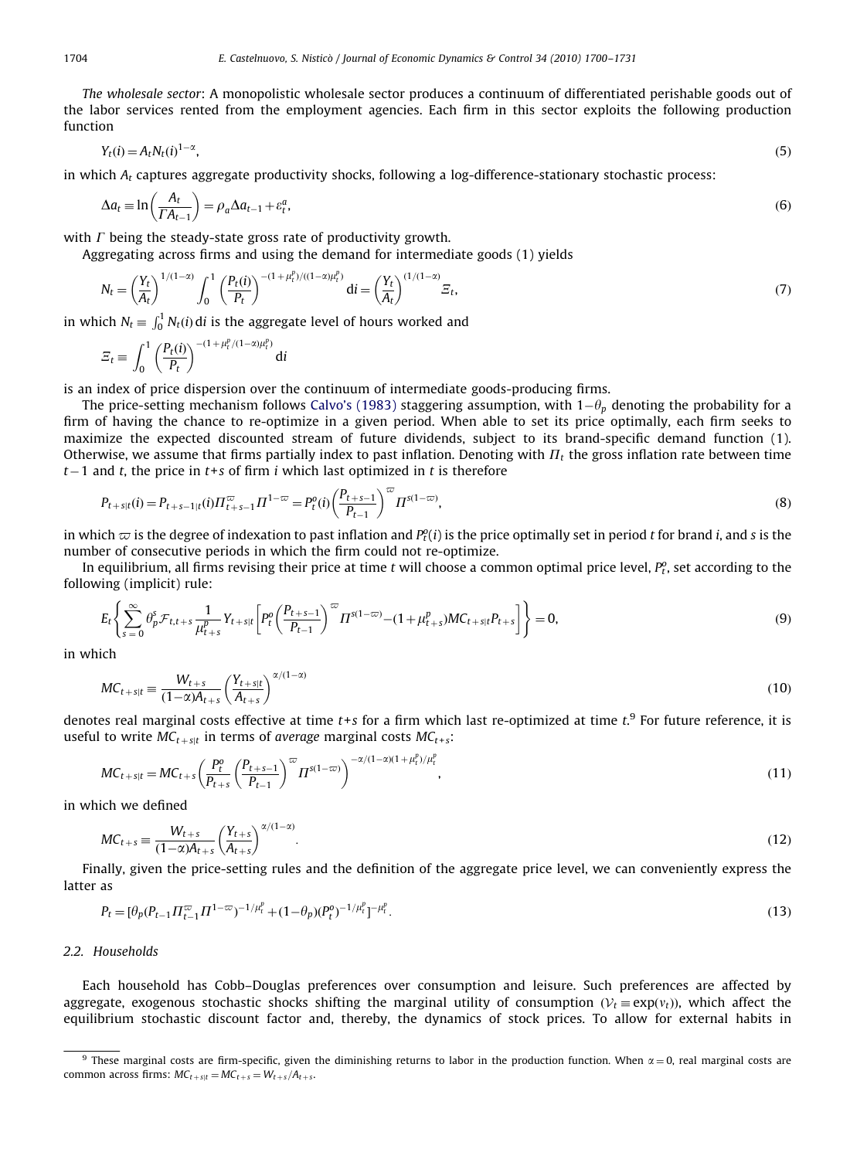The wholesale sector: A monopolistic wholesale sector produces a continuum of differentiated perishable goods out of the labor services rented from the employment agencies. Each firm in this sector exploits the following production function

$$
Y_t(i) = A_t N_t(i)^{1-\alpha},\tag{5}
$$

in which  $A_t$  captures aggregate productivity shocks, following a log-difference-stationary stochastic process:

$$
\Delta a_t \equiv \ln \left( \frac{A_t}{\Gamma A_{t-1}} \right) = \rho_a \Delta a_{t-1} + \varepsilon_t^a, \tag{6}
$$

with  $\Gamma$  being the steady-state gross rate of productivity growth.

Aggregating across firms and using the demand for intermediate goods (1) yields

$$
N_t = \left(\frac{Y_t}{A_t}\right)^{1/(1-\alpha)} \int_0^1 \left(\frac{P_t(i)}{P_t}\right)^{-(1+\mu_t^p)/(1-\alpha)\mu_t^p} di = \left(\frac{Y_t}{A_t}\right)^{(1/(1-\alpha))} \Xi_t,
$$
\n(7)

in which  $N_t \equiv \int_0^1 N_t(i) \, di$  is the aggregate level of hours worked and

$$
\varXi_t \equiv \int_0^1 \left(\frac{P_t(i)}{P_t}\right)^{-(1+\mu_t^p/(1-\alpha)\mu_t^p)} di
$$

is an index of price dispersion over the continuum of intermediate goods-producing firms.

The price-setting mechanism follows [Calvo's \(1983\)](#page-30-0) staggering assumption, with  $1-\theta_p$  denoting the probability for a firm of having the chance to re-optimize in a given period. When able to set its price optimally, each firm seeks to maximize the expected discounted stream of future dividends, subject to its brand-specific demand function (1). Otherwise, we assume that firms partially index to past inflation. Denoting with  $\Pi_t$  the gross inflation rate between time  $t-1$  and t, the price in  $t+s$  of firm i which last optimized in t is therefore

$$
P_{t+s|t}(i) = P_{t+s-1|t}(i) \prod_{t+s-1}^{\infty} \prod_{i=1}^{n-\infty} P_t^o(i) \left( \frac{P_{t+s-1}}{P_{t-1}} \right)^{\infty} \prod_{i=1}^{n} \prod_{j=1}^{n-1} P_t^o(i) \left( \frac{P_{t+s-1}}{P_{t-1}} \right)^{\infty} \prod_{j=1}^{n-1} \prod_{j=1}^{n-1} P_t^o(i) \prod_{j=1}^{n-1} \prod_{j=1}^{n-1} \prod_{j=1}^{n-1} P_t^o(i) \prod_{j=1}^{n-1} \prod_{j=1}^{n-1} \prod_{j=1}^{n-1} P_t^o(i) \prod_{j=1}^{n-1} \prod_{j=1}^{n-1} \prod_{j=1}^{n-1} \prod_{j=1}^{n-1} P_t^o(i) \prod_{j=1}^{n-1} \prod_{j=1}^{n-1} \prod_{j=1}^{n-1} \prod_{j=1}^{n-1} \prod_{j=1}^{n-1} \prod_{j=1}^{n-1} \prod_{j=1}^{n-1} \prod_{j=1}^{n-1} \prod_{j=1}^{n-1} \prod_{j=1}^{n-1} \prod_{j=1}^{n-1} \prod_{j=1}^{n-1} \prod_{j=1}^{n-1} \prod_{j=1}^{n-1} \prod_{j=1}^{n-1} \prod_{j=1}^{n-1} \prod_{j=1}^{n-1} \prod_{j=1}^{n-1} \prod_{j=1}^{n-1} \prod_{j=1}^{n-1} \prod_{j=1}^{n-1} \prod_{j=1}^{n-1} \prod_{j=1}^{n-1} \prod_{j=1}^{n-1} \prod_{j=1}^{n-1} \prod_{j=1}^{n-1} \prod_{j=1}^{n-1} \prod_{j=1}^{n-1} \prod_{j=1}^{n-1} \prod_{j=1}^{n-1} \prod_{j=1}^{n-1} \prod_{j=1}^{n-1} \prod_{j=1}^{n-1} \prod_{j=1}^{n-1} \prod_{j=1}^{n-1} \prod_{j=1}^{n-1} \prod_{j=1}^{n-1} \prod_{j=1}^{n-1}
$$

in which  $\varpi$  is the degree of indexation to past inflation and  $P_t^o(i)$  is the price optimally set in period  $t$  for brand  $i$ , and  $s$  is the number of consecutive periods in which the firm could not re-optimize.

In equilibrium, all firms revising their price at time  $t$  will choose a common optimal price level,  $P_t^o$ , set according to the following (implicit) rule:

$$
E_{t}\left\{\sum_{s=0}^{\infty}\theta_{p}^{s}\mathcal{F}_{t,t+s}\frac{1}{\mu_{t+s}^{p}}Y_{t+s|t}\left[P_{t}^{o}\left(\frac{P_{t+s-1}}{P_{t-1}}\right)^{\varpi}I^{s(1-\varpi)}-(1+\mu_{t+s}^{p})MC_{t+s|t}P_{t+s}\right]\right\}=0,
$$
\n(9)

in which

$$
MC_{t+s|t} \equiv \frac{W_{t+s}}{(1-\alpha)A_{t+s}} \left(\frac{Y_{t+s|t}}{A_{t+s}}\right)^{\alpha/(1-\alpha)}
$$
(10)

denotes real marginal costs effective at time  $t+s$  for a firm which last re-optimized at time  $t$ .<sup>9</sup> For future reference, it is useful to write  $MC_{t+sl}$  in terms of average marginal costs  $MC_{t+sl}$ :

$$
MC_{t+s|t} = MC_{t+s} \left(\frac{P_t^o}{P_{t+s}} \left(\frac{P_{t+s-1}}{P_{t-1}}\right)^{\varpi} \Pi^{s(1-\varpi)}\right)^{-\alpha/(1-\alpha)(1+\mu_t^p)/\mu_t^p},\tag{11}
$$

in which we defined

$$
MC_{t+s} \equiv \frac{W_{t+s}}{(1-\alpha)A_{t+s}} \left(\frac{Y_{t+s}}{A_{t+s}}\right)^{\alpha/(1-\alpha)}.
$$
 (12)

Finally, given the price-setting rules and the definition of the aggregate price level, we can conveniently express the latter as

$$
P_t = [\theta_p (P_{t-1} \Pi_{t-1}^{\varpi} \Pi^{1-\varpi})^{-1/\mu_t^p} + (1-\theta_p) (P_t^0)^{-1/\mu_t^p}]^{-\mu_t^p}.
$$
\n(13)

# 2.2. Households

Each household has Cobb–Douglas preferences over consumption and leisure. Such preferences are affected by aggregate, exogenous stochastic shocks shifting the marginal utility of consumption  $(V_t \equiv \exp(V_t))$ , which affect the equilibrium stochastic discount factor and, thereby, the dynamics of stock prices. To allow for external habits in

<sup>&</sup>lt;sup>9</sup> These marginal costs are firm-specific, given the diminishing returns to labor in the production function. When  $\alpha = 0$ , real marginal costs are common across firms:  $MC_{t+sl} = MC_{t+s} = W_{t+s}/A_{t+s}$ .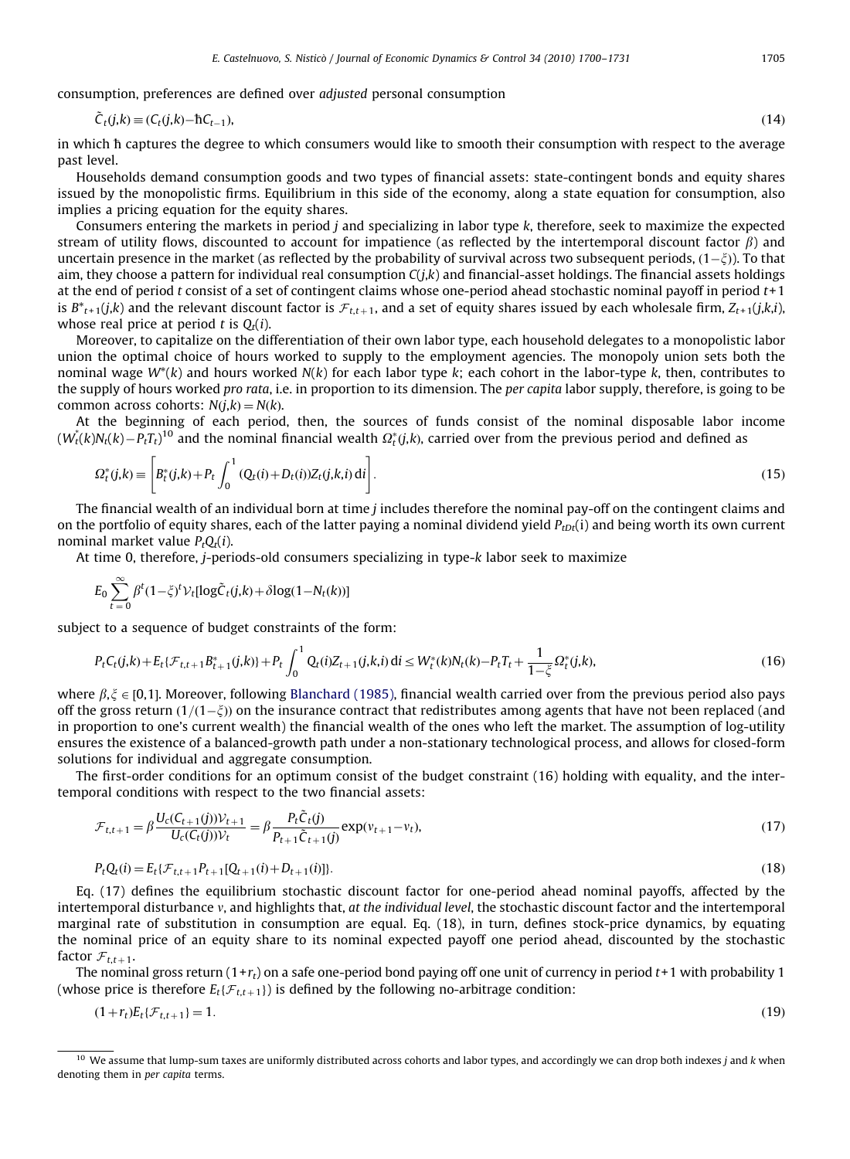consumption, preferences are defined over adjusted personal consumption

$$
\tilde{C}_t(j,k) \equiv (C_t(j,k) - \hbar C_{t-1}),\tag{14}
$$

in which h captures the degree to which consumers would like to smooth their consumption with respect to the average past level.

Households demand consumption goods and two types of financial assets: state-contingent bonds and equity shares issued by the monopolistic firms. Equilibrium in this side of the economy, along a state equation for consumption, also implies a pricing equation for the equity shares.

Consumers entering the markets in period  $j$  and specializing in labor type  $k$ , therefore, seek to maximize the expected stream of utility flows, discounted to account for impatience (as reflected by the intertemporal discount factor  $\beta$ ) and uncertain presence in the market (as reflected by the probability of survival across two subsequent periods,  $(1-\xi)$ ). To that aim, they choose a pattern for individual real consumption  $C(j,k)$  and financial-asset holdings. The financial assets holdings at the end of period  $t$  consist of a set of contingent claims whose one-period ahead stochastic nominal payoff in period  $t+1$ is  $B^*_{t+1}(j,k)$  and the relevant discount factor is  $\mathcal{F}_{t,t+1}$ , and a set of equity shares issued by each wholesale firm,  $Z_{t+1}(j,k,i)$ , whose real price at period t is  $Q_t(i)$ .

Moreover, to capitalize on the differentiation of their own labor type, each household delegates to a monopolistic labor union the optimal choice of hours worked to supply to the employment agencies. The monopoly union sets both the nominal wage  $W^*(k)$  and hours worked  $N(k)$  for each labor type k; each cohort in the labor-type k, then, contributes to the supply of hours worked pro rata, i.e. in proportion to its dimension. The per capita labor supply, therefore, is going to be common across cohorts:  $N(j,k) = N(k)$ .

At the beginning of each period, then, the sources of funds consist of the nominal disposable labor income  $(W_t^i(k)N_t(k)-P_tT_t)^{10}$  and the nominal financial wealth  $\Omega_t^*(j,k)$ , carried over from the previous period and defined as

$$
\Omega_t^*(j,k) \equiv \left[ B_t^*(j,k) + P_t \int_0^1 (Q_t(i) + D_t(i)) Z_t(j,k,i) \, \mathrm{d}i \right]. \tag{15}
$$

The financial wealth of an individual born at time j includes therefore the nominal pay-off on the contingent claims and on the portfolio of equity shares, each of the latter paying a nominal dividend yield  $P_{tD}(i)$  and being worth its own current nominal market value  $P_tQ_t(i)$ .

At time 0, therefore, j-periods-old consumers specializing in type-k labor seek to maximize

$$
E_0 \sum_{t=0}^{\infty} \beta^t (1-\xi)^t \mathcal{V}_t[\log \tilde{C}_t(j,k) + \delta \log(1 - N_t(k))]
$$

subject to a sequence of budget constraints of the form:

$$
P_t C_t(j,k) + E_t \{ \mathcal{F}_{t,t+1} B_{t+1}^*(j,k) \} + P_t \int_0^1 Q_t(i) Z_{t+1}(j,k,i) \, \mathrm{d}i \le W_t^*(k) N_t(k) - P_t T_t + \frac{1}{1 - \xi} \Omega_t^*(j,k),\tag{16}
$$

where  $\beta,\xi\in$  [0,1]. Moreover, following [Blanchard \(1985\)](#page-29-0), financial wealth carried over from the previous period also pays off the gross return  $(1/(1-\xi))$  on the insurance contract that redistributes among agents that have not been replaced (and in proportion to one's current wealth) the financial wealth of the ones who left the market. The assumption of log-utility ensures the existence of a balanced-growth path under a non-stationary technological process, and allows for closed-form solutions for individual and aggregate consumption.

The first-order conditions for an optimum consist of the budget constraint (16) holding with equality, and the intertemporal conditions with respect to the two financial assets:

$$
\mathcal{F}_{t,t+1} = \beta \frac{U_c(C_{t+1}(j))\mathcal{V}_{t+1}}{U_c(C_t(j))\mathcal{V}_t} = \beta \frac{P_t \tilde{C}_t(j)}{P_{t+1} \tilde{C}_{t+1}(j)} \exp(\mathcal{V}_{t+1} - \mathcal{V}_t),
$$
\n(17)

$$
P_t Q_t(i) = E_t \{ \mathcal{F}_{t,t+1} P_{t+1} [Q_{t+1}(i) + D_{t+1}(i)] \}. \tag{18}
$$

Eq. (17) defines the equilibrium stochastic discount factor for one-period ahead nominal payoffs, affected by the intertemporal disturbance  $v$ , and highlights that, at the individual level, the stochastic discount factor and the intertemporal marginal rate of substitution in consumption are equal. Eq. (18), in turn, defines stock-price dynamics, by equating the nominal price of an equity share to its nominal expected payoff one period ahead, discounted by the stochastic factor  $\mathcal{F}_{t,t+1}$ .

The nominal gross return  $(1+r_t)$  on a safe one-period bond paying off one unit of currency in period  $t+1$  with probability 1 (whose price is therefore  $E_t\{\mathcal{F}_{t,t+1}\}\)$  is defined by the following no-arbitrage condition:

$$
(1+r_t)E_t\{\mathcal{F}_{t,t+1}\}=1.
$$
\n(19)

 $10$  We assume that lump-sum taxes are uniformly distributed across cohorts and labor types, and accordingly we can drop both indexes j and k when denoting them in per capita terms.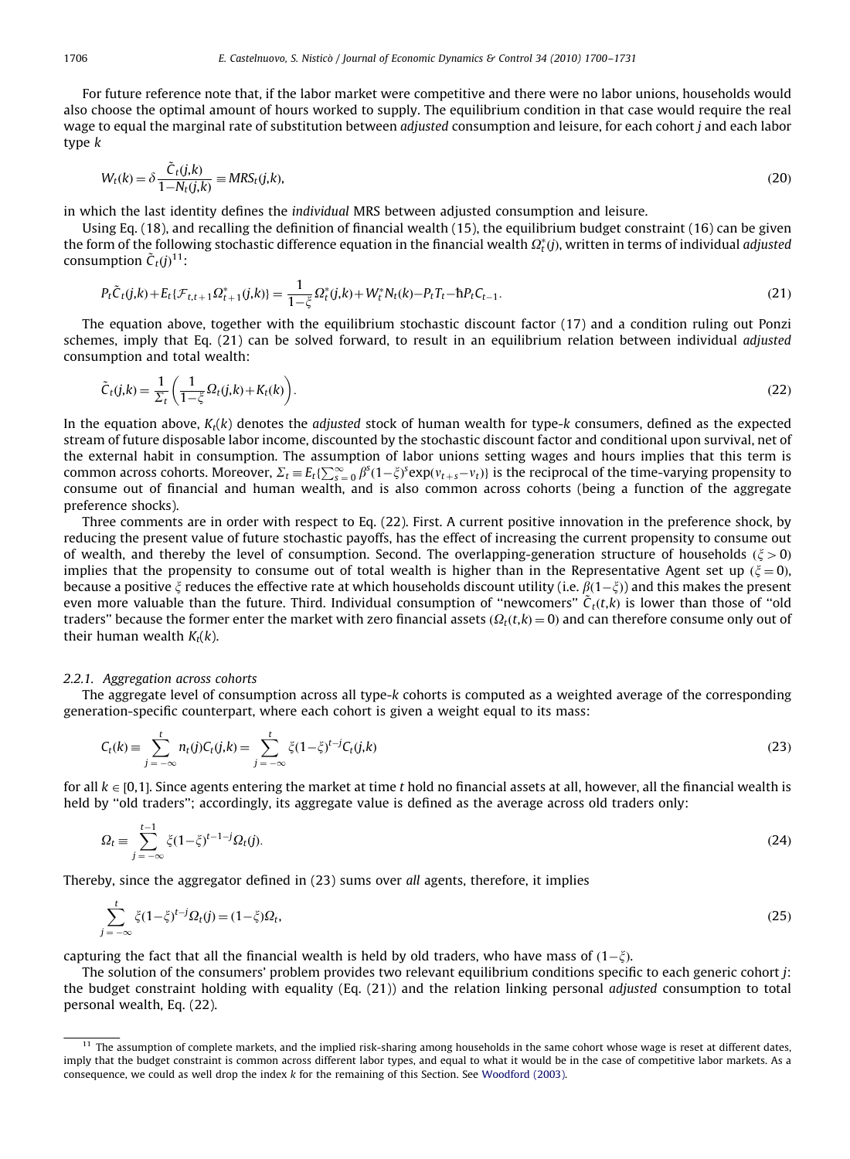For future reference note that, if the labor market were competitive and there were no labor unions, households would also choose the optimal amount of hours worked to supply. The equilibrium condition in that case would require the real wage to equal the marginal rate of substitution between *adjusted* consumption and leisure, for each cohort *j* and each labor type k

$$
W_t(k) = \delta \frac{\tilde{C}_t(j,k)}{1 - N_t(j,k)} \equiv MRS_t(j,k),
$$
\n(20)

in which the last identity defines the individual MRS between adjusted consumption and leisure.

Using Eq. (18), and recalling the definition of financial wealth (15), the equilibrium budget constraint (16) can be given the form of the following stochastic difference equation in the financial wealth  $\Omega_t^*(j)$ , written in terms of individual *adjusted* consumption  $\tilde{C}_t(j)^{11}$ :

$$
P_t\tilde{C}_t(j,k) + E_t\{\mathcal{F}_{t,t+1}\Omega_{t+1}^*(j,k)\} = \frac{1}{1-\xi}\Omega_t^*(j,k) + W_t^*N_t(k) - P_tT_t - \hbar P_tC_{t-1}.
$$
\n(21)

The equation above, together with the equilibrium stochastic discount factor (17) and a condition ruling out Ponzi schemes, imply that Eq. (21) can be solved forward, to result in an equilibrium relation between individual *adjusted* consumption and total wealth:

$$
\tilde{C}_t(j,k) = \frac{1}{\Sigma_t} \left( \frac{1}{1 - \xi} \Omega_t(j,k) + K_t(k) \right). \tag{22}
$$

In the equation above,  $K<sub>t</sub>(k)$  denotes the *adjusted* stock of human wealth for type-k consumers, defined as the expected stream of future disposable labor income, discounted by the stochastic discount factor and conditional upon survival, net of the external habit in consumption. The assumption of labor unions setting wages and hours implies that this term is common across cohorts. Moreover,  $\Sigma_t \equiv E_t \{ \sum_{s=0}^{\infty} \beta^s (1-\xi)^s \exp(v_{t+s}-v_t) \}$  is the reciprocal of the time-varying propensity to consume out of financial and human wealth, and is also common across cohorts (being a function of the aggregate preference shocks).

Three comments are in order with respect to Eq. (22). First. A current positive innovation in the preference shock, by reducing the present value of future stochastic payoffs, has the effect of increasing the current propensity to consume out of wealth, and thereby the level of consumption. Second. The overlapping-generation structure of households  $(\xi > 0)$ implies that the propensity to consume out of total wealth is higher than in the Representative Agent set up  $(\xi = 0)$ , because a positive  $\xi$  reduces the effective rate at which households discount utility (i.e.  $\beta(1-\xi)$ ) and this makes the present even more valuable than the future. Third. Individual consumption of "newcomers"  $\tilde{C}_t(t,k)$  is lower than those of "old traders" because the former enter the market with zero financial assets  $(Q_t(t, k) = 0)$  and can therefore consume only out of their human wealth  $K_t(k)$ .

## 2.2.1. Aggregation across cohorts

The aggregate level of consumption across all type-k cohorts is computed as a weighted average of the corresponding generation-specific counterpart, where each cohort is given a weight equal to its mass:

$$
C_t(k) = \sum_{j=-\infty}^{t} n_t(j)C_t(j,k) = \sum_{j=-\infty}^{t} \zeta(1-\zeta)^{t-j}C_t(j,k)
$$
\n(23)

for all  $k\in$  [0,1]. Since agents entering the market at time  $t$  hold no financial assets at all, however, all the financial wealth is held by ''old traders''; accordingly, its aggregate value is defined as the average across old traders only:

$$
\Omega_t = \sum_{j=-\infty}^{t-1} \xi (1 - \xi)^{t-1-j} \Omega_t(j).
$$
\n(24)

Thereby, since the aggregator defined in (23) sums over all agents, therefore, it implies

$$
\sum_{j=-\infty}^{t} \zeta (1-\zeta)^{t-j} \Omega_t(j) = (1-\zeta) \Omega_t,
$$
\n(25)

capturing the fact that all the financial wealth is held by old traders, who have mass of  $(1-\xi)$ .

The solution of the consumers' problem provides two relevant equilibrium conditions specific to each generic cohort j: the budget constraint holding with equality (Eq. (21)) and the relation linking personal adjusted consumption to total personal wealth, Eq. (22).

 $11$  The assumption of complete markets, and the implied risk-sharing among households in the same cohort whose wage is reset at different dates, imply that the budget constraint is common across different labor types, and equal to what it would be in the case of competitive labor markets. As a consequence, we could as well drop the index k for the remaining of this Section. See [Woodford \(2003\)](#page-31-0).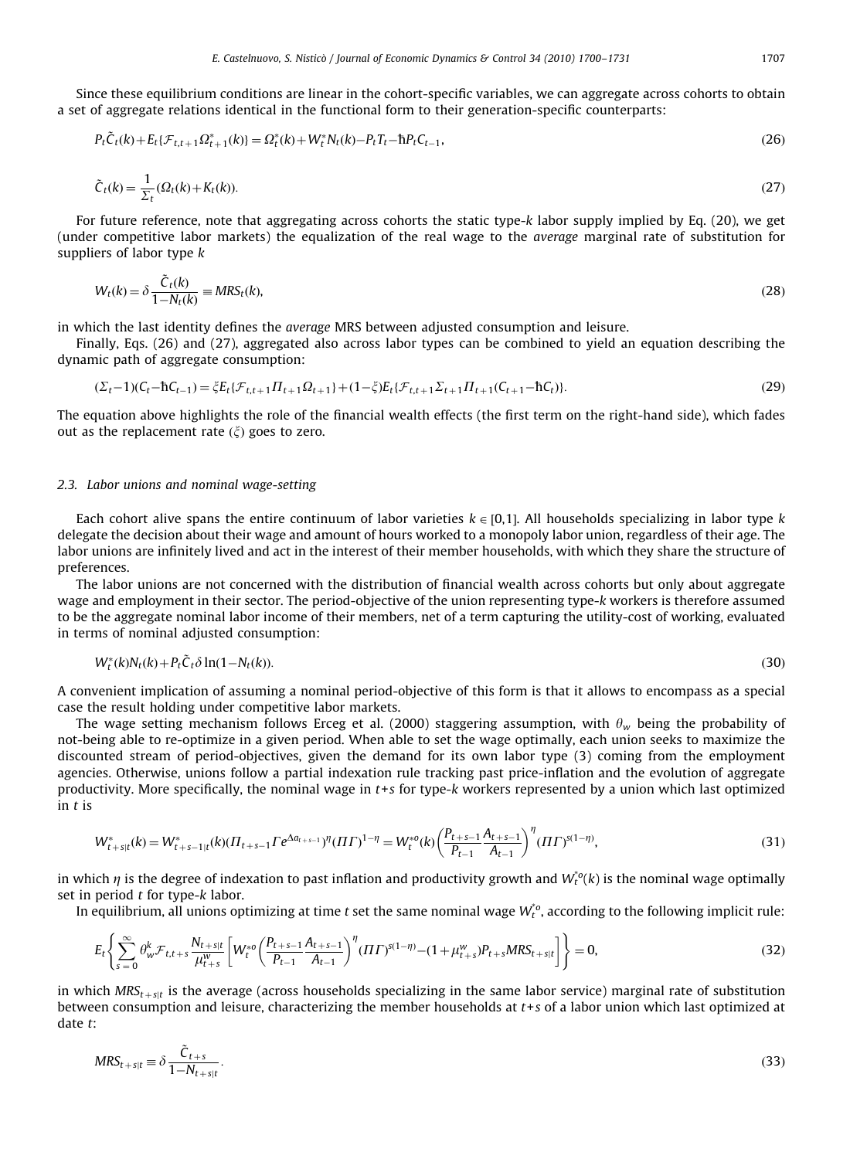Since these equilibrium conditions are linear in the cohort-specific variables, we can aggregate across cohorts to obtain a set of aggregate relations identical in the functional form to their generation-specific counterparts:

$$
P_t\tilde{C}_t(k) + E_t\{\mathcal{F}_{t,t+1}\Omega_{t+1}^*(k)\} = \Omega_t^*(k) + W_t^*N_t(k) - P_tT_t - \hbar P_tC_{t-1},
$$
\n(26)

$$
\tilde{C}_t(k) = \frac{1}{\Sigma_t} (\Omega_t(k) + K_t(k)).
$$
\n(27)

For future reference, note that aggregating across cohorts the static type-k labor supply implied by Eq. (20), we get (under competitive labor markets) the equalization of the real wage to the average marginal rate of substitution for suppliers of labor type k

$$
W_t(k) = \delta \frac{\tilde{C}_t(k)}{1 - N_t(k)} \equiv MRS_t(k),
$$
\n(28)

in which the last identity defines the average MRS between adjusted consumption and leisure.

Finally, Eqs. (26) and (27), aggregated also across labor types can be combined to yield an equation describing the dynamic path of aggregate consumption:

$$
(\Sigma_t - 1)(C_t - \hbar C_{t-1}) = \xi E_t \{ \mathcal{F}_{t,t+1} \Pi_{t+1} \Omega_{t+1} \} + (1 - \xi) E_t \{ \mathcal{F}_{t,t+1} \Sigma_{t+1} \Pi_{t+1} (C_{t+1} - \hbar C_t) \}.
$$
\n(29)

The equation above highlights the role of the financial wealth effects (the first term on the right-hand side), which fades out as the replacement rate  $(\xi)$  goes to zero.

# 2.3. Labor unions and nominal wage-setting

Each cohort alive spans the entire continuum of labor varieties  $k \in [0,1]$ . All households specializing in labor type k delegate the decision about their wage and amount of hours worked to a monopoly labor union, regardless of their age. The labor unions are infinitely lived and act in the interest of their member households, with which they share the structure of preferences.

The labor unions are not concerned with the distribution of financial wealth across cohorts but only about aggregate wage and employment in their sector. The period-objective of the union representing type-k workers is therefore assumed to be the aggregate nominal labor income of their members, net of a term capturing the utility-cost of working, evaluated in terms of nominal adjusted consumption:

$$
W_t^*(k)N_t(k) + P_t\tilde{C}_t\delta \ln(1 - N_t(k)).
$$
\n(30)

A convenient implication of assuming a nominal period-objective of this form is that it allows to encompass as a special case the result holding under competitive labor markets.

The wage setting mechanism follows Erceg et al. (2000) staggering assumption, with  $\theta_w$  being the probability of not-being able to re-optimize in a given period. When able to set the wage optimally, each union seeks to maximize the discounted stream of period-objectives, given the demand for its own labor type (3) coming from the employment agencies. Otherwise, unions follow a partial indexation rule tracking past price-inflation and the evolution of aggregate productivity. More specifically, the nominal wage in t+s for type-k workers represented by a union which last optimized in t is

$$
W_{t+s|t}^*(k) = W_{t+s-1|t}^*(k)(\Pi_{t+s-1}\Gamma e^{\Delta a_{t+s-1}})^{\eta}(\Pi\Gamma)^{1-\eta} = W_t^{*0}(k)\left(\frac{P_{t+s-1}}{P_{t-1}}\frac{A_{t+s-1}}{A_{t-1}}\right)^{\eta}(\Pi\Gamma)^{s(1-\eta)},\tag{31}
$$

in which  $\eta$  is the degree of indexation to past inflation and productivity growth and  $W^{\ast}_t(k)$  is the nominal wage optimally set in period  $t$  for type- $k$  labor.

In equilibrium, all unions optimizing at time  $t$  set the same nominal wage  $W^{\mathfrak{s}}_t$ , according to the following implicit rule:

$$
E_{t}\left\{\sum_{s=0}^{\infty}\theta_{w}^{k}\mathcal{F}_{t,t+s}\frac{N_{t+s|t}}{\mu_{t+s}^{w}}\left[W_{t}^{*0}\left(\frac{P_{t+s-1}}{P_{t-1}}\frac{A_{t+s-1}}{A_{t-1}}\right)^{\eta}(\Pi\Gamma)^{s(1-\eta)}-(1+\mu_{t+s}^{w})P_{t+s}MRS_{t+s|t}\right]\right\}=0,
$$
\n(32)

in which  $MRS<sub>t-sit</sub>$  is the average (across households specializing in the same labor service) marginal rate of substitution between consumption and leisure, characterizing the member households at  $t+s$  of a labor union which last optimized at date t:

$$
MRS_{t+s|t} \equiv \delta \frac{\tilde{C}_{t+s}}{1 - N_{t+s|t}}.
$$
\n(33)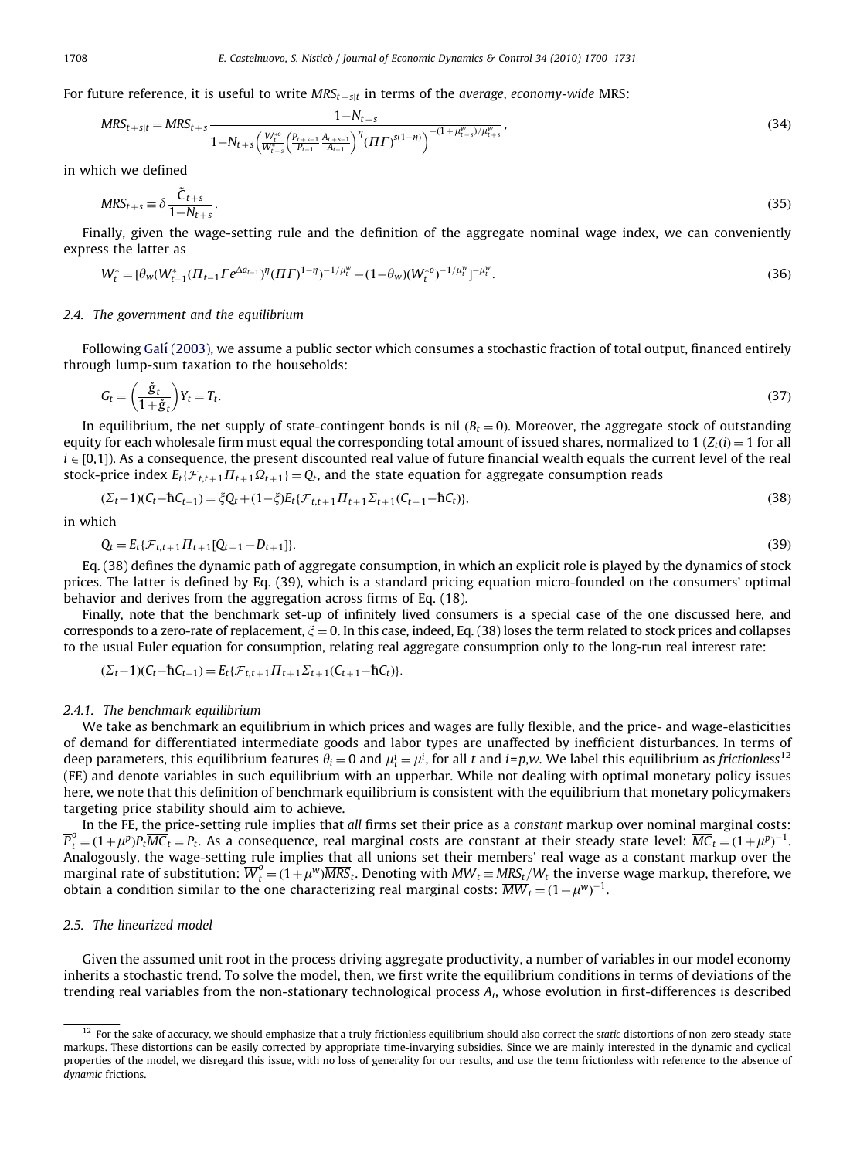For future reference, it is useful to write  $MRS<sub>t+sl</sub>$  in terms of the average, economy-wide MRS:

$$
MRS_{t+s|t} = MRS_{t+s} \frac{1 - N_{t+s}}{1 - N_{t+s} \left(\frac{W_t^{*0}}{W_{t+s}^*} \left(\frac{P_{t+s-1}}{P_{t-1}} \frac{A_{t+s-1}}{A_{t-1}}\right)^{\eta} (IIT)^{s(1-\eta)}\right)^{-(1 + \mu_{t+s}^w)/\mu_{t+s}^w}},
$$
(34)

in which we defined

$$
MRS_{t+s} \equiv \delta \frac{\tilde{C}_{t+s}}{1 - N_{t+s}}.
$$
\n(35)

Finally, given the wage-setting rule and the definition of the aggregate nominal wage index, we can conveniently express the latter as

$$
W_t^* = [\theta_w(W_{t-1}^*(\Pi_{t-1}\Gamma e^{\Delta a_{t-1}})^{\eta}(\Pi\Gamma)^{1-\eta})^{-1/\mu_t^w} + (1-\theta_w)(W_t^{*0})^{-1/\mu_t^w}]^{-\mu_t^w}.
$$
\n(36)

# 2.4. The government and the equilibrium

Following Galí [\(2003\),](#page-30-0) we assume a public sector which consumes a stochastic fraction of total output, financed entirely through lump-sum taxation to the households:

$$
G_t = \left(\frac{\breve{g}_t}{1 + \breve{g}_t}\right) Y_t = T_t. \tag{37}
$$

In equilibrium, the net supply of state-contingent bonds is nil  $(B_t = 0)$ . Moreover, the aggregate stock of outstanding equity for each wholesale firm must equal the corresponding total amount of issued shares, normalized to 1  $(Z_t(i) = 1$  for all  $i\in [0,1]$ ). As a consequence, the present discounted real value of future financial wealth equals the current level of the real stock-price index  $E_t\{\mathcal{F}_{t,t+1}\Pi_{t+1}\Omega_{t+1}\} = Q_t$ , and the state equation for aggregate consumption reads

$$
(\Sigma_t - 1)(C_t - \hbar C_{t-1}) = \zeta Q_t + (1 - \zeta) E_t \{ \mathcal{F}_{t,t+1} \Pi_{t+1} \Sigma_{t+1} (C_{t+1} - \hbar C_t) \},
$$
\n(38)

in which

$$
Q_t = E_t \{ \mathcal{F}_{t,t+1} \Pi_{t+1} [Q_{t+1} + D_{t+1}] \}.
$$
\n(39)

Eq. (38) defines the dynamic path of aggregate consumption, in which an explicit role is played by the dynamics of stock prices. The latter is defined by Eq. (39), which is a standard pricing equation micro-founded on the consumers' optimal behavior and derives from the aggregation across firms of Eq. (18).

Finally, note that the benchmark set-up of infinitely lived consumers is a special case of the one discussed here, and corresponds to a zero-rate of replacement,  $\xi = 0$ . In this case, indeed, Eq. (38) loses the term related to stock prices and collapses to the usual Euler equation for consumption, relating real aggregate consumption only to the long-run real interest rate:

$$
(\Sigma_t - 1)(C_t - \hbar C_{t-1}) = E_t \{ \mathcal{F}_{t,t+1} \Pi_{t+1} \Sigma_{t+1} (C_{t+1} - \hbar C_t) \}.
$$

### 2.4.1. The benchmark equilibrium

We take as benchmark an equilibrium in which prices and wages are fully flexible, and the price- and wage-elasticities of demand for differentiated intermediate goods and labor types are unaffected by inefficient disturbances. In terms of deep parameters, this equilibrium features  $\theta_i=0$  and  $\mu_t^i=\mu^i$ , for all  $t$  and  $i$ =p,w. We label this equilibrium as frictionless $^{12}$ (FE) and denote variables in such equilibrium with an upperbar. While not dealing with optimal monetary policy issues here, we note that this definition of benchmark equilibrium is consistent with the equilibrium that monetary policymakers targeting price stability should aim to achieve.

In the FE, the price-setting rule implies that all firms set their price as a constant markup over nominal marginal costs:  $\overline{P}_t^o = (1+\mu^p)P_t\overline{MC}_t = P_t$ . As a consequence, real marginal costs are constant at their steady state level:  $\overline{MC}_t = (1+\mu^p)^{-1}$ . Analogously, the wage-setting rule implies that all unions set their members' real wage as a constant markup over the<br>marginal rate of substitution:  $\overline{W}_t^o = (1+\mu^w)\overline{MRS}_t$ . Denoting with  $M{W}_t \equiv MRS_t/{W_t}$  the inverse w obtain a condition similar to the one characterizing real marginal costs:  $\overline{MW}_t$  = (1 +  $\mu^w)^{-1}.$ 

## 2.5. The linearized model

Given the assumed unit root in the process driving aggregate productivity, a number of variables in our model economy inherits a stochastic trend. To solve the model, then, we first write the equilibrium conditions in terms of deviations of the trending real variables from the non-stationary technological process  $A_t$ , whose evolution in first-differences is described

 $12$  For the sake of accuracy, we should emphasize that a truly frictionless equilibrium should also correct the static distortions of non-zero steady-state markups. These distortions can be easily corrected by appropriate time-invarying subsidies. Since we are mainly interested in the dynamic and cyclical properties of the model, we disregard this issue, with no loss of generality for our results, and use the term frictionless with reference to the absence of dynamic frictions.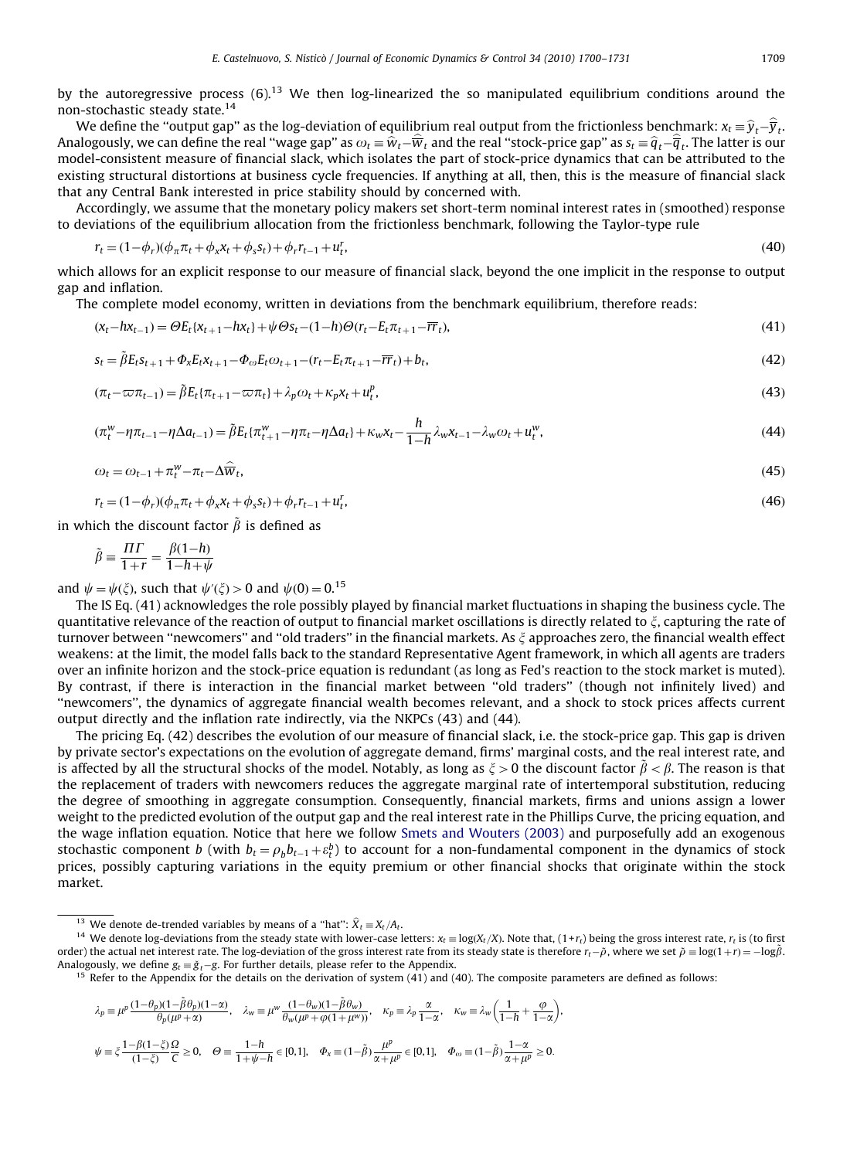by the autoregressive process (6).<sup>13</sup> We then log-linearized the so manipulated equilibrium conditions around the non-stochastic steady state.<sup>14</sup>

We define the "output gap" as the log-deviation of equilibrium real output from the frictionless benchmark:  $x_t\equiv {\widehat {y}}_t-{\overline {y}}_t.$ Analogously, we can define the real ''wage gap'' as  $\omega_t$   $=$   $\widehat w_t$   $\overline w_t$  and the real ''stock-price gap'' as  $s_t$   $=$   $\widehat q_t$   $\overline q_t$ . The latter is our model-consistent measure of financial slack, which isolates the part of stock-price dynamics that can be attributed to the existing structural distortions at business cycle frequencies. If anything at all, then, this is the measure of financial slack that any Central Bank interested in price stability should by concerned with.

Accordingly, we assume that the monetary policy makers set short-term nominal interest rates in (smoothed) response to deviations of the equilibrium allocation from the frictionless benchmark, following the Taylor-type rule

$$
r_t = (1 - \phi_r)(\phi_\pi \pi_t + \phi_x x_t + \phi_s s_t) + \phi_r r_{t-1} + u_t^r, \tag{40}
$$

which allows for an explicit response to our measure of financial slack, beyond the one implicit in the response to output gap and inflation.

The complete model economy, written in deviations from the benchmark equilibrium, therefore reads:

$$
(x_t - h x_{t-1}) = \Theta E_t \{x_{t+1} - h x_t\} + \psi \Theta s_t - (1 - h) \Theta (r_t - E_t \pi_{t+1} - \overline{r} \tau_t),
$$
\n(41)

$$
s_t = \tilde{\beta} E_t s_{t+1} + \Phi_x E_t x_{t+1} - \Phi_{\omega} E_t \omega_{t+1} - (r_t - E_t \pi_{t+1} - \overline{r}r_t) + b_t,
$$
\n(42)

$$
(\pi_t - \varpi \pi_{t-1}) = \tilde{\beta} E_t \{ \pi_{t+1} - \varpi \pi_t \} + \lambda_p \omega_t + \kappa_p x_t + u_t^p, \tag{43}
$$

$$
(\pi_t^w - \eta \pi_{t-1} - \eta \Delta a_{t-1}) = \tilde{\beta} E_t \{ \pi_{t+1}^w - \eta \pi_t - \eta \Delta a_t \} + \kappa_w x_t - \frac{h}{1-h} \lambda_w x_{t-1} - \lambda_w \omega_t + u_t^w,
$$
\n(44)

$$
\omega_t = \omega_{t-1} + \pi_t^w - \pi_t - \Delta \widehat{\overline{w}}_t,\tag{45}
$$

$$
r_t = (1 - \phi_r)(\phi_\pi \pi_t + \phi_x x_t + \phi_s s_t) + \phi_r r_{t-1} + u_t^r, \tag{46}
$$

in which the discount factor  $\tilde{\beta}$  is defined as

$$
\tilde{\beta} = \frac{\Pi \Gamma}{1+r} = \frac{\beta(1-h)}{1-h+\psi}
$$

and  $\psi = \psi(\xi)$ , such that  $\psi'(\xi) > 0$  and  $\psi(0) = 0$ .<sup>15</sup>

The IS Eq. (41) acknowledges the role possibly played by financial market fluctuations in shaping the business cycle. The quantitative relevance of the reaction of output to financial market oscillations is directly related to  $\zeta$ , capturing the rate of turnover between "newcomers" and "old traders" in the financial markets. As  $\xi$  approaches zero, the financial wealth effect weakens: at the limit, the model falls back to the standard Representative Agent framework, in which all agents are traders over an infinite horizon and the stock-price equation is redundant (as long as Fed's reaction to the stock market is muted). By contrast, if there is interaction in the financial market between ''old traders'' (though not infinitely lived) and ''newcomers'', the dynamics of aggregate financial wealth becomes relevant, and a shock to stock prices affects current output directly and the inflation rate indirectly, via the NKPCs (43) and (44).

The pricing Eq. (42) describes the evolution of our measure of financial slack, i.e. the stock-price gap. This gap is driven by private sector's expectations on the evolution of aggregate demand, firms' marginal costs, and the real interest rate, and is affected by all the structural shocks of the model. Notably, as long as  $\xi >0$  the discount factor  $\tilde\beta < \beta$ . The reason is that the replacement of traders with newcomers reduces the aggregate marginal rate of intertemporal substitution, reducing the degree of smoothing in aggregate consumption. Consequently, financial markets, firms and unions assign a lower weight to the predicted evolution of the output gap and the real interest rate in the Phillips Curve, the pricing equation, and the wage inflation equation. Notice that here we follow [Smets and Wouters \(2003\)](#page-30-0) and purposefully add an exogenous stochastic component b (with  $b_t = \rho_b b_{t-1} + \varepsilon_t^b$ ) to account for a non-fundamental component in the dynamics of stock prices, possibly capturing variations in the equity premium or other financial shocks that originate within the stock market.

$$
\begin{aligned}\n\lambda_p &\equiv \mu^p \frac{(1-\theta_p)(1-\tilde{\beta}\theta_p)(1-\alpha)}{\theta_p(\mu^p + \alpha)}, \quad \lambda_w &\equiv \mu^w \frac{(1-\theta_w)(1-\tilde{\beta}\theta_w)}{\theta_w(\mu^p + \varphi(1+\mu^w))}, \quad \kappa_p \equiv \lambda_p \frac{\alpha}{1-\alpha}, \quad \kappa_w \equiv \lambda_w \left(\frac{1}{1-h} + \frac{\varphi}{1-\alpha}\right), \\
\psi &\equiv \xi \frac{1-\beta(1-\xi)}{(1-\xi)} \frac{\Omega}{C} \ge 0, \quad \Theta \equiv \frac{1-h}{1+\psi-h} \in [0,1], \quad \Phi_x \equiv (1-\tilde{\beta}) \frac{\mu^p}{\alpha+\mu^p} \in [0,1], \quad \Phi_\omega \equiv (1-\tilde{\beta}) \frac{1-\alpha}{\alpha+\mu^p} \ge 0.\n\end{aligned}
$$

<sup>&</sup>lt;sup>13</sup> We denote de-trended variables by means of a "hat":  $\hat{X}_t = X_t/A_t$ .<br><sup>14</sup> We denote log-deviations from the steady state with lower-case letters:  $x_t \equiv \log(X_t/X)$ . Note that, (1+r<sub>t</sub>) being the gross interest rate, r<sub>t</sub> is order) the actual net interest rate. The log-deviation of the gross interest rate from its steady state is therefore  $r_t - \tilde{\rho}$ , where we set  $\tilde{\rho} \equiv \log(1+r) = -\log \tilde{\beta}$ . Analogously, we define  $g_t = \check{g}_t - g$ . For further details, please refer to the Appendix.<br><sup>15</sup> Refer to the Appendix for the details on the derivation of system (41) and (40). The composite parameters are defined as follow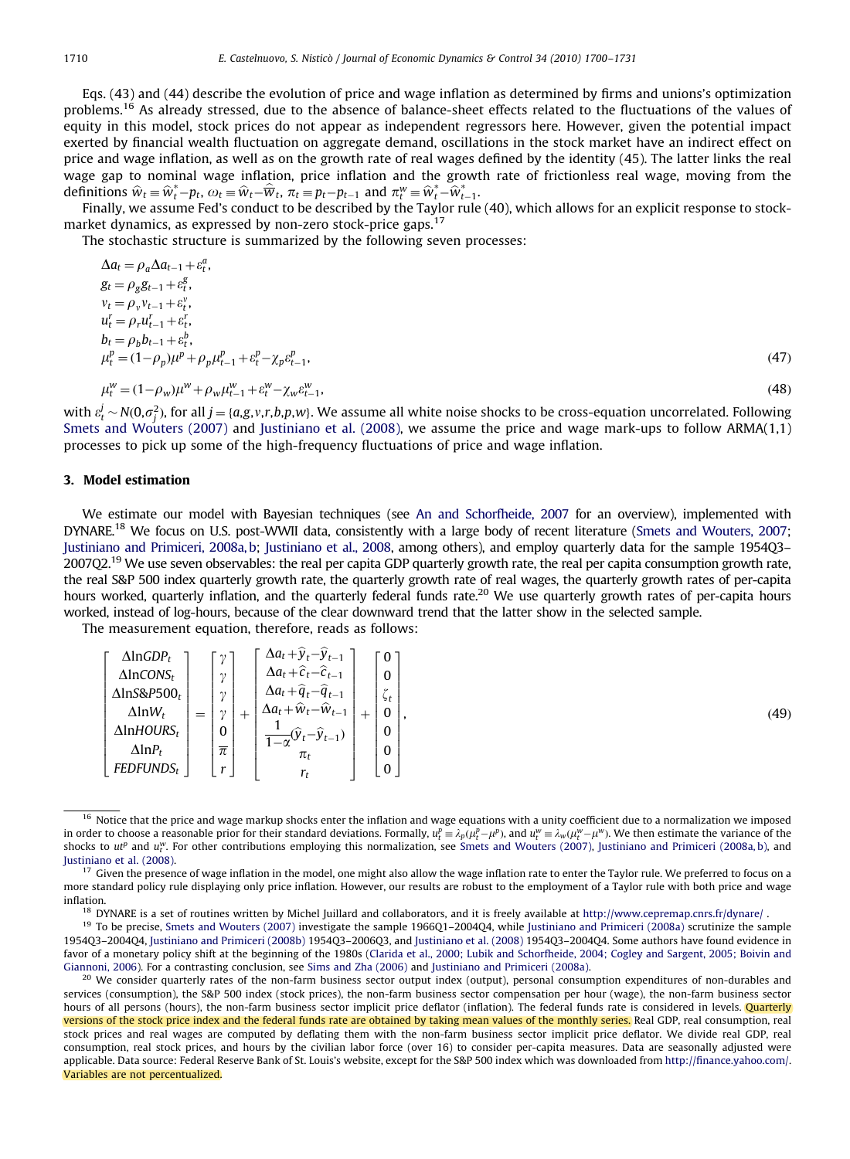Eqs. (43) and (44) describe the evolution of price and wage inflation as determined by firms and unions's optimization problems.<sup>16</sup> As already stressed, due to the absence of balance-sheet effects related to the fluctuations of the values of equity in this model, stock prices do not appear as independent regressors here. However, given the potential impact exerted by financial wealth fluctuation on aggregate demand, oscillations in the stock market have an indirect effect on price and wage inflation, as well as on the growth rate of real wages defined by the identity (45). The latter links the real wage gap to nominal wage inflation, price inflation and the growth rate of frictionless real wage, moving from the definitions  $\hat{w}_t \equiv \hat{w}_t^* - p_t$ ,  $\omega_t \equiv \hat{w}_t - \hat{\overline{w}}_t$ ,  $\pi_t \equiv p_t - p_{t-1}$  and  $\pi_t^w \equiv \hat{w}_t^* - \hat{w}_{t-1}^*$ .

Finally, we assume Fed's conduct to be described by the Taylor rule (40), which allows for an explicit response to stockmarket dynamics, as expressed by non-zero stock-price gaps.<sup>17</sup>

The stochastic structure is summarized by the following seven processes:

$$
\Delta a_{t} = \rho_{a} \Delta a_{t-1} + \varepsilon_{t}^{a},
$$
\n
$$
g_{t} = \rho_{g} g_{t-1} + \varepsilon_{t}^{g},
$$
\n
$$
v_{t} = \rho_{v} v_{t-1} + \varepsilon_{t}^{v},
$$
\n
$$
u_{t}^{r} = \rho_{r} u_{t-1}^{r} + \varepsilon_{t}^{r},
$$
\n
$$
b_{t} = \rho_{b} b_{t-1} + \varepsilon_{t}^{b},
$$
\n
$$
\mu_{t}^{p} = (1 - \rho_{p}) \mu^{p} + \rho_{p} \mu_{t-1}^{p} + \varepsilon_{t}^{p} - \chi_{p} \varepsilon_{t-1}^{p},
$$
\n
$$
(47)
$$

$$
\mu_t^w = (1 - \rho_w)\mu^w + \rho_w\mu_{t-1}^w + \varepsilon_t^w - \chi_w \varepsilon_{t-1}^w,\tag{48}
$$

with  $e_t^j\sim N(0,\sigma_j^2)$ , for all  $j=$  {a,g,v,r,b,p,w}. We assume all white noise shocks to be cross-equation uncorrelated. Following [Smets and Wouters \(2007\)](#page-30-0) and [Justiniano et al. \(2008\)](#page-30-0), we assume the price and wage mark-ups to follow ARMA(1,1) processes to pick up some of the high-frequency fluctuations of price and wage inflation.

# 3. Model estimation

We estimate our model with Bayesian techniques (see [An and Schorfheide, 2007](#page-29-0) for an overview), implemented with DYNARE.<sup>18</sup> We focus on U.S. post-WWII data, consistently with a large body of recent literature [\(Smets and Wouters, 2007](#page-30-0); [Justiniano and Primiceri, 2008a, b](#page-30-0); [Justiniano et al., 2008](#page-30-0), among others), and employ quarterly data for the sample 1954Q3– 2007Q2.<sup>19</sup> We use seven observables: the real per capita GDP quarterly growth rate, the real per capita consumption growth rate, the real S&P 500 index quarterly growth rate, the quarterly growth rate of real wages, the quarterly growth rates of per-capita hours worked, quarterly inflation, and the quarterly federal funds rate.<sup>20</sup> We use quarterly growth rates of per-capita hours worked, instead of log-hours, because of the clear downward trend that the latter show in the selected sample.

The measurement equation, therefore, reads as follows:

| $\Delta$ lnGDP <sub>t</sub>   |     |                  | $\Delta a_t + \hat{y}_t - \hat{y}_{t-1}$                |  |  |
|-------------------------------|-----|------------------|---------------------------------------------------------|--|--|
|                               |     | v                |                                                         |  |  |
| $\Delta$ lnCONS <sub>t</sub>  |     | v                | $\Delta a_t + \widehat{c}_t - \widehat{c}_{t-1}$        |  |  |
| $\Delta$ lnS&P500 $_{\rm r}$  |     | V)               | $\Delta a_t + \widehat{q}_t - \widehat{q}_{t-1}$        |  |  |
| $\Delta$ ln $W_t$             | $=$ |                  | $\Delta a_t + \widehat{w}_t - \widehat{w}_{t-1}$        |  |  |
| $\Delta$ lnHOURS <sub>t</sub> |     | O                | $(\widehat{\mathbf{y}}_t - \widehat{\mathbf{y}}_{t-1})$ |  |  |
| $\Delta$ ln $P_t$             |     | $\overline{\pi}$ | $\pi_{\scriptscriptstyle{t}}$                           |  |  |
| <b>FEDFUNDS</b> <sub>t</sub>  |     |                  |                                                         |  |  |

,  $(49)$ 

<sup>16</sup> Notice that the price and wage markup shocks enter the inflation and wage equations with a unity coefficient due to a normalization we imposed in order to choose a reasonable prior for their standard deviations. Formally,  $u_t^p \equiv \lambda_p (\mu_t^p - \mu^p)$ , and  $u_t^w \equiv \lambda_w (\mu_t^w - \mu^w)$ . We then estimate the variance of the shocks to  $ut^p$  and  $u_t^w$ . For other contributions employing this normalization, see [Smets and Wouters \(2007\)](#page-30-0), [Justiniano and Primiceri \(2008a, b\),](#page-30-0) and [Justiniano et al. \(2008\)](#page-30-0).

<sup>17</sup> Given the presence of wage inflation in the model, one might also allow the wage inflation rate to enter the Taylor rule. We preferred to focus on a more standard policy rule displaying only price inflation. However, our results are robust to the employment of a Taylor rule with both price and wage inflation.

<sup>&</sup>lt;sup>18</sup> DYNARE is a set of routines written by Michel Juillard and collaborators, and it is freely available at <http://www.cepremap.cnrs.fr/dynare/> .

<sup>&</sup>lt;sup>19</sup> To be precise, [Smets and Wouters \(2007\)](#page-30-0) investigate the sample 1966Q1-2004Q4, while [Justiniano and Primiceri \(2008a\)](#page-30-0) scrutinize the sample 1954Q3–2004Q4, [Justiniano and Primiceri \(2008b\)](#page-30-0) 1954Q3–2006Q3, and [Justiniano et al. \(2008\)](#page-30-0) 1954Q3–2004Q4. Some authors have found evidence in favor of a monetary policy shift at the beginning of the 1980s ([Clarida et al., 2000; Lubik and Schorfheide, 2004; Cogley and Sargent, 2005; Boivin and](#page-30-0) [Giannoni, 2006\)](#page-30-0). For a contrasting conclusion, see [Sims and Zha \(2006\)](#page-30-0) and [Justiniano and Primiceri \(2008a\)](#page-30-0).

 $^{20}$  We consider quarterly rates of the non-farm business sector output index (output), personal consumption expenditures of non-durables and services (consumption), the S&P 500 index (stock prices), the non-farm business sector compensation per hour (wage), the non-farm business sector hours of all persons (hours), the non-farm business sector implicit price deflator (inflation). The federal funds rate is considered in levels. **Quarterly** versions of the stock price index and the federal funds rate are obtained by taking mean values of the monthly series. Real GDP, real consumption, real stock prices and real wages are computed by deflating them with the non-farm business sector implicit price deflator. We divide real GDP, real consumption, real stock prices, and hours by the civilian labor force (over 16) to consider per-capita measures. Data are seasonally adjusted were applicable. Data source: Federal Reserve Bank of St. Louis's website, except for the S&P 500 index which was downloaded from [http://finance.yahoo.com/.](http://finance.yahoo.com/) Variables are not percentualized.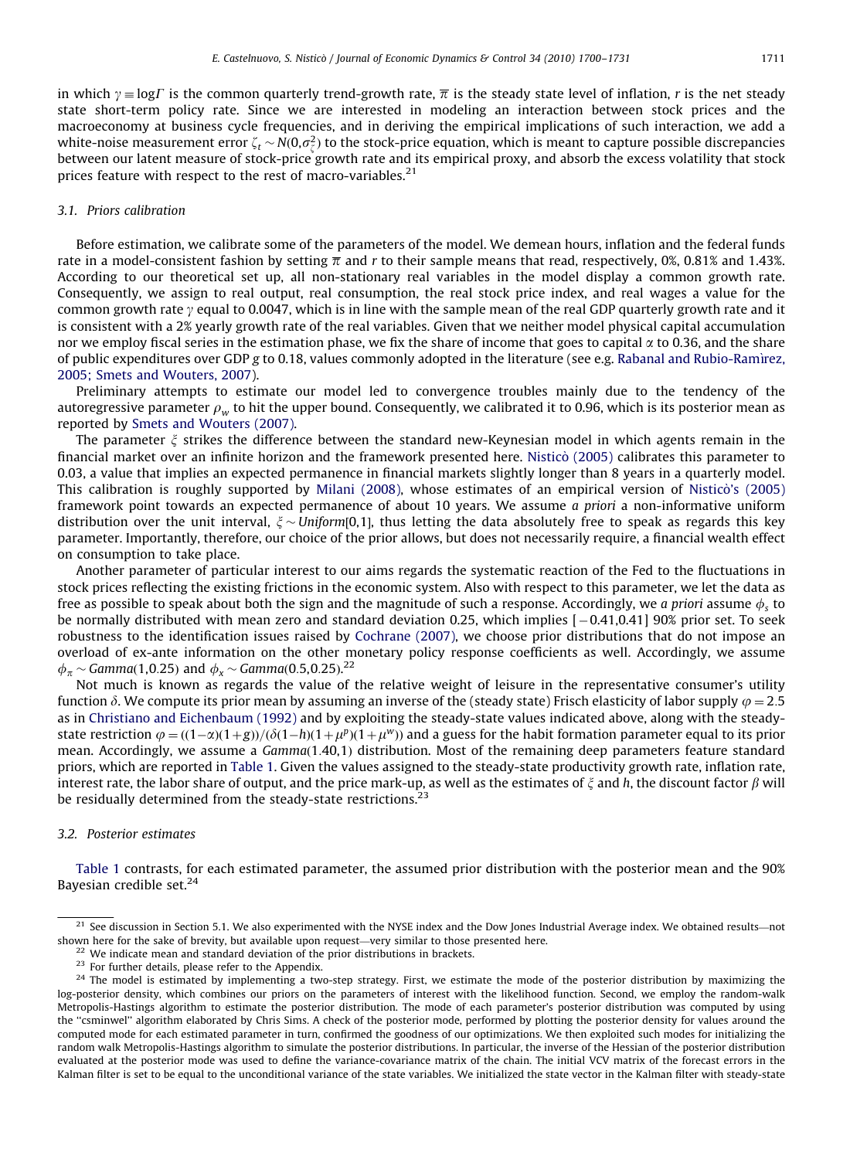in which  $\gamma \equiv \log \Gamma$  is the common quarterly trend-growth rate,  $\bar{\pi}$  is the steady state level of inflation, r is the net steady state short-term policy rate. Since we are interested in modeling an interaction between stock prices and the macroeconomy at business cycle frequencies, and in deriving the empirical implications of such interaction, we add a white-noise measurement error  $\zeta_t\sim N(0,\sigma_\zeta^2)$  to the stock-price equation, which is meant to capture possible discrepancies between our latent measure of stock-price growth rate and its empirical proxy, and absorb the excess volatility that stock prices feature with respect to the rest of macro-variables.<sup>21</sup>

# 3.1. Priors calibration

Before estimation, we calibrate some of the parameters of the model. We demean hours, inflation and the federal funds rate in a model-consistent fashion by setting  $\overline{\pi}$  and r to their sample means that read, respectively, 0%, 0.81% and 1.43%. According to our theoretical set up, all non-stationary real variables in the model display a common growth rate. Consequently, we assign to real output, real consumption, the real stock price index, and real wages a value for the common growth rate  $\gamma$  equal to 0.0047, which is in line with the sample mean of the real GDP quarterly growth rate and it is consistent with a 2% yearly growth rate of the real variables. Given that we neither model physical capital accumulation nor we employ fiscal series in the estimation phase, we fix the share of income that goes to capital  $\alpha$  to 0.36, and the share of public expenditures over GDP g to 0.18, values commonly adopted in the literature (see e.g. [Rabanal and Rubio-Ram](#page-30-0)ìrez, [2005; Smets and Wouters, 2007](#page-30-0)).

Preliminary attempts to estimate our model led to convergence troubles mainly due to the tendency of the autoregressive parameter  $\rho_w$  to hit the upper bound. Consequently, we calibrated it to 0.96, which is its posterior mean as reported by [Smets and Wouters \(2007\)](#page-30-0).

The parameter  $\xi$  strikes the difference between the standard new-Keynesian model in which agents remain in the financial market over an infinite horizon and the framework presented here. Nisticò (2005) calibrates this parameter to 0.03, a value that implies an expected permanence in financial markets slightly longer than 8 years in a quarterly model. This calibration is roughly supported by [Milani \(2008\),](#page-30-0) whose estimates of an empirical version of [Nistico's \(2005\)](#page-30-0) framework point towards an expected permanence of about 10 years. We assume a priori a non-informative uniform distribution over the unit interval,  $\xi\sim Uniform[0,1],$  thus letting the data absolutely free to speak as regards this key parameter. Importantly, therefore, our choice of the prior allows, but does not necessarily require, a financial wealth effect on consumption to take place.

Another parameter of particular interest to our aims regards the systematic reaction of the Fed to the fluctuations in stock prices reflecting the existing frictions in the economic system. Also with respect to this parameter, we let the data as free as possible to speak about both the sign and the magnitude of such a response. Accordingly, we a priori assume  $\phi$ , to be normally distributed with mean zero and standard deviation 0.25, which implies  $[-0.41,0.41]$  90% prior set. To seek robustness to the identification issues raised by [Cochrane \(2007\),](#page-30-0) we choose prior distributions that do not impose an overload of ex-ante information on the other monetary policy response coefficients as well. Accordingly, we assume  $\phi_{\pi}$  ~ Gamma $(1,0.25)$  and  $\phi_{x}$  ~ Gamma $(0.5,0.25).^{22}$ 

Not much is known as regards the value of the relative weight of leisure in the representative consumer's utility function  $\delta$ . We compute its prior mean by assuming an inverse of the (steady state) Frisch elasticity of labor supply  $\varphi = 2.5$ as in [Christiano and Eichenbaum \(1992\)](#page-30-0) and by exploiting the steady-state values indicated above, along with the steadystate restriction  $\varphi = ((1-\alpha)(1+g)) / (\delta(1-h)(1+\mu^p)(1+\mu^w))$  and a guess for the habit formation parameter equal to its prior mean. Accordingly, we assume a Gamma(1.40,1) distribution. Most of the remaining deep parameters feature standard priors, which are reported in [Table 1.](#page-12-0) Given the values assigned to the steady-state productivity growth rate, inflation rate, interest rate, the labor share of output, and the price mark-up, as well as the estimates of  $\xi$  and h, the discount factor  $\beta$  will be residually determined from the steady-state restrictions.<sup>23</sup>

# 3.2. Posterior estimates

[Table 1](#page-12-0) contrasts, for each estimated parameter, the assumed prior distribution with the posterior mean and the 90% Bayesian credible set.<sup>24</sup>

 $21$  See discussion in Section 5.1. We also experimented with the NYSE index and the Dow Jones Industrial Average index. We obtained results—not shown here for the sake of brevity, but available upon request—very similar to those presented here.

<sup>&</sup>lt;sup>22</sup> We indicate mean and standard deviation of the prior distributions in brackets.

<sup>&</sup>lt;sup>23</sup> For further details, please refer to the Appendix.

<sup>&</sup>lt;sup>24</sup> The model is estimated by implementing a two-step strategy. First, we estimate the mode of the posterior distribution by maximizing the log-posterior density, which combines our priors on the parameters of interest with the likelihood function. Second, we employ the random-walk Metropolis-Hastings algorithm to estimate the posterior distribution. The mode of each parameter's posterior distribution was computed by using the ''csminwel'' algorithm elaborated by Chris Sims. A check of the posterior mode, performed by plotting the posterior density for values around the computed mode for each estimated parameter in turn, confirmed the goodness of our optimizations. We then exploited such modes for initializing the random walk Metropolis-Hastings algorithm to simulate the posterior distributions. In particular, the inverse of the Hessian of the posterior distribution evaluated at the posterior mode was used to define the variance-covariance matrix of the chain. The initial VCV matrix of the forecast errors in the Kalman filter is set to be equal to the unconditional variance of the state variables. We initialized the state vector in the Kalman filter with steady-state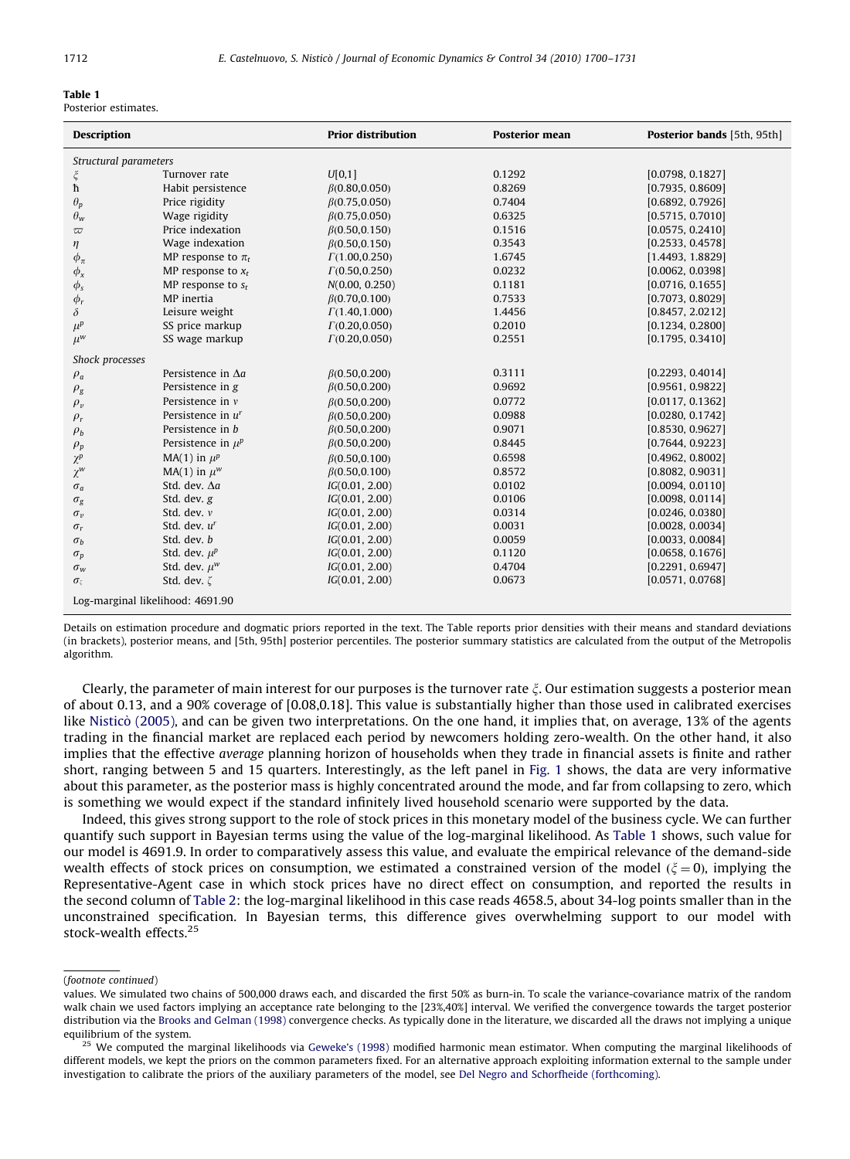# <span id="page-12-0"></span>Table 1

|  | Posterior estimates. |
|--|----------------------|
|--|----------------------|

| <b>Description</b>               |                           | <b>Prior distribution</b> | <b>Posterior mean</b> | Posterior bands [5th, 95th] |
|----------------------------------|---------------------------|---------------------------|-----------------------|-----------------------------|
| Structural parameters            |                           |                           |                       |                             |
| ξ                                | Turnover rate             | U[0,1]                    | 0.1292                | [0.0798, 0.1827]            |
| ħ                                | Habit persistence         | $\beta(0.80, 0.050)$      | 0.8269                | [0.7935, 0.8609]            |
| $\theta_p$                       | Price rigidity            | $\beta(0.75, 0.050)$      | 0.7404                | [0.6892, 0.7926]            |
| $\theta_w$                       | Wage rigidity             | $\beta(0.75, 0.050)$      | 0.6325                | [0.5715, 0.7010]            |
| $\varpi$                         | Price indexation          | $\beta(0.50, 0.150)$      | 0.1516                | [0.0575, 0.2410]            |
| η                                | Wage indexation           | $\beta(0.50, 0.150)$      | 0.3543                | [0.2533, 0.4578]            |
| $\phi_\pi$                       | MP response to $\pi_t$    | $\Gamma(1.00, 0.250)$     | 1.6745                | [1.4493, 1.8829]            |
| $\phi_x$                         | MP response to $x_t$      | $\Gamma(0.50, 0.250)$     | 0.0232                | [0.0062, 0.0398]            |
| $\phi_{s}$                       | MP response to $s_t$      | N(0.00, 0.250)            | 0.1181                | [0.0716, 0.1655]            |
| $\phi_r$                         | MP inertia                | $\beta(0.70, 0.100)$      | 0.7533                | [0.7073, 0.8029]            |
| $\delta$                         | Leisure weight            | $\Gamma(1.40, 1.000)$     | 1.4456                | [0.8457, 2.0212]            |
| $\mu^p$                          | SS price markup           | $\Gamma(0.20, 0.050)$     | 0.2010                | [0.1234, 0.2800]            |
| $\mu^w$                          | SS wage markup            | $\Gamma(0.20, 0.050)$     | 0.2551                | [0.1795, 0.3410]            |
| Shock processes                  |                           |                           |                       |                             |
| $\rho_a$                         | Persistence in $\Delta a$ | $\beta(0.50, 0.200)$      | 0.3111                | [0.2293, 0.4014]            |
| $\rho_{\rm g}$                   | Persistence in g          | $\beta(0.50, 0.200)$      | 0.9692                | [0.9561, 0.9822]            |
| $\rho_v$                         | Persistence in v          | $\beta(0.50, 0.200)$      | 0.0772                | [0.0117, 0.1362]            |
| $\rho_r$                         | Persistence in $u^r$      | $\beta(0.50, 0.200)$      | 0.0988                | [0.0280, 0.1742]            |
| $\rho_b$                         | Persistence in b          | $\beta(0.50, 0.200)$      | 0.9071                | [0.8530, 0.9627]            |
| $\rho_p$                         | Persistence in $\mu^p$    | $\beta(0.50, 0.200)$      | 0.8445                | [0.7644, 0.9223]            |
| $\chi^p$                         | MA(1) in $\mu^p$          | $\beta(0.50, 0.100)$      | 0.6598                | [0.4962, 0.8002]            |
| $\chi^w$                         | MA(1) in $\mu^w$          | $\beta(0.50, 0.100)$      | 0.8572                | [0.8082, 0.9031]            |
| $\sigma_a$                       | Std. dev. Aa              | IG(0.01, 2.00)            | 0.0102                | [0.0094, 0.0110]            |
| $\sigma_g$                       | Std. dev. g               | IG(0.01, 2.00)            | 0.0106                | [0.0098, 0.0114]            |
| $\sigma_v$                       | Std. dev. $v$             | IG(0.01, 2.00)            | 0.0314                | [0.0246, 0.0380]            |
| $\sigma_r$                       | Std. dev. $u^r$           | IG(0.01, 2.00)            | 0.0031                | [0.0028, 0.0034]            |
| $\sigma_b$                       | Std. dev. b               | IG(0.01, 2.00)            | 0.0059                | [0.0033, 0.0084]            |
| $\sigma_p$                       | Std. dev. $\mu^p$         | IG(0.01, 2.00)            | 0.1120                | [0.0658, 0.1676]            |
| $\sigma_w$                       | Std. dev. $\mu^w$         | IG(0.01, 2.00)            | 0.4704                | [0.2291, 0.6947]            |
| $\sigma_{\zeta}$                 | Std. dev. $\zeta$         | IG(0.01, 2.00)            | 0.0673                | [0.0571, 0.0768]            |
| Log-marginal likelihood: 4691.90 |                           |                           |                       |                             |

Details on estimation procedure and dogmatic priors reported in the text. The Table reports prior densities with their means and standard deviations (in brackets), posterior means, and [5th, 95th] posterior percentiles. The posterior summary statistics are calculated from the output of the Metropolis algorithm.

Clearly, the parameter of main interest for our purposes is the turnover rate  $\xi$ . Our estimation suggests a posterior mean of about 0.13, and a 90% coverage of [0.08,0.18]. This value is substantially higher than those used in calibrated exercises like [Nistic](#page-30-0)ò [\(2005\)](#page-30-0), and can be given two interpretations. On the one hand, it implies that, on average, 13% of the agents trading in the financial market are replaced each period by newcomers holding zero-wealth. On the other hand, it also implies that the effective average planning horizon of households when they trade in financial assets is finite and rather short, ranging between 5 and 15 quarters. Interestingly, as the left panel in [Fig. 1](#page-13-0) shows, the data are very informative about this parameter, as the posterior mass is highly concentrated around the mode, and far from collapsing to zero, which is something we would expect if the standard infinitely lived household scenario were supported by the data.

Indeed, this gives strong support to the role of stock prices in this monetary model of the business cycle. We can further quantify such support in Bayesian terms using the value of the log-marginal likelihood. As Table 1 shows, such value for our model is 4691.9. In order to comparatively assess this value, and evaluate the empirical relevance of the demand-side wealth effects of stock prices on consumption, we estimated a constrained version of the model  $(\xi = 0)$ , implying the Representative-Agent case in which stock prices have no direct effect on consumption, and reported the results in the second column of [Table 2](#page-13-0): the log-marginal likelihood in this case reads 4658.5, about 34-log points smaller than in the unconstrained specification. In Bayesian terms, this difference gives overwhelming support to our model with stock-wealth effects.<sup>25</sup>

<sup>(</sup>footnote continued)

values. We simulated two chains of 500,000 draws each, and discarded the first 50% as burn-in. To scale the variance-covariance matrix of the random walk chain we used factors implying an acceptance rate belonging to the [23%,40%] interval. We verified the convergence towards the target posterior distribution via the [Brooks and Gelman \(1998\)](#page-30-0) convergence checks. As typically done in the literature, we discarded all the draws not implying a unique equilibrium of the system.

 $25$  We computed the marginal likelihoods via [Geweke's \(1998\)](#page-30-0) modified harmonic mean estimator. When computing the marginal likelihoods of different models, we kept the priors on the common parameters fixed. For an alternative approach exploiting information external to the sample under investigation to calibrate the priors of the auxiliary parameters of the model, see [Del Negro and Schorfheide \(forthcoming\).](#page-30-0)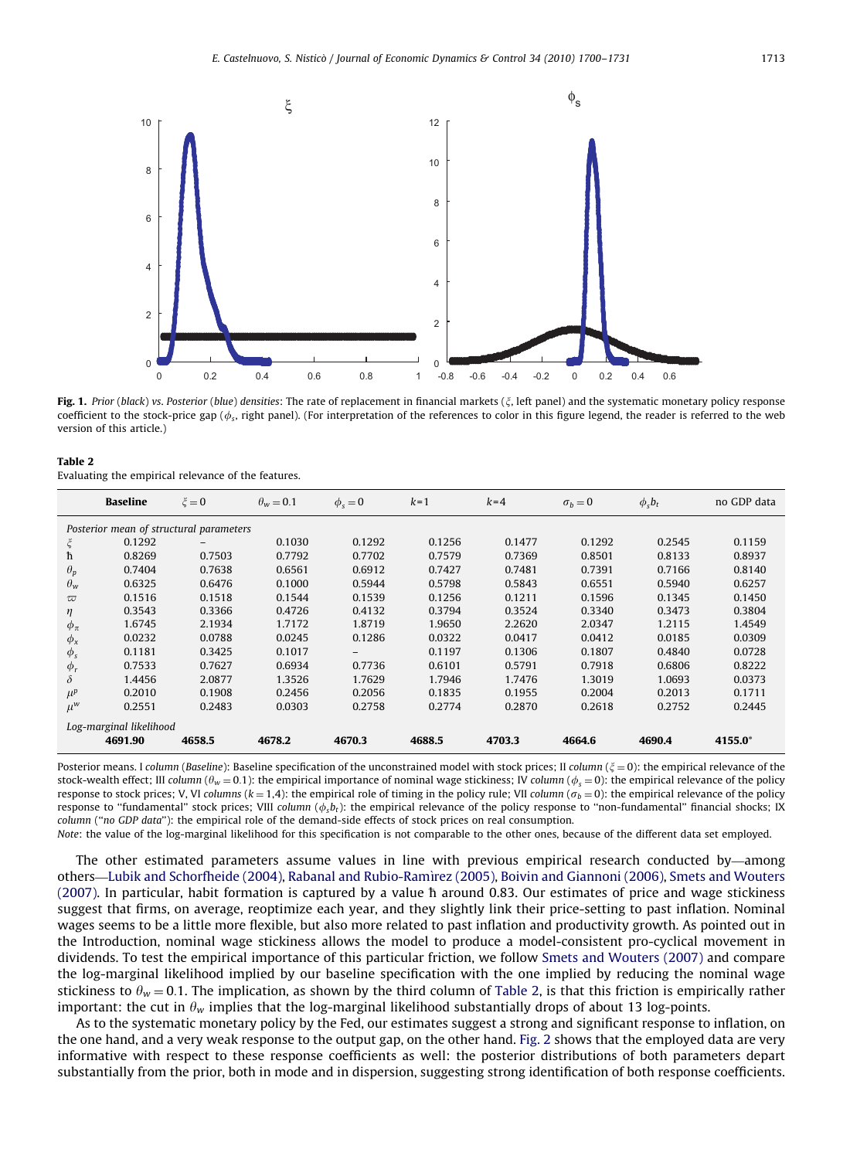<span id="page-13-0"></span>

Fig. 1. Prior (black) vs. Posterior (blue) densities: The rate of replacement in financial markets ( $\xi$ , left panel) and the systematic monetary policy response coefficient to the stock-price gap ( $\phi_{\rm c}$ , right panel). (For interpretation of the references to color in this figure legend, the reader is referred to the web version of this article.)

### Table 2

Evaluating the empirical relevance of the features.

|            | <b>Baseline</b>                         | $\xi = 0$ | $\theta_w = 0.1$ | $\phi_{\rm s}=0$ | $k=1$  | $k = 4$ | $\sigma_b = 0$ | $\phi_{s}b_{t}$ | no GDP data |
|------------|-----------------------------------------|-----------|------------------|------------------|--------|---------|----------------|-----------------|-------------|
|            | Posterior mean of structural parameters |           |                  |                  |        |         |                |                 |             |
| ξ          | 0.1292                                  |           | 0.1030           | 0.1292           | 0.1256 | 0.1477  | 0.1292         | 0.2545          | 0.1159      |
| ħ          | 0.8269                                  | 0.7503    | 0.7792           | 0.7702           | 0.7579 | 0.7369  | 0.8501         | 0.8133          | 0.8937      |
| $\theta_p$ | 0.7404                                  | 0.7638    | 0.6561           | 0.6912           | 0.7427 | 0.7481  | 0.7391         | 0.7166          | 0.8140      |
| $\theta_w$ | 0.6325                                  | 0.6476    | 0.1000           | 0.5944           | 0.5798 | 0.5843  | 0.6551         | 0.5940          | 0.6257      |
| $\varpi$   | 0.1516                                  | 0.1518    | 0.1544           | 0.1539           | 0.1256 | 0.1211  | 0.1596         | 0.1345          | 0.1450      |
| η          | 0.3543                                  | 0.3366    | 0.4726           | 0.4132           | 0.3794 | 0.3524  | 0.3340         | 0.3473          | 0.3804      |
| $\phi_\pi$ | 1.6745                                  | 2.1934    | 1.7172           | 1.8719           | 1.9650 | 2.2620  | 2.0347         | 1.2115          | 1.4549      |
| $\phi_x$   | 0.0232                                  | 0.0788    | 0.0245           | 0.1286           | 0.0322 | 0.0417  | 0.0412         | 0.0185          | 0.0309      |
| $\phi_{s}$ | 0.1181                                  | 0.3425    | 0.1017           |                  | 0.1197 | 0.1306  | 0.1807         | 0.4840          | 0.0728      |
| $\phi_r$   | 0.7533                                  | 0.7627    | 0.6934           | 0.7736           | 0.6101 | 0.5791  | 0.7918         | 0.6806          | 0.8222      |
| $\delta$   | 1.4456                                  | 2.0877    | 1.3526           | 1.7629           | 1.7946 | 1.7476  | 1.3019         | 1.0693          | 0.0373      |
| $\mu^p$    | 0.2010                                  | 0.1908    | 0.2456           | 0.2056           | 0.1835 | 0.1955  | 0.2004         | 0.2013          | 0.1711      |
| $\mu^w$    | 0.2551                                  | 0.2483    | 0.0303           | 0.2758           | 0.2774 | 0.2870  | 0.2618         | 0.2752          | 0.2445      |
|            | Log-marginal likelihood                 |           |                  |                  |        |         |                |                 |             |
|            | 4691.90                                 | 4658.5    | 4678.2           | 4670.3           | 4688.5 | 4703.3  | 4664.6         | 4690.4          | 4155.0*     |

Posterior means. I column (Baseline): Baseline specification of the unconstrained model with stock prices; II column ( $\xi = 0$ ): the empirical relevance of the stock-wealth effect; III column ( $\theta_w = 0.1$ ): the empirical importance of nominal wage stickiness; IV column ( $\phi_s = 0$ ): the empirical relevance of the policy response to stock prices; V, VI columns ( $k = 1,4$ ): the empirical role of timing in the policy rule; VII column ( $\sigma_b = 0$ ): the empirical relevance of the policy response to "fundamental" stock prices; VIII column  $(\phi_s b_t)$ : the empirical relevance of the policy response to "non-fundamental" financial shocks; IX column (''no GDP data''): the empirical role of the demand-side effects of stock prices on real consumption.

Note: the value of the log-marginal likelihood for this specification is not comparable to the other ones, because of the different data set employed.

The other estimated parameters assume values in line with previous empirical research conducted by—among others—[Lubik and Schorfheide \(2004\),](#page-30-0) [Rabanal and Rubio-Ram](#page-30-0)ìrez (2005), [Boivin and Giannoni \(2006\)](#page-29-0), [Smets and Wouters](#page-30-0)  $(2007)$ . In particular, habit formation is captured by a value  $\hbar$  around 0.83. Our estimates of price and wage stickiness suggest that firms, on average, reoptimize each year, and they slightly link their price-setting to past inflation. Nominal wages seems to be a little more flexible, but also more related to past inflation and productivity growth. As pointed out in the Introduction, nominal wage stickiness allows the model to produce a model-consistent pro-cyclical movement in dividends. To test the empirical importance of this particular friction, we follow [Smets and Wouters \(2007\)](#page-30-0) and compare the log-marginal likelihood implied by our baseline specification with the one implied by reducing the nominal wage stickiness to  $\theta_w = 0.1$ . The implication, as shown by the third column of Table 2, is that this friction is empirically rather important: the cut in  $\theta_w$  implies that the log-marginal likelihood substantially drops of about 13 log-points.

As to the systematic monetary policy by the Fed, our estimates suggest a strong and significant response to inflation, on the one hand, and a very weak response to the output gap, on the other hand. [Fig. 2](#page-14-0) shows that the employed data are very informative with respect to these response coefficients as well: the posterior distributions of both parameters depart substantially from the prior, both in mode and in dispersion, suggesting strong identification of both response coefficients.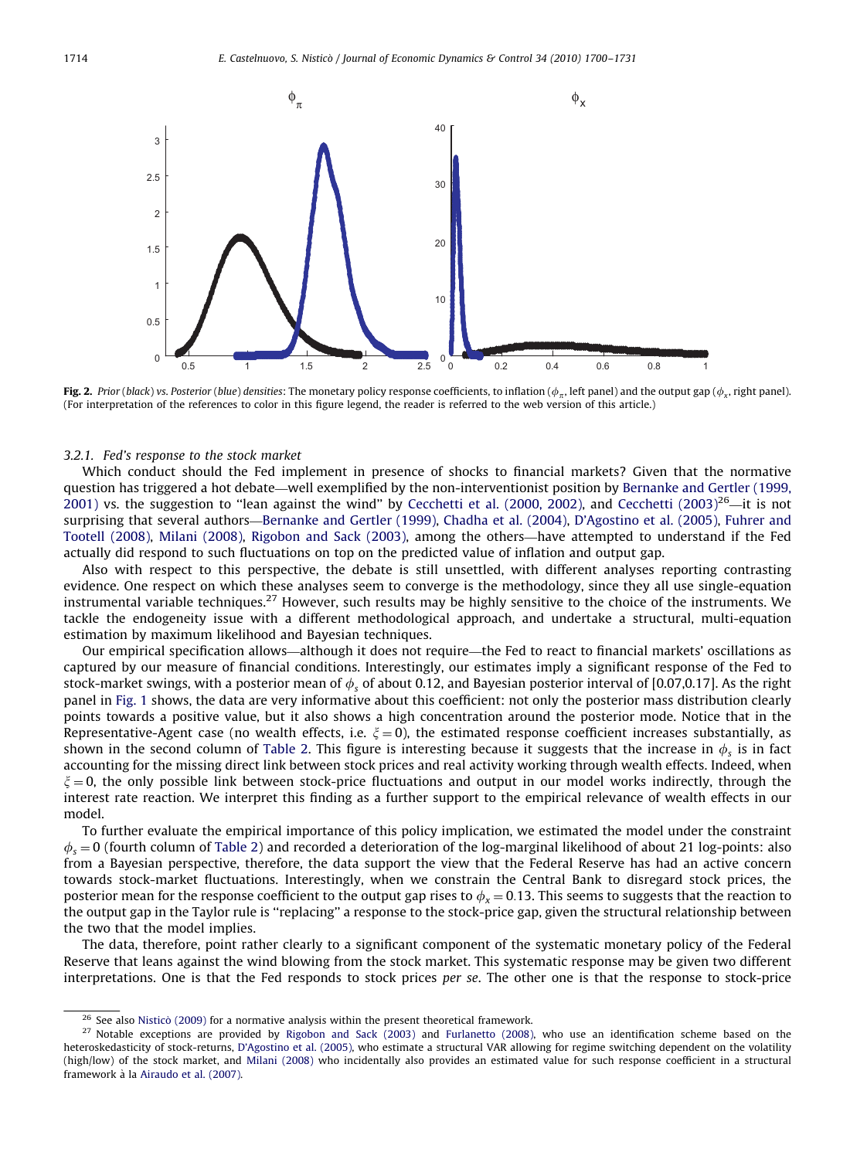<span id="page-14-0"></span>

Fig. 2. Prior (black) vs. Posterior (blue) densities: The monetary policy response coefficients, to inflation ( $\phi_{\pi}$ , left panel) and the output gap ( $\phi_{x}$ , right panel). (For interpretation of the references to color in this figure legend, the reader is referred to the web version of this article.)

# 3.2.1. Fed's response to the stock market

Which conduct should the Fed implement in presence of shocks to financial markets? Given that the normative question has triggered a hot debate—well exemplified by the non-interventionist position by [Bernanke and Gertler \(1999,](#page-29-0) [2001\)](#page-29-0) vs. the suggestion to "lean against the wind" by [Cecchetti et al. \(2000, 2002\)](#page-30-0), and [Cecchetti \(2003\)](#page-30-0)<sup>26</sup>—it is not surprising that several authors—[Bernanke and Gertler \(1999\)](#page-29-0), [Chadha et al. \(2004\)](#page-30-0), [D'Agostino et al. \(2005\),](#page-30-0) [Fuhrer and](#page-30-0) [Tootell \(2008\)](#page-30-0), [Milani \(2008\)](#page-30-0), [Rigobon and Sack \(2003\)](#page-30-0), among the others—have attempted to understand if the Fed actually did respond to such fluctuations on top on the predicted value of inflation and output gap.

Also with respect to this perspective, the debate is still unsettled, with different analyses reporting contrasting evidence. One respect on which these analyses seem to converge is the methodology, since they all use single-equation instrumental variable techniques.27 However, such results may be highly sensitive to the choice of the instruments. We tackle the endogeneity issue with a different methodological approach, and undertake a structural, multi-equation estimation by maximum likelihood and Bayesian techniques.

Our empirical specification allows—although it does not require—the Fed to react to financial markets' oscillations as captured by our measure of financial conditions. Interestingly, our estimates imply a significant response of the Fed to stock-market swings, with a posterior mean of  $\phi_s$  of about 0.12, and Bayesian posterior interval of [0.07,0.17]. As the right panel in [Fig. 1](#page-13-0) shows, the data are very informative about this coefficient: not only the posterior mass distribution clearly points towards a positive value, but it also shows a high concentration around the posterior mode. Notice that in the Representative-Agent case (no wealth effects, i.e.  $\xi = 0$ ), the estimated response coefficient increases substantially, as shown in the second column of [Table 2.](#page-13-0) This figure is interesting because it suggests that the increase in  $\phi$ , is in fact accounting for the missing direct link between stock prices and real activity working through wealth effects. Indeed, when  $\xi = 0$ , the only possible link between stock-price fluctuations and output in our model works indirectly, through the interest rate reaction. We interpret this finding as a further support to the empirical relevance of wealth effects in our model.

To further evaluate the empirical importance of this policy implication, we estimated the model under the constraint  $\phi_s = 0$  (fourth column of [Table 2\)](#page-13-0) and recorded a deterioration of the log-marginal likelihood of about 21 log-points: also from a Bayesian perspective, therefore, the data support the view that the Federal Reserve has had an active concern towards stock-market fluctuations. Interestingly, when we constrain the Central Bank to disregard stock prices, the posterior mean for the response coefficient to the output gap rises to  $\phi_x = 0.13$ . This seems to suggests that the reaction to the output gap in the Taylor rule is ''replacing'' a response to the stock-price gap, given the structural relationship between the two that the model implies.

The data, therefore, point rather clearly to a significant component of the systematic monetary policy of the Federal Reserve that leans against the wind blowing from the stock market. This systematic response may be given two different interpretations. One is that the Fed responds to stock prices per se. The other one is that the response to stock-price

<sup>&</sup>lt;sup>26</sup> See also [Nistic](#page-30-0)ò [\(2009\)](#page-30-0) for a normative analysis within the present theoretical framework.

<sup>&</sup>lt;sup>27</sup> Notable exceptions are provided by [Rigobon and Sack \(2003\)](#page-30-0) and [Furlanetto \(2008\),](#page-30-0) who use an identification scheme based on the heteroskedasticity of stock-returns, [D'Agostino et al. \(2005\),](#page-30-0) who estimate a structural VAR allowing for regime switching dependent on the volatility (high/low) of the stock market, and [Milani \(2008\)](#page-30-0) who incidentally also provides an estimated value for such response coefficient in a structural framework à la [Airaudo et al. \(2007\)](#page-29-0).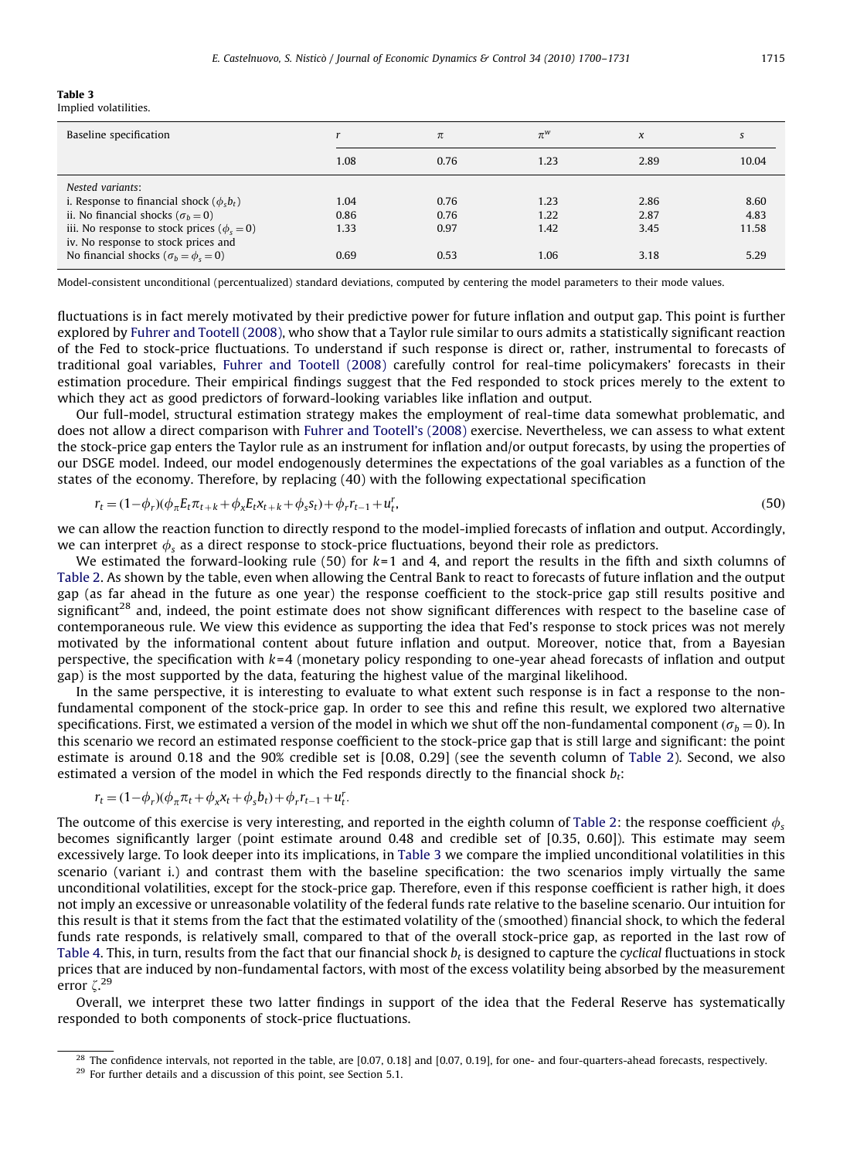<span id="page-15-0"></span>

| Table 3 |                       |
|---------|-----------------------|
|         | eititied unlatilities |

| pca voiacintics.                                        |      |      |         |        |       |
|---------------------------------------------------------|------|------|---------|--------|-------|
| Baseline specification                                  |      | π    | $\pi^w$ | $\chi$ | S     |
|                                                         | 1.08 | 0.76 | 1.23    | 2.89   | 10.04 |
| Nested variants:                                        |      |      |         |        |       |
| i. Response to financial shock $(\phi_s b_t)$           | 1.04 | 0.76 | 1.23    | 2.86   | 8.60  |
| ii. No financial shocks ( $\sigma_h = 0$ )              | 0.86 | 0.76 | 1.22    | 2.87   | 4.83  |
| iii. No response to stock prices ( $\phi_{\rm s} = 0$ ) | 1.33 | 0.97 | 1.42    | 3.45   | 11.58 |
| iv. No response to stock prices and                     |      |      |         |        |       |
| No financial shocks ( $\sigma_h = \phi_s = 0$ )         | 0.69 | 0.53 | 1.06    | 3.18   | 5.29  |
|                                                         |      |      |         |        |       |

Model-consistent unconditional (percentualized) standard deviations, computed by centering the model parameters to their mode values.

fluctuations is in fact merely motivated by their predictive power for future inflation and output gap. This point is further explored by [Fuhrer and Tootell \(2008\),](#page-30-0) who show that a Taylor rule similar to ours admits a statistically significant reaction of the Fed to stock-price fluctuations. To understand if such response is direct or, rather, instrumental to forecasts of traditional goal variables, [Fuhrer and Tootell \(2008\)](#page-30-0) carefully control for real-time policymakers' forecasts in their estimation procedure. Their empirical findings suggest that the Fed responded to stock prices merely to the extent to which they act as good predictors of forward-looking variables like inflation and output.

Our full-model, structural estimation strategy makes the employment of real-time data somewhat problematic, and does not allow a direct comparison with [Fuhrer and Tootell's \(2008\)](#page-30-0) exercise. Nevertheless, we can assess to what extent the stock-price gap enters the Taylor rule as an instrument for inflation and/or output forecasts, by using the properties of our DSGE model. Indeed, our model endogenously determines the expectations of the goal variables as a function of the states of the economy. Therefore, by replacing (40) with the following expectational specification

$$
r_t = (1 - \phi_r)(\phi_\pi E_t \pi_{t+k} + \phi_x E_t x_{t+k} + \phi_s s_t) + \phi_r r_{t-1} + u_t^r,
$$
\n(50)

we can allow the reaction function to directly respond to the model-implied forecasts of inflation and output. Accordingly, we can interpret  $\phi_e$  as a direct response to stock-price fluctuations, beyond their role as predictors.

We estimated the forward-looking rule (50) for  $k=1$  and 4, and report the results in the fifth and sixth columns of [Table 2](#page-13-0). As shown by the table, even when allowing the Central Bank to react to forecasts of future inflation and the output gap (as far ahead in the future as one year) the response coefficient to the stock-price gap still results positive and significant<sup>28</sup> and, indeed, the point estimate does not show significant differences with respect to the baseline case of contemporaneous rule. We view this evidence as supporting the idea that Fed's response to stock prices was not merely motivated by the informational content about future inflation and output. Moreover, notice that, from a Bayesian perspective, the specification with  $k=4$  (monetary policy responding to one-year ahead forecasts of inflation and output gap) is the most supported by the data, featuring the highest value of the marginal likelihood.

In the same perspective, it is interesting to evaluate to what extent such response is in fact a response to the nonfundamental component of the stock-price gap. In order to see this and refine this result, we explored two alternative specifications. First, we estimated a version of the model in which we shut off the non-fundamental component  $(\sigma_b = 0)$ . In this scenario we record an estimated response coefficient to the stock-price gap that is still large and significant: the point estimate is around 0.18 and the 90% credible set is [0.08, 0.29] (see the seventh column of [Table 2\)](#page-13-0). Second, we also estimated a version of the model in which the Fed responds directly to the financial shock  $b_i$ :

$$
r_t = (1 - \phi_r)(\phi_\pi \pi_t + \phi_x x_t + \phi_s b_t) + \phi_r r_{t-1} + u_t^r.
$$

The outcome of this exercise is very interesting, and reported in the eighth column of [Table 2](#page-13-0): the response coefficient  $\phi$ . becomes significantly larger (point estimate around 0.48 and credible set of [0.35, 0.60]). This estimate may seem excessively large. To look deeper into its implications, in Table 3 we compare the implied unconditional volatilities in this scenario (variant i.) and contrast them with the baseline specification: the two scenarios imply virtually the same unconditional volatilities, except for the stock-price gap. Therefore, even if this response coefficient is rather high, it does not imply an excessive or unreasonable volatility of the federal funds rate relative to the baseline scenario. Our intuition for this result is that it stems from the fact that the estimated volatility of the (smoothed) financial shock, to which the federal funds rate responds, is relatively small, compared to that of the overall stock-price gap, as reported in the last row of [Table 4](#page-16-0). This, in turn, results from the fact that our financial shock  $b_t$  is designed to capture the cyclical fluctuations in stock prices that are induced by non-fundamental factors, with most of the excess volatility being absorbed by the measurement error  $\zeta^{.29}$ 

Overall, we interpret these two latter findings in support of the idea that the Federal Reserve has systematically responded to both components of stock-price fluctuations.

 $^{28}$  The confidence intervals, not reported in the table, are [0.07, 0.18] and [0.07, 0.19], for one- and four-quarters-ahead forecasts, respectively.

<sup>&</sup>lt;sup>29</sup> For further details and a discussion of this point, see Section 5.1.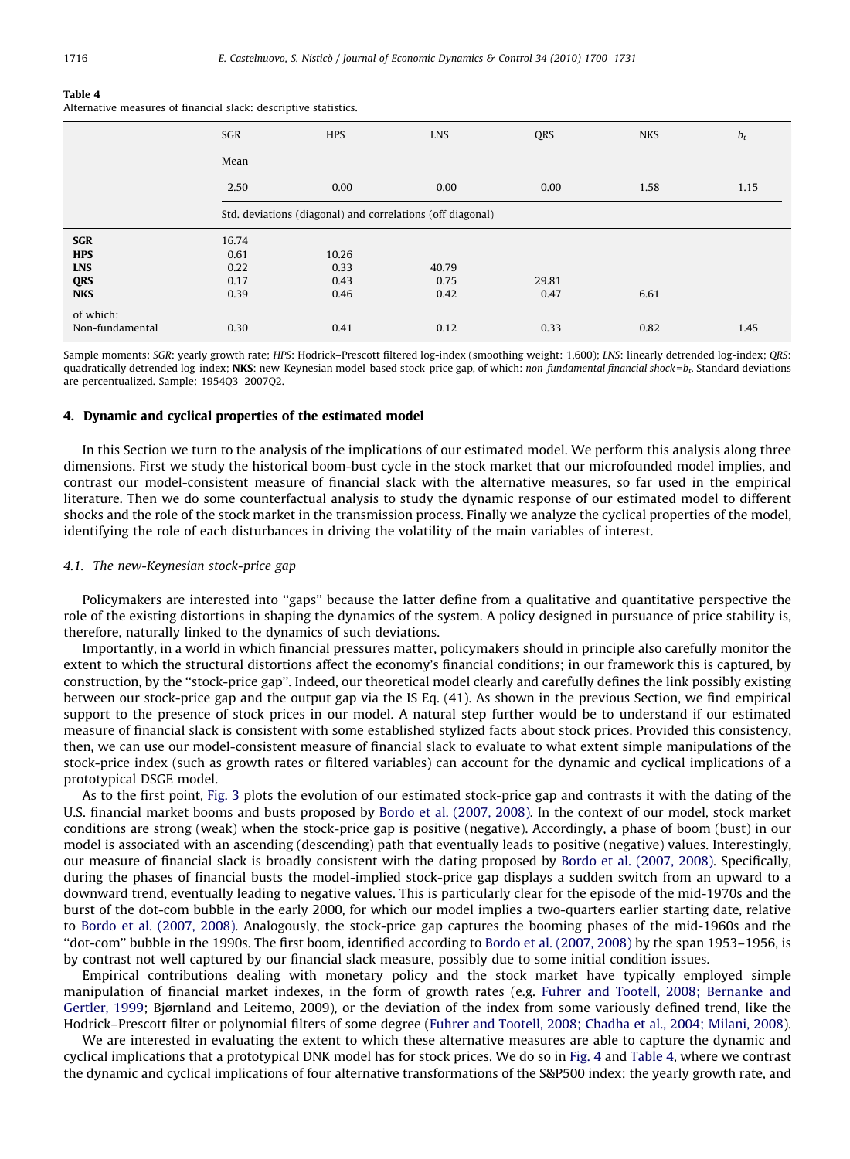#### <span id="page-16-0"></span>Table 4

Alternative measures of financial slack: descriptive statistics.

|                 | SGR   | <b>HPS</b>                                                 | <b>LNS</b> | QRS   | <b>NKS</b> | $b_t$ |
|-----------------|-------|------------------------------------------------------------|------------|-------|------------|-------|
|                 | Mean  |                                                            |            |       |            |       |
|                 | 2.50  | 0.00                                                       | 0.00       | 0.00  | 1.58       | 1.15  |
|                 |       | Std. deviations (diagonal) and correlations (off diagonal) |            |       |            |       |
| <b>SGR</b>      | 16.74 |                                                            |            |       |            |       |
| <b>HPS</b>      | 0.61  | 10.26                                                      |            |       |            |       |
| <b>LNS</b>      | 0.22  | 0.33                                                       | 40.79      |       |            |       |
| <b>QRS</b>      | 0.17  | 0.43                                                       | 0.75       | 29.81 |            |       |
| <b>NKS</b>      | 0.39  | 0.46                                                       | 0.42       | 0.47  | 6.61       |       |
| of which:       |       |                                                            |            |       |            |       |
| Non-fundamental | 0.30  | 0.41                                                       | 0.12       | 0.33  | 0.82       | 1.45  |

Sample moments: SGR: yearly growth rate; HPS: Hodrick–Prescott filtered log-index (smoothing weight: 1,600); LNS: linearly detrended log-index; QRS: quadratically detrended log-index; NKS: new-Keynesian model-based stock-price gap, of which: non-fundamental financial shock=b<sub>t</sub>. Standard deviations are percentualized. Sample: 1954Q3–2007Q2.

## 4. Dynamic and cyclical properties of the estimated model

In this Section we turn to the analysis of the implications of our estimated model. We perform this analysis along three dimensions. First we study the historical boom-bust cycle in the stock market that our microfounded model implies, and contrast our model-consistent measure of financial slack with the alternative measures, so far used in the empirical literature. Then we do some counterfactual analysis to study the dynamic response of our estimated model to different shocks and the role of the stock market in the transmission process. Finally we analyze the cyclical properties of the model, identifying the role of each disturbances in driving the volatility of the main variables of interest.

# 4.1. The new-Keynesian stock-price gap

Policymakers are interested into ''gaps'' because the latter define from a qualitative and quantitative perspective the role of the existing distortions in shaping the dynamics of the system. A policy designed in pursuance of price stability is, therefore, naturally linked to the dynamics of such deviations.

Importantly, in a world in which financial pressures matter, policymakers should in principle also carefully monitor the extent to which the structural distortions affect the economy's financial conditions; in our framework this is captured, by construction, by the ''stock-price gap''. Indeed, our theoretical model clearly and carefully defines the link possibly existing between our stock-price gap and the output gap via the IS Eq. (41). As shown in the previous Section, we find empirical support to the presence of stock prices in our model. A natural step further would be to understand if our estimated measure of financial slack is consistent with some established stylized facts about stock prices. Provided this consistency, then, we can use our model-consistent measure of financial slack to evaluate to what extent simple manipulations of the stock-price index (such as growth rates or filtered variables) can account for the dynamic and cyclical implications of a prototypical DSGE model.

As to the first point, [Fig. 3](#page-17-0) plots the evolution of our estimated stock-price gap and contrasts it with the dating of the U.S. financial market booms and busts proposed by [Bordo et al. \(2007, 2008\).](#page-29-0) In the context of our model, stock market conditions are strong (weak) when the stock-price gap is positive (negative). Accordingly, a phase of boom (bust) in our model is associated with an ascending (descending) path that eventually leads to positive (negative) values. Interestingly, our measure of financial slack is broadly consistent with the dating proposed by [Bordo et al. \(2007, 2008\)](#page-29-0). Specifically, during the phases of financial busts the model-implied stock-price gap displays a sudden switch from an upward to a downward trend, eventually leading to negative values. This is particularly clear for the episode of the mid-1970s and the burst of the dot-com bubble in the early 2000, for which our model implies a two-quarters earlier starting date, relative to [Bordo et al. \(2007, 2008\).](#page-29-0) Analogously, the stock-price gap captures the booming phases of the mid-1960s and the ''dot-com'' bubble in the 1990s. The first boom, identified according to [Bordo et al. \(2007, 2008\)](#page-29-0) by the span 1953–1956, is by contrast not well captured by our financial slack measure, possibly due to some initial condition issues.

Empirical contributions dealing with monetary policy and the stock market have typically employed simple manipulation of financial market indexes, in the form of growth rates (e.g. [Fuhrer and Tootell, 2008; Bernanke and](#page-30-0) [Gertler, 1999](#page-30-0); Bjørnland and Leitemo, 2009), or the deviation of the index from some variously defined trend, like the Hodrick–Prescott filter or polynomial filters of some degree [\(Fuhrer and Tootell, 2008; Chadha et al., 2004; Milani, 2008](#page-30-0)).

We are interested in evaluating the extent to which these alternative measures are able to capture the dynamic and cyclical implications that a prototypical DNK model has for stock prices. We do so in [Fig. 4](#page-17-0) and Table 4, where we contrast the dynamic and cyclical implications of four alternative transformations of the S&P500 index: the yearly growth rate, and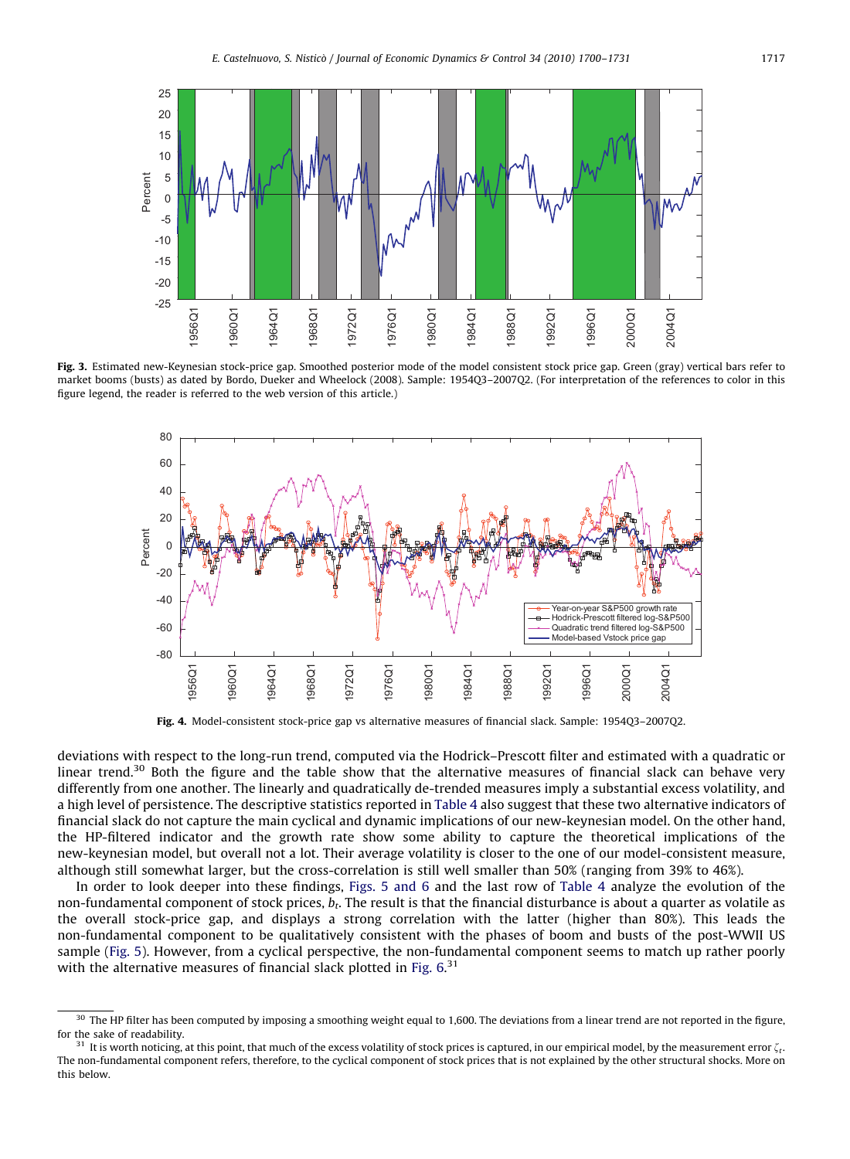<span id="page-17-0"></span>

Fig. 3. Estimated new-Keynesian stock-price gap. Smoothed posterior mode of the model consistent stock price gap. Green (gray) vertical bars refer to market booms (busts) as dated by Bordo, Dueker and Wheelock (2008). Sample: 1954Q3–2007Q2. (For interpretation of the references to color in this figure legend, the reader is referred to the web version of this article.)



Fig. 4. Model-consistent stock-price gap vs alternative measures of financial slack. Sample: 1954Q3–2007Q2.

deviations with respect to the long-run trend, computed via the Hodrick–Prescott filter and estimated with a quadratic or linear trend.<sup>30</sup> Both the figure and the table show that the alternative measures of financial slack can behave very differently from one another. The linearly and quadratically de-trended measures imply a substantial excess volatility, and a high level of persistence. The descriptive statistics reported in [Table 4](#page-16-0) also suggest that these two alternative indicators of financial slack do not capture the main cyclical and dynamic implications of our new-keynesian model. On the other hand, the HP-filtered indicator and the growth rate show some ability to capture the theoretical implications of the new-keynesian model, but overall not a lot. Their average volatility is closer to the one of our model-consistent measure, although still somewhat larger, but the cross-correlation is still well smaller than 50% (ranging from 39% to 46%).

In order to look deeper into these findings, [Figs. 5 and 6](#page-18-0) and the last row of [Table 4](#page-16-0) analyze the evolution of the non-fundamental component of stock prices,  $b<sub>t</sub>$ . The result is that the financial disturbance is about a quarter as volatile as the overall stock-price gap, and displays a strong correlation with the latter (higher than 80%). This leads the non-fundamental component to be qualitatively consistent with the phases of boom and busts of the post-WWII US sample [\(Fig. 5\)](#page-18-0). However, from a cyclical perspective, the non-fundamental component seems to match up rather poorly with the alternative measures of financial slack plotted in Fig.  $6^{31}$ 

 $30$  The HP filter has been computed by imposing a smoothing weight equal to 1,600. The deviations from a linear trend are not reported in the figure, for the sake of readability.

<sup>&</sup>lt;sup>31</sup> It is worth noticing, at this point, that much of the excess volatility of stock prices is captured, in our empirical model, by the measurement error  $\zeta_t$ . The non-fundamental component refers, therefore, to the cyclical component of stock prices that is not explained by the other structural shocks. More on this below.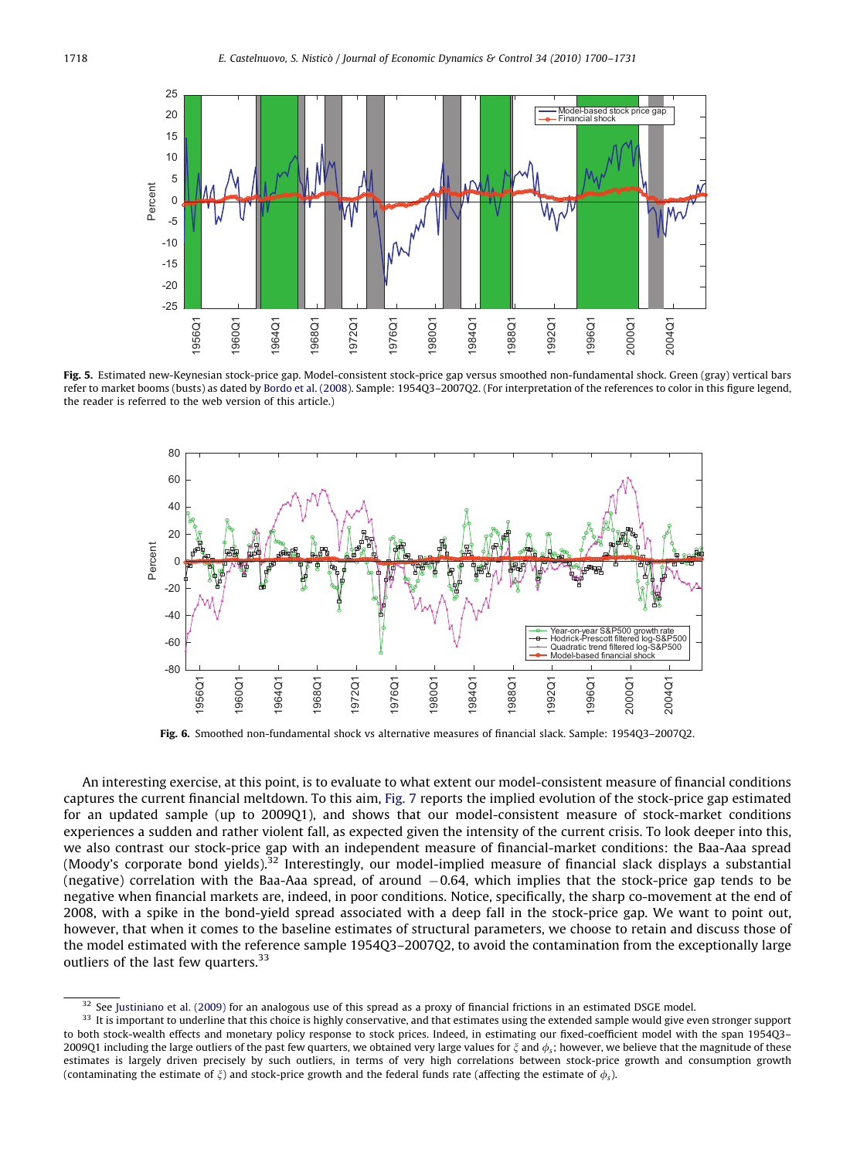<span id="page-18-0"></span>

Fig. 5. Estimated new-Keynesian stock-price gap. Model-consistent stock-price gap versus smoothed non-fundamental shock. Green (gray) vertical bars refer to market booms (busts) as dated by [Bordo et al. \(2008\)](#page-29-0). Sample: 1954Q3–2007Q2. (For interpretation of the references to color in this figure legend, the reader is referred to the web version of this article.)



Fig. 6. Smoothed non-fundamental shock vs alternative measures of financial slack. Sample: 1954Q3–2007Q2.

An interesting exercise, at this point, is to evaluate to what extent our model-consistent measure of financial conditions captures the current financial meltdown. To this aim, [Fig. 7](#page-19-0) reports the implied evolution of the stock-price gap estimated for an updated sample (up to 2009Q1), and shows that our model-consistent measure of stock-market conditions experiences a sudden and rather violent fall, as expected given the intensity of the current crisis. To look deeper into this, we also contrast our stock-price gap with an independent measure of financial-market conditions: the Baa-Aaa spread (Moody's corporate bond yields).<sup>32</sup> Interestingly, our model-implied measure of financial slack displays a substantial (negative) correlation with the Baa-Aaa spread, of around  $-0.64$ , which implies that the stock-price gap tends to be negative when financial markets are, indeed, in poor conditions. Notice, specifically, the sharp co-movement at the end of 2008, with a spike in the bond-yield spread associated with a deep fall in the stock-price gap. We want to point out, however, that when it comes to the baseline estimates of structural parameters, we choose to retain and discuss those of the model estimated with the reference sample 1954Q3–2007Q2, to avoid the contamination from the exceptionally large outliers of the last few quarters.<sup>33</sup>

 $32$  See [Justiniano et al. \(2009\)](#page-30-0) for an analogous use of this spread as a proxy of financial frictions in an estimated DSGE model.

<sup>&</sup>lt;sup>33</sup> It is important to underline that this choice is highly conservative, and that estimates using the extended sample would give even stronger support to both stock-wealth effects and monetary policy response to stock prices. Indeed, in estimating our fixed-coefficient model with the span 1954Q3– 2009Q1 including the large outliers of the past few quarters, we obtained very large values for  $\zeta$  and  $\phi_{\zeta}$ ; however, we believe that the magnitude of these estimates is largely driven precisely by such outliers, in terms of very high correlations between stock-price growth and consumption growth (contaminating the estimate of  $\xi$ ) and stock-price growth and the federal funds rate (affecting the estimate of  $\phi_s$ ).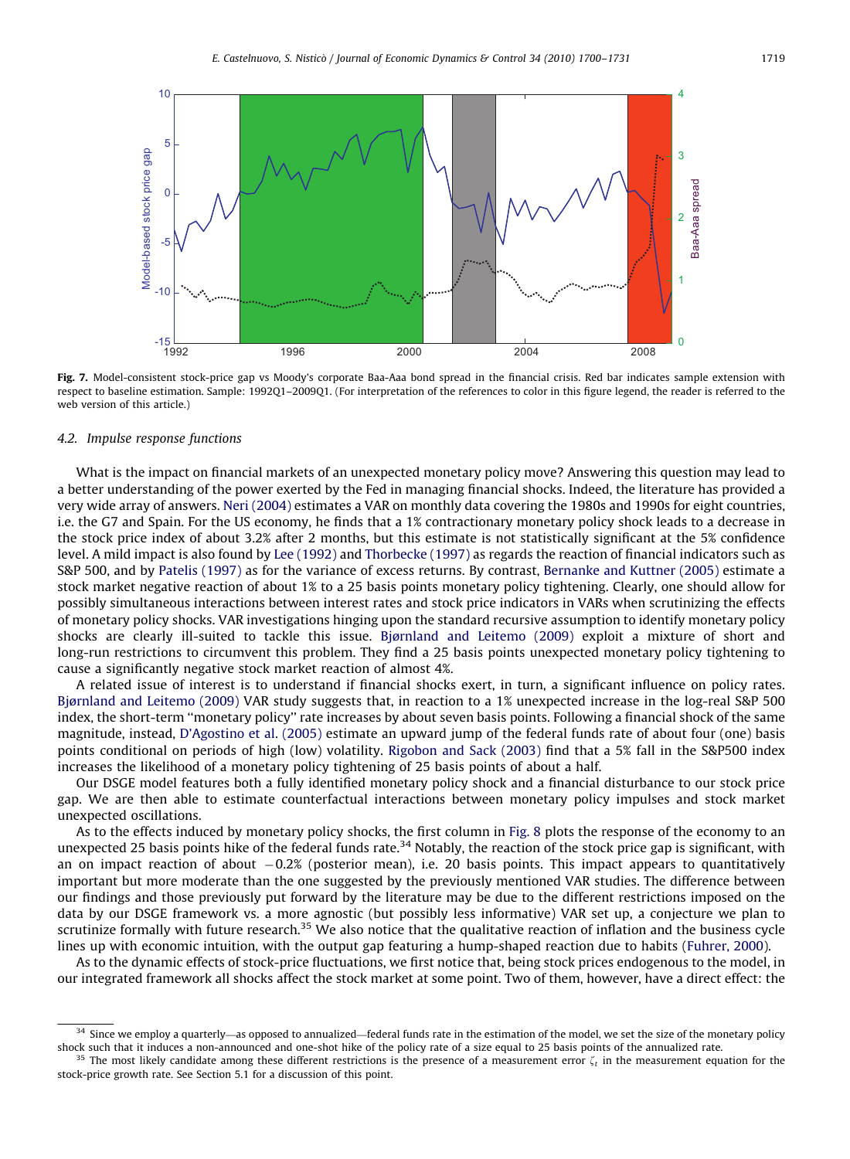<span id="page-19-0"></span>

Fig. 7. Model-consistent stock-price gap vs Moody's corporate Baa-Aaa bond spread in the financial crisis. Red bar indicates sample extension with respect to baseline estimation. Sample: 1992Q1–2009Q1. (For interpretation of the references to color in this figure legend, the reader is referred to the web version of this article.)

### 4.2. Impulse response functions

What is the impact on financial markets of an unexpected monetary policy move? Answering this question may lead to a better understanding of the power exerted by the Fed in managing financial shocks. Indeed, the literature has provided a very wide array of answers. [Neri \(2004\)](#page-30-0) estimates a VAR on monthly data covering the 1980s and 1990s for eight countries, i.e. the G7 and Spain. For the US economy, he finds that a 1% contractionary monetary policy shock leads to a decrease in the stock price index of about 3.2% after 2 months, but this estimate is not statistically significant at the 5% confidence level. A mild impact is also found by [Lee \(1992\)](#page-30-0) and [Thorbecke \(1997\)](#page-31-0) as regards the reaction of financial indicators such as S&P 500, and by [Patelis \(1997\)](#page-30-0) as for the variance of excess returns. By contrast, [Bernanke and Kuttner \(2005\)](#page-29-0) estimate a stock market negative reaction of about 1% to a 25 basis points monetary policy tightening. Clearly, one should allow for possibly simultaneous interactions between interest rates and stock price indicators in VARs when scrutinizing the effects of monetary policy shocks. VAR investigations hinging upon the standard recursive assumption to identify monetary policy shocks are clearly ill-suited to tackle this issue. [Bjørnland and Leitemo \(2009\)](#page-29-0) exploit a mixture of short and long-run restrictions to circumvent this problem. They find a 25 basis points unexpected monetary policy tightening to cause a significantly negative stock market reaction of almost 4%.

A related issue of interest is to understand if financial shocks exert, in turn, a significant influence on policy rates. [Bjørnland and Leitemo \(2009\)](#page-29-0) VAR study suggests that, in reaction to a 1% unexpected increase in the log-real S&P 500 index, the short-term ''monetary policy'' rate increases by about seven basis points. Following a financial shock of the same magnitude, instead, [D'Agostino et al. \(2005\)](#page-30-0) estimate an upward jump of the federal funds rate of about four (one) basis points conditional on periods of high (low) volatility. [Rigobon and Sack \(2003\)](#page-30-0) find that a 5% fall in the S&P500 index increases the likelihood of a monetary policy tightening of 25 basis points of about a half.

Our DSGE model features both a fully identified monetary policy shock and a financial disturbance to our stock price gap. We are then able to estimate counterfactual interactions between monetary policy impulses and stock market unexpected oscillations.

As to the effects induced by monetary policy shocks, the first column in [Fig. 8](#page-20-0) plots the response of the economy to an unexpected 25 basis points hike of the federal funds rate.<sup>34</sup> Notably, the reaction of the stock price gap is significant, with an on impact reaction of about  $-0.2$ % (posterior mean), i.e. 20 basis points. This impact appears to quantitatively important but more moderate than the one suggested by the previously mentioned VAR studies. The difference between our findings and those previously put forward by the literature may be due to the different restrictions imposed on the data by our DSGE framework vs. a more agnostic (but possibly less informative) VAR set up, a conjecture we plan to scrutinize formally with future research.<sup>35</sup> We also notice that the qualitative reaction of inflation and the business cycle lines up with economic intuition, with the output gap featuring a hump-shaped reaction due to habits [\(Fuhrer, 2000](#page-30-0)).

As to the dynamic effects of stock-price fluctuations, we first notice that, being stock prices endogenous to the model, in our integrated framework all shocks affect the stock market at some point. Two of them, however, have a direct effect: the

 $34$  Since we employ a quarterly—as opposed to annualized—federal funds rate in the estimation of the model, we set the size of the monetary policy shock such that it induces a non-announced and one-shot hike of the policy rate of a size equal to 25 basis points of the annualized rate.

<sup>&</sup>lt;sup>35</sup> The most likely candidate among these different restrictions is the presence of a measurement error  $\zeta_t$  in the measurement equation for the stock-price growth rate. See Section 5.1 for a discussion of this point.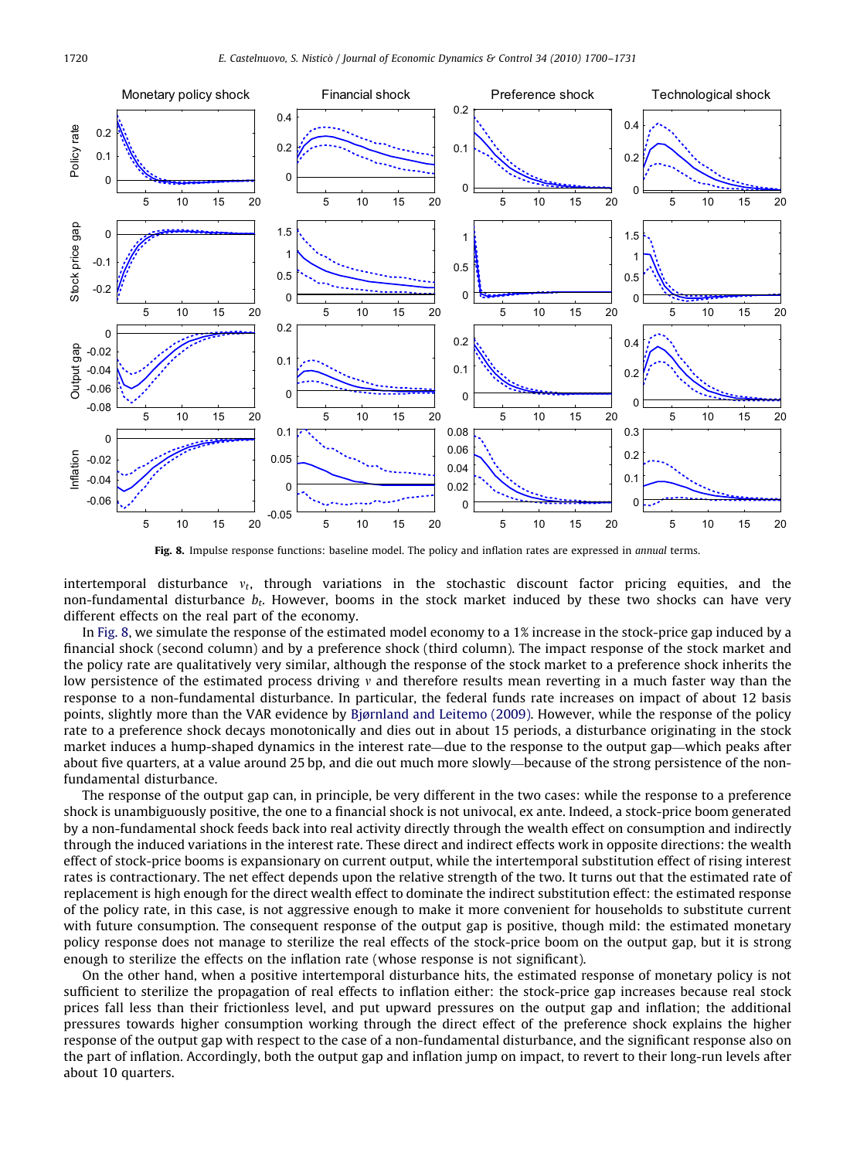<span id="page-20-0"></span>

Fig. 8. Impulse response functions: baseline model. The policy and inflation rates are expressed in *annual* terms.

intertemporal disturbance  $v_t$ , through variations in the stochastic discount factor pricing equities, and the non-fundamental disturbance  $b_t$ . However, booms in the stock market induced by these two shocks can have very different effects on the real part of the economy.

In Fig. 8, we simulate the response of the estimated model economy to a 1% increase in the stock-price gap induced by a financial shock (second column) and by a preference shock (third column). The impact response of the stock market and the policy rate are qualitatively very similar, although the response of the stock market to a preference shock inherits the low persistence of the estimated process driving  $\nu$  and therefore results mean reverting in a much faster way than the response to a non-fundamental disturbance. In particular, the federal funds rate increases on impact of about 12 basis points, slightly more than the VAR evidence by [Bjørnland and Leitemo \(2009\).](#page-29-0) However, while the response of the policy rate to a preference shock decays monotonically and dies out in about 15 periods, a disturbance originating in the stock market induces a hump-shaped dynamics in the interest rate—due to the response to the output gap—which peaks after about five quarters, at a value around 25 bp, and die out much more slowly—because of the strong persistence of the nonfundamental disturbance.

The response of the output gap can, in principle, be very different in the two cases: while the response to a preference shock is unambiguously positive, the one to a financial shock is not univocal, ex ante. Indeed, a stock-price boom generated by a non-fundamental shock feeds back into real activity directly through the wealth effect on consumption and indirectly through the induced variations in the interest rate. These direct and indirect effects work in opposite directions: the wealth effect of stock-price booms is expansionary on current output, while the intertemporal substitution effect of rising interest rates is contractionary. The net effect depends upon the relative strength of the two. It turns out that the estimated rate of replacement is high enough for the direct wealth effect to dominate the indirect substitution effect: the estimated response of the policy rate, in this case, is not aggressive enough to make it more convenient for households to substitute current with future consumption. The consequent response of the output gap is positive, though mild: the estimated monetary policy response does not manage to sterilize the real effects of the stock-price boom on the output gap, but it is strong enough to sterilize the effects on the inflation rate (whose response is not significant).

On the other hand, when a positive intertemporal disturbance hits, the estimated response of monetary policy is not sufficient to sterilize the propagation of real effects to inflation either: the stock-price gap increases because real stock prices fall less than their frictionless level, and put upward pressures on the output gap and inflation; the additional pressures towards higher consumption working through the direct effect of the preference shock explains the higher response of the output gap with respect to the case of a non-fundamental disturbance, and the significant response also on the part of inflation. Accordingly, both the output gap and inflation jump on impact, to revert to their long-run levels after about 10 quarters.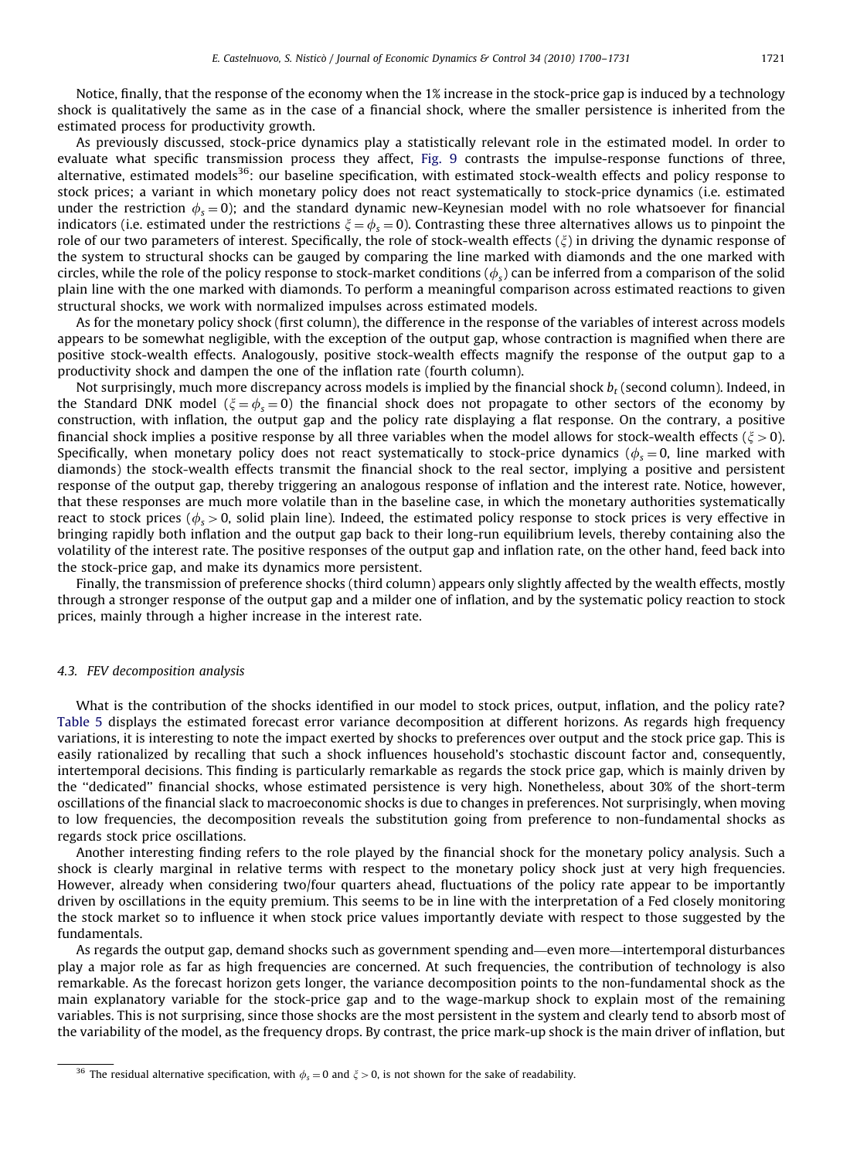Notice, finally, that the response of the economy when the 1% increase in the stock-price gap is induced by a technology shock is qualitatively the same as in the case of a financial shock, where the smaller persistence is inherited from the estimated process for productivity growth.

As previously discussed, stock-price dynamics play a statistically relevant role in the estimated model. In order to evaluate what specific transmission process they affect, [Fig. 9](#page-22-0) contrasts the impulse-response functions of three, alternative, estimated models $36$ : our baseline specification, with estimated stock-wealth effects and policy response to stock prices; a variant in which monetary policy does not react systematically to stock-price dynamics (i.e. estimated under the restriction  $\phi_s = 0$ ); and the standard dynamic new-Keynesian model with no role whatsoever for financial indicators (i.e. estimated under the restrictions  $\xi = \phi_s = 0$ ). Contrasting these three alternatives allows us to pinpoint the role of our two parameters of interest. Specifically, the role of stock-wealth effects  $(\xi)$  in driving the dynamic response of the system to structural shocks can be gauged by comparing the line marked with diamonds and the one marked with circles, while the role of the policy response to stock-market conditions ( $\phi$ ) can be inferred from a comparison of the solid plain line with the one marked with diamonds. To perform a meaningful comparison across estimated reactions to given structural shocks, we work with normalized impulses across estimated models.

As for the monetary policy shock (first column), the difference in the response of the variables of interest across models appears to be somewhat negligible, with the exception of the output gap, whose contraction is magnified when there are positive stock-wealth effects. Analogously, positive stock-wealth effects magnify the response of the output gap to a productivity shock and dampen the one of the inflation rate (fourth column).

Not surprisingly, much more discrepancy across models is implied by the financial shock  $b_t$  (second column). Indeed, in the Standard DNK model ( $\xi = \phi_s = 0$ ) the financial shock does not propagate to other sectors of the economy by construction, with inflation, the output gap and the policy rate displaying a flat response. On the contrary, a positive financial shock implies a positive response by all three variables when the model allows for stock-wealth effects ( $\xi>0$ ). Specifically, when monetary policy does not react systematically to stock-price dynamics ( $\phi_s = 0$ , line marked with diamonds) the stock-wealth effects transmit the financial shock to the real sector, implying a positive and persistent response of the output gap, thereby triggering an analogous response of inflation and the interest rate. Notice, however, that these responses are much more volatile than in the baseline case, in which the monetary authorities systematically react to stock prices ( $\phi_s > 0$ , solid plain line). Indeed, the estimated policy response to stock prices is very effective in bringing rapidly both inflation and the output gap back to their long-run equilibrium levels, thereby containing also the volatility of the interest rate. The positive responses of the output gap and inflation rate, on the other hand, feed back into the stock-price gap, and make its dynamics more persistent.

Finally, the transmission of preference shocks (third column) appears only slightly affected by the wealth effects, mostly through a stronger response of the output gap and a milder one of inflation, and by the systematic policy reaction to stock prices, mainly through a higher increase in the interest rate.

# 4.3. FEV decomposition analysis

What is the contribution of the shocks identified in our model to stock prices, output, inflation, and the policy rate? [Table 5](#page-22-0) displays the estimated forecast error variance decomposition at different horizons. As regards high frequency variations, it is interesting to note the impact exerted by shocks to preferences over output and the stock price gap. This is easily rationalized by recalling that such a shock influences household's stochastic discount factor and, consequently, intertemporal decisions. This finding is particularly remarkable as regards the stock price gap, which is mainly driven by the ''dedicated'' financial shocks, whose estimated persistence is very high. Nonetheless, about 30% of the short-term oscillations of the financial slack to macroeconomic shocks is due to changes in preferences. Not surprisingly, when moving to low frequencies, the decomposition reveals the substitution going from preference to non-fundamental shocks as regards stock price oscillations.

Another interesting finding refers to the role played by the financial shock for the monetary policy analysis. Such a shock is clearly marginal in relative terms with respect to the monetary policy shock just at very high frequencies. However, already when considering two/four quarters ahead, fluctuations of the policy rate appear to be importantly driven by oscillations in the equity premium. This seems to be in line with the interpretation of a Fed closely monitoring the stock market so to influence it when stock price values importantly deviate with respect to those suggested by the fundamentals.

As regards the output gap, demand shocks such as government spending and—even more—intertemporal disturbances play a major role as far as high frequencies are concerned. At such frequencies, the contribution of technology is also remarkable. As the forecast horizon gets longer, the variance decomposition points to the non-fundamental shock as the main explanatory variable for the stock-price gap and to the wage-markup shock to explain most of the remaining variables. This is not surprising, since those shocks are the most persistent in the system and clearly tend to absorb most of the variability of the model, as the frequency drops. By contrast, the price mark-up shock is the main driver of inflation, but

<sup>&</sup>lt;sup>36</sup> The residual alternative specification, with  $\phi_s = 0$  and  $\xi > 0$ , is not shown for the sake of readability.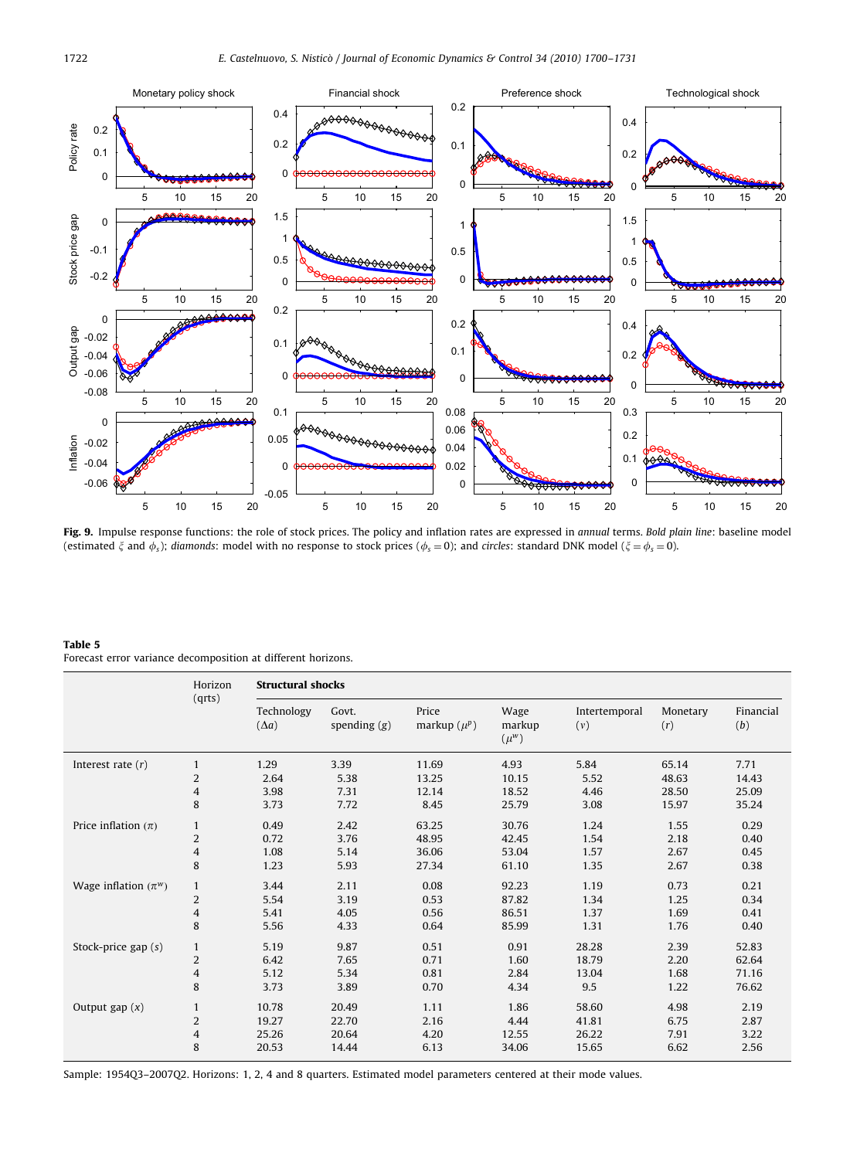<span id="page-22-0"></span>

Fig. 9. Impulse response functions: the role of stock prices. The policy and inflation rates are expressed in annual terms. Bold plain line: baseline model (estimated  $\xi$  and  $\phi_s$ ); diamonds: model with no response to stock prices ( $\phi_s = 0$ ); and circles: standard DNK model ( $\xi = \phi_s = 0$ ).

| Table 5 |                                                              |  |
|---------|--------------------------------------------------------------|--|
|         | Forecast error variance decomposition at different horizons. |  |

|                          | Horizon<br>(qrts) | <b>Structural shocks</b>   |                         |                           |                             |                      |                 |                  |
|--------------------------|-------------------|----------------------------|-------------------------|---------------------------|-----------------------------|----------------------|-----------------|------------------|
|                          |                   | Technology<br>$(\Delta a)$ | Govt.<br>spending $(g)$ | Price<br>markup $(\mu^p)$ | Wage<br>markup<br>$(\mu^w)$ | Intertemporal<br>(v) | Monetary<br>(r) | Financial<br>(b) |
| Interest rate $(r)$      | $\mathbf{1}$      | 1.29                       | 3.39                    | 11.69                     | 4.93                        | 5.84                 | 65.14           | 7.71             |
|                          | $\overline{2}$    | 2.64                       | 5.38                    | 13.25                     | 10.15                       | 5.52                 | 48.63           | 14.43            |
|                          | $\overline{4}$    | 3.98                       | 7.31                    | 12.14                     | 18.52                       | 4.46                 | 28.50           | 25.09            |
|                          | 8                 | 3.73                       | 7.72                    | 8.45                      | 25.79                       | 3.08                 | 15.97           | 35.24            |
| Price inflation $(\pi)$  | $\mathbf{1}$      | 0.49                       | 2.42                    | 63.25                     | 30.76                       | 1.24                 | 1.55            | 0.29             |
|                          | $\overline{2}$    | 0.72                       | 3.76                    | 48.95                     | 42.45                       | 1.54                 | 2.18            | 0.40             |
|                          | $\overline{4}$    | 1.08                       | 5.14                    | 36.06                     | 53.04                       | 1.57                 | 2.67            | 0.45             |
|                          | 8                 | 1.23                       | 5.93                    | 27.34                     | 61.10                       | 1.35                 | 2.67            | 0.38             |
| Wage inflation $(\pi^w)$ | $\mathbf{1}$      | 3.44                       | 2.11                    | 0.08                      | 92.23                       | 1.19                 | 0.73            | 0.21             |
|                          | $\overline{2}$    | 5.54                       | 3.19                    | 0.53                      | 87.82                       | 1.34                 | 1.25            | 0.34             |
|                          | $\overline{4}$    | 5.41                       | 4.05                    | 0.56                      | 86.51                       | 1.37                 | 1.69            | 0.41             |
|                          | 8                 | 5.56                       | 4.33                    | 0.64                      | 85.99                       | 1.31                 | 1.76            | 0.40             |
| Stock-price gap $(s)$    | $\mathbf{1}$      | 5.19                       | 9.87                    | 0.51                      | 0.91                        | 28.28                | 2.39            | 52.83            |
|                          | $\overline{2}$    | 6.42                       | 7.65                    | 0.71                      | 1.60                        | 18.79                | 2.20            | 62.64            |
|                          | $\overline{4}$    | 5.12                       | 5.34                    | 0.81                      | 2.84                        | 13.04                | 1.68            | 71.16            |
|                          | 8                 | 3.73                       | 3.89                    | 0.70                      | 4.34                        | 9.5                  | 1.22            | 76.62            |
| Output gap $(x)$         | $\mathbf{1}$      | 10.78                      | 20.49                   | 1.11                      | 1.86                        | 58.60                | 4.98            | 2.19             |
|                          | $\overline{2}$    | 19.27                      | 22.70                   | 2.16                      | 4.44                        | 41.81                | 6.75            | 2.87             |
|                          | $\overline{4}$    | 25.26                      | 20.64                   | 4.20                      | 12.55                       | 26.22                | 7.91            | 3.22             |
|                          | 8                 | 20.53                      | 14.44                   | 6.13                      | 34.06                       | 15.65                | 6.62            | 2.56             |

Sample: 1954Q3–2007Q2. Horizons: 1, 2, 4 and 8 quarters. Estimated model parameters centered at their mode values.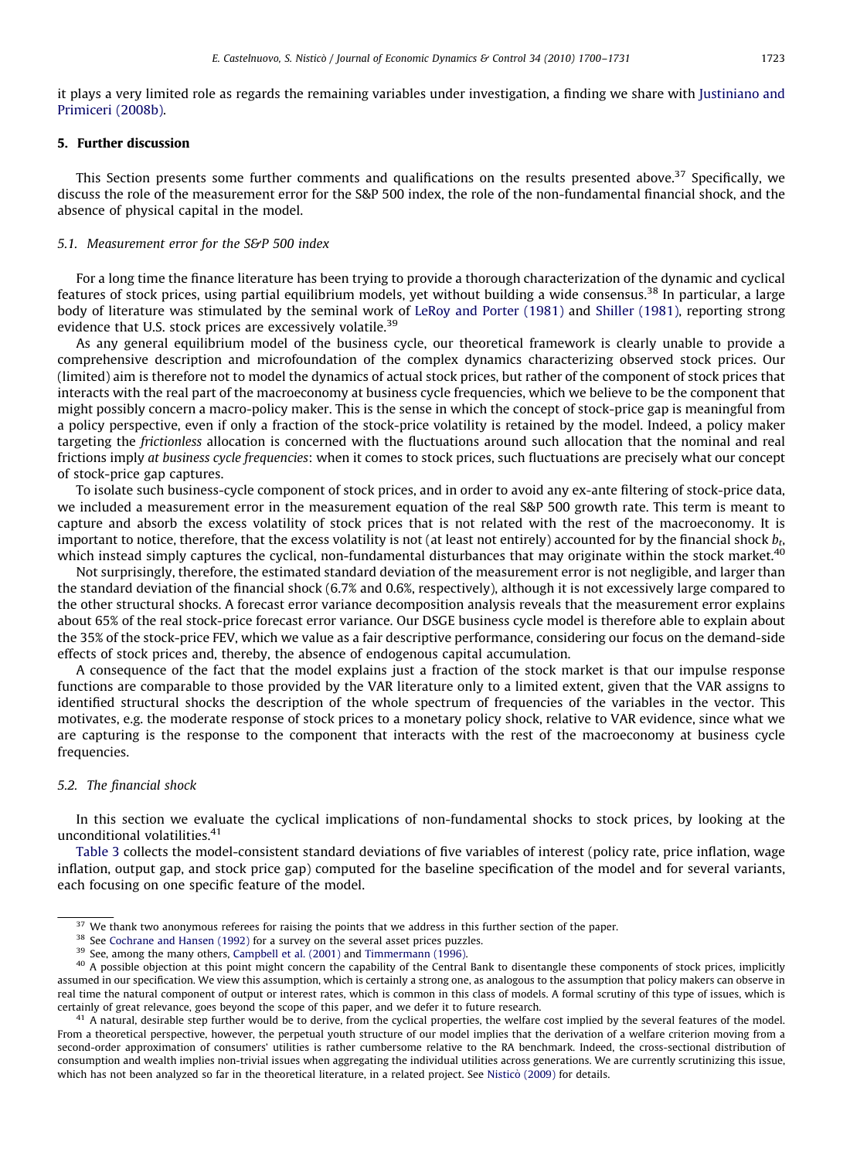it plays a very limited role as regards the remaining variables under investigation, a finding we share with [Justiniano and](#page-30-0) [Primiceri \(2008b\).](#page-30-0)

# 5. Further discussion

This Section presents some further comments and qualifications on the results presented above.<sup>37</sup> Specifically, we discuss the role of the measurement error for the S&P 500 index, the role of the non-fundamental financial shock, and the absence of physical capital in the model.

# 5.1. Measurement error for the S&P 500 index

For a long time the finance literature has been trying to provide a thorough characterization of the dynamic and cyclical features of stock prices, using partial equilibrium models, yet without building a wide consensus.<sup>38</sup> In particular, a large body of literature was stimulated by the seminal work of [LeRoy and Porter \(1981\)](#page-30-0) and [Shiller \(1981\),](#page-30-0) reporting strong evidence that U.S. stock prices are excessively volatile.<sup>39</sup>

As any general equilibrium model of the business cycle, our theoretical framework is clearly unable to provide a comprehensive description and microfoundation of the complex dynamics characterizing observed stock prices. Our (limited) aim is therefore not to model the dynamics of actual stock prices, but rather of the component of stock prices that interacts with the real part of the macroeconomy at business cycle frequencies, which we believe to be the component that might possibly concern a macro-policy maker. This is the sense in which the concept of stock-price gap is meaningful from a policy perspective, even if only a fraction of the stock-price volatility is retained by the model. Indeed, a policy maker targeting the frictionless allocation is concerned with the fluctuations around such allocation that the nominal and real frictions imply at business cycle frequencies: when it comes to stock prices, such fluctuations are precisely what our concept of stock-price gap captures.

To isolate such business-cycle component of stock prices, and in order to avoid any ex-ante filtering of stock-price data, we included a measurement error in the measurement equation of the real S&P 500 growth rate. This term is meant to capture and absorb the excess volatility of stock prices that is not related with the rest of the macroeconomy. It is important to notice, therefore, that the excess volatility is not (at least not entirely) accounted for by the financial shock  $b_t$ , which instead simply captures the cyclical, non-fundamental disturbances that may originate within the stock market.<sup>40</sup>

Not surprisingly, therefore, the estimated standard deviation of the measurement error is not negligible, and larger than the standard deviation of the financial shock (6.7% and 0.6%, respectively), although it is not excessively large compared to the other structural shocks. A forecast error variance decomposition analysis reveals that the measurement error explains about 65% of the real stock-price forecast error variance. Our DSGE business cycle model is therefore able to explain about the 35% of the stock-price FEV, which we value as a fair descriptive performance, considering our focus on the demand-side effects of stock prices and, thereby, the absence of endogenous capital accumulation.

A consequence of the fact that the model explains just a fraction of the stock market is that our impulse response functions are comparable to those provided by the VAR literature only to a limited extent, given that the VAR assigns to identified structural shocks the description of the whole spectrum of frequencies of the variables in the vector. This motivates, e.g. the moderate response of stock prices to a monetary policy shock, relative to VAR evidence, since what we are capturing is the response to the component that interacts with the rest of the macroeconomy at business cycle frequencies.

## 5.2. The financial shock

In this section we evaluate the cyclical implications of non-fundamental shocks to stock prices, by looking at the unconditional volatilities.41

[Table 3](#page-15-0) collects the model-consistent standard deviations of five variables of interest (policy rate, price inflation, wage inflation, output gap, and stock price gap) computed for the baseline specification of the model and for several variants, each focusing on one specific feature of the model.

<sup>&</sup>lt;sup>37</sup> We thank two anonymous referees for raising the points that we address in this further section of the paper.

<sup>&</sup>lt;sup>38</sup> See [Cochrane and Hansen \(1992\)](#page-30-0) for a survey on the several asset prices puzzles.

<sup>&</sup>lt;sup>39</sup> See, among the many others, [Campbell et al. \(2001\)](#page-30-0) and [Timmermann \(1996\)](#page-31-0).

 $40$  A possible objection at this point might concern the capability of the Central Bank to disentangle these components of stock prices, implicitly assumed in our specification. We view this assumption, which is certainly a strong one, as analogous to the assumption that policy makers can observe in real time the natural component of output or interest rates, which is common in this class of models. A formal scrutiny of this type of issues, which is certainly of great relevance, goes beyond the scope of this paper, and we defer it to future research.

<sup>41</sup> A natural, desirable step further would be to derive, from the cyclical properties, the welfare cost implied by the several features of the model. From a theoretical perspective, however, the perpetual youth structure of our model implies that the derivation of a welfare criterion moving from a second-order approximation of consumers' utilities is rather cumbersome relative to the RA benchmark. Indeed, the cross-sectional distribution of consumption and wealth implies non-trivial issues when aggregating the individual utilities across generations. We are currently scrutinizing this issue, which has not been analyzed so far in the theoretical literature, in a related project. See Nisticò (2009) for details.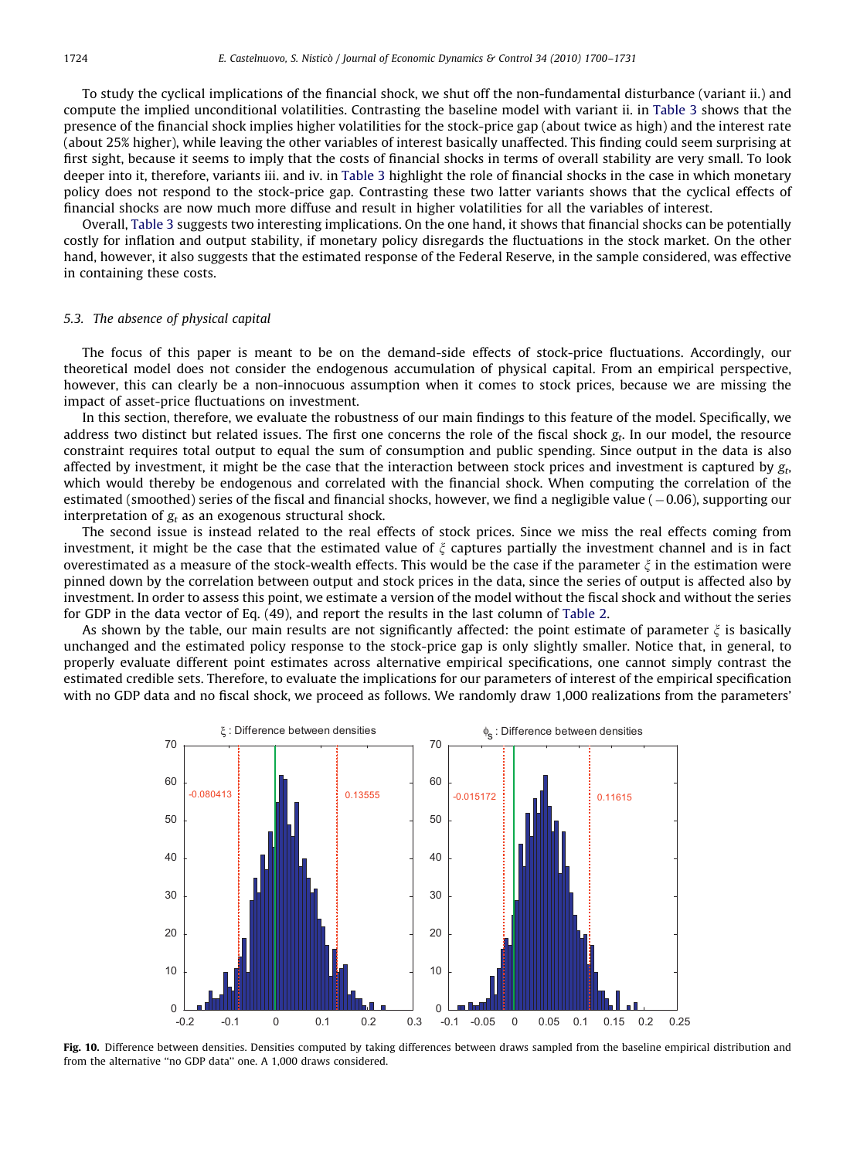<span id="page-24-0"></span>To study the cyclical implications of the financial shock, we shut off the non-fundamental disturbance (variant ii.) and compute the implied unconditional volatilities. Contrasting the baseline model with variant ii. in [Table 3](#page-15-0) shows that the presence of the financial shock implies higher volatilities for the stock-price gap (about twice as high) and the interest rate (about 25% higher), while leaving the other variables of interest basically unaffected. This finding could seem surprising at first sight, because it seems to imply that the costs of financial shocks in terms of overall stability are very small. To look deeper into it, therefore, variants iii. and iv. in [Table 3](#page-15-0) highlight the role of financial shocks in the case in which monetary policy does not respond to the stock-price gap. Contrasting these two latter variants shows that the cyclical effects of financial shocks are now much more diffuse and result in higher volatilities for all the variables of interest.

Overall, [Table 3](#page-15-0) suggests two interesting implications. On the one hand, it shows that financial shocks can be potentially costly for inflation and output stability, if monetary policy disregards the fluctuations in the stock market. On the other hand, however, it also suggests that the estimated response of the Federal Reserve, in the sample considered, was effective in containing these costs.

# 5.3. The absence of physical capital

The focus of this paper is meant to be on the demand-side effects of stock-price fluctuations. Accordingly, our theoretical model does not consider the endogenous accumulation of physical capital. From an empirical perspective, however, this can clearly be a non-innocuous assumption when it comes to stock prices, because we are missing the impact of asset-price fluctuations on investment.

In this section, therefore, we evaluate the robustness of our main findings to this feature of the model. Specifically, we address two distinct but related issues. The first one concerns the role of the fiscal shock  $g_t$ . In our model, the resource constraint requires total output to equal the sum of consumption and public spending. Since output in the data is also affected by investment, it might be the case that the interaction between stock prices and investment is captured by  $g_t$ , which would thereby be endogenous and correlated with the financial shock. When computing the correlation of the estimated (smoothed) series of the fiscal and financial shocks, however, we find a negligible value  $(-0.06)$ , supporting our interpretation of  $g_t$  as an exogenous structural shock.

The second issue is instead related to the real effects of stock prices. Since we miss the real effects coming from investment, it might be the case that the estimated value of  $\xi$  captures partially the investment channel and is in fact overestimated as a measure of the stock-wealth effects. This would be the case if the parameter  $\xi$  in the estimation were pinned down by the correlation between output and stock prices in the data, since the series of output is affected also by investment. In order to assess this point, we estimate a version of the model without the fiscal shock and without the series for GDP in the data vector of Eq. (49), and report the results in the last column of [Table 2.](#page-13-0)

As shown by the table, our main results are not significantly affected: the point estimate of parameter  $\xi$  is basically unchanged and the estimated policy response to the stock-price gap is only slightly smaller. Notice that, in general, to properly evaluate different point estimates across alternative empirical specifications, one cannot simply contrast the estimated credible sets. Therefore, to evaluate the implications for our parameters of interest of the empirical specification with no GDP data and no fiscal shock, we proceed as follows. We randomly draw 1,000 realizations from the parameters'



Fig. 10. Difference between densities. Densities computed by taking differences between draws sampled from the baseline empirical distribution and from the alternative ''no GDP data'' one. A 1,000 draws considered.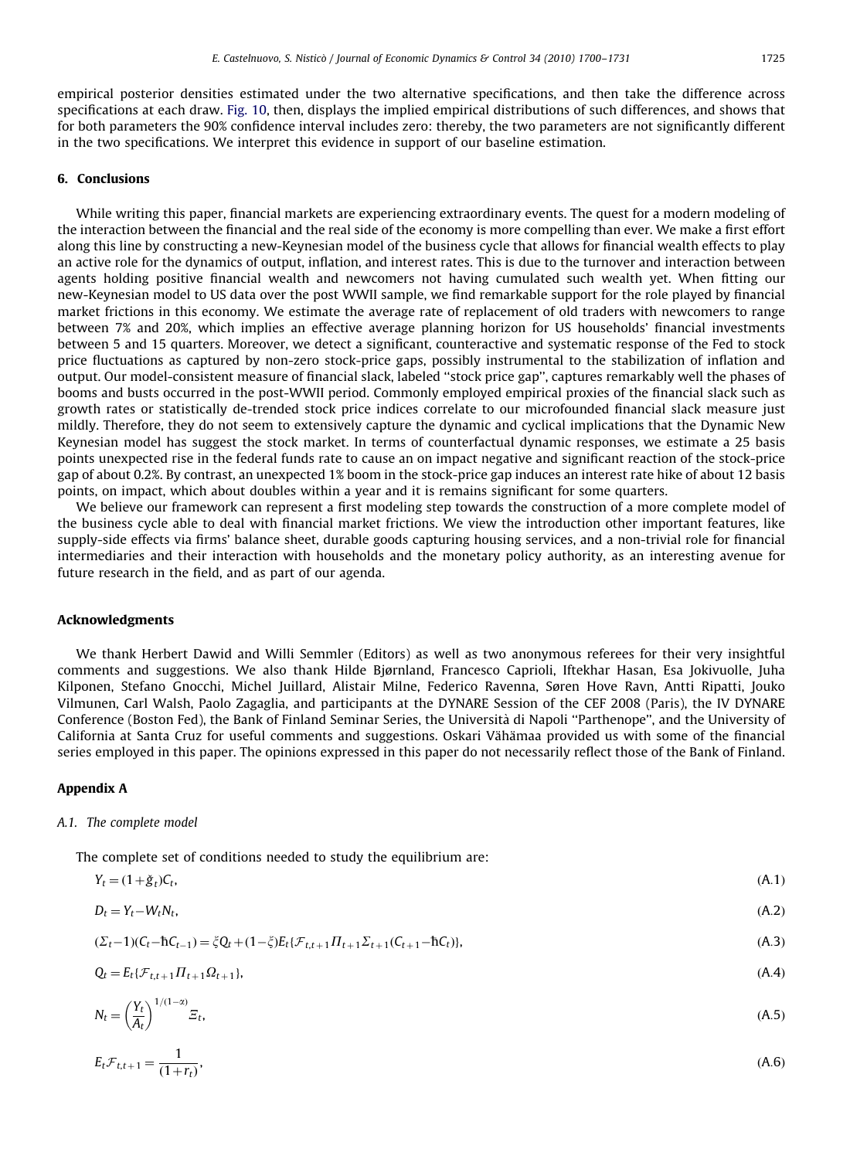empirical posterior densities estimated under the two alternative specifications, and then take the difference across specifications at each draw. [Fig. 10,](#page-24-0) then, displays the implied empirical distributions of such differences, and shows that for both parameters the 90% confidence interval includes zero: thereby, the two parameters are not significantly different in the two specifications. We interpret this evidence in support of our baseline estimation.

# 6. Conclusions

While writing this paper, financial markets are experiencing extraordinary events. The quest for a modern modeling of the interaction between the financial and the real side of the economy is more compelling than ever. We make a first effort along this line by constructing a new-Keynesian model of the business cycle that allows for financial wealth effects to play an active role for the dynamics of output, inflation, and interest rates. This is due to the turnover and interaction between agents holding positive financial wealth and newcomers not having cumulated such wealth yet. When fitting our new-Keynesian model to US data over the post WWII sample, we find remarkable support for the role played by financial market frictions in this economy. We estimate the average rate of replacement of old traders with newcomers to range between 7% and 20%, which implies an effective average planning horizon for US households' financial investments between 5 and 15 quarters. Moreover, we detect a significant, counteractive and systematic response of the Fed to stock price fluctuations as captured by non-zero stock-price gaps, possibly instrumental to the stabilization of inflation and output. Our model-consistent measure of financial slack, labeled ''stock price gap'', captures remarkably well the phases of booms and busts occurred in the post-WWII period. Commonly employed empirical proxies of the financial slack such as growth rates or statistically de-trended stock price indices correlate to our microfounded financial slack measure just mildly. Therefore, they do not seem to extensively capture the dynamic and cyclical implications that the Dynamic New Keynesian model has suggest the stock market. In terms of counterfactual dynamic responses, we estimate a 25 basis points unexpected rise in the federal funds rate to cause an on impact negative and significant reaction of the stock-price gap of about 0.2%. By contrast, an unexpected 1% boom in the stock-price gap induces an interest rate hike of about 12 basis points, on impact, which about doubles within a year and it is remains significant for some quarters.

We believe our framework can represent a first modeling step towards the construction of a more complete model of the business cycle able to deal with financial market frictions. We view the introduction other important features, like supply-side effects via firms' balance sheet, durable goods capturing housing services, and a non-trivial role for financial intermediaries and their interaction with households and the monetary policy authority, as an interesting avenue for future research in the field, and as part of our agenda.

### Acknowledgments

We thank Herbert Dawid and Willi Semmler (Editors) as well as two anonymous referees for their very insightful comments and suggestions. We also thank Hilde Bjørnland, Francesco Caprioli, Iftekhar Hasan, Esa Jokivuolle, Juha Kilponen, Stefano Gnocchi, Michel Juillard, Alistair Milne, Federico Ravenna, Søren Hove Ravn, Antti Ripatti, Jouko Vilmunen, Carl Walsh, Paolo Zagaglia, and participants at the DYNARE Session of the CEF 2008 (Paris), the IV DYNARE Conference (Boston Fed), the Bank of Finland Seminar Series, the Universita di Napoli ''Parthenope'', and the University of - California at Santa Cruz for useful comments and suggestions. Oskari Vähämaa provided us with some of the financial series employed in this paper. The opinions expressed in this paper do not necessarily reflect those of the Bank of Finland.

# Appendix A

# A.1. The complete model

The complete set of conditions needed to study the equilibrium are:

| $Y_t = (1 + \check{g}_t)C_t,$ | (A.1) |
|-------------------------------|-------|
|                               |       |

$$
D_t = Y_t - W_t N_t, \tag{A.2}
$$

$$
(\Sigma_t - 1)(C_t - \hbar C_{t-1}) = \xi Q_t + (1 - \xi) E_t \{ \mathcal{F}_{t,t+1} \Pi_{t+1} \Sigma_{t+1} (C_{t+1} - \hbar C_t) \},
$$
\n(A.3)

$$
Q_t = E_t \{ \mathcal{F}_{t,t+1} \Pi_{t+1} \Omega_{t+1} \}, \tag{A.4}
$$

$$
N_t = \left(\frac{Y_t}{A_t}\right)^{1/(1-\alpha)} \Xi_t,\tag{A.5}
$$

$$
E_t \mathcal{F}_{t,t+1} = \frac{1}{(1+r_t)},
$$
\n(A.6)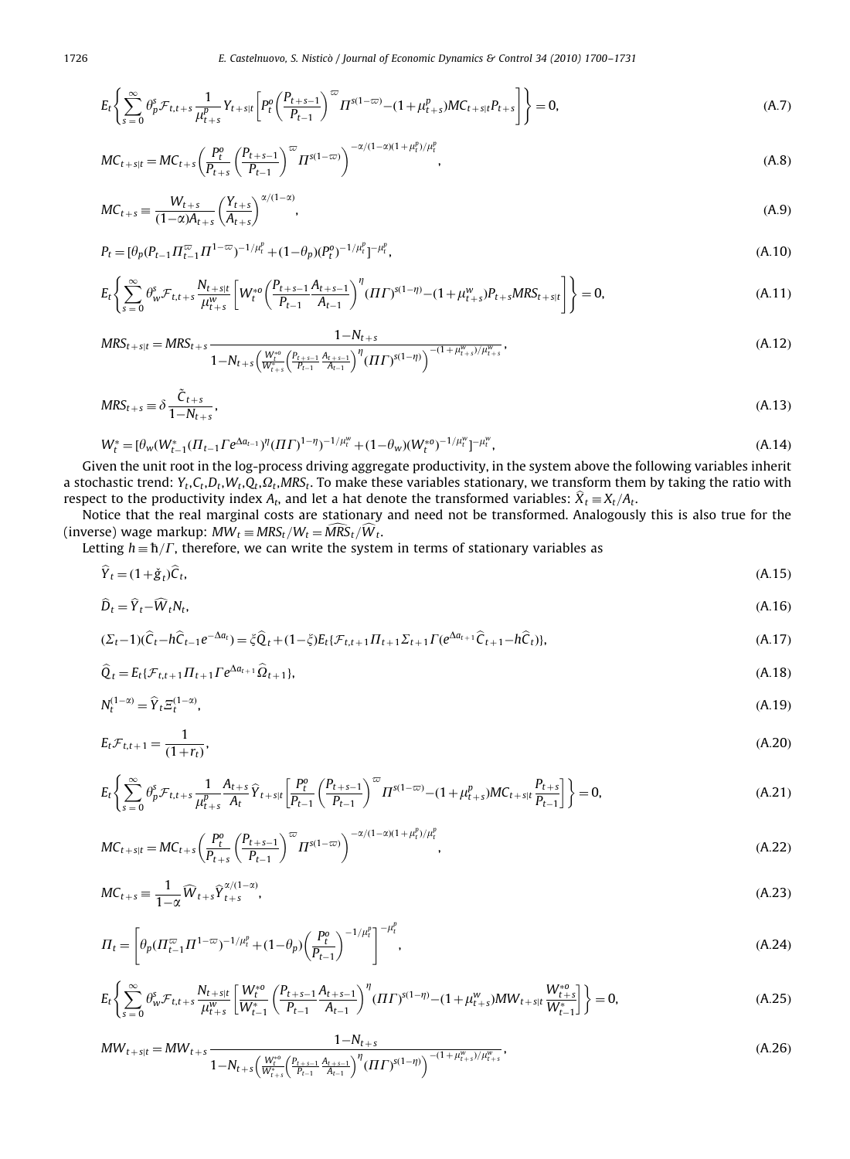$$
E_t \left\{ \sum_{s=0}^{\infty} \theta_p^s \mathcal{F}_{t,t+s} \frac{1}{\mu_{t+s}^p} Y_{t+s|t} \left[ P_t^o \left( \frac{P_{t+s-1}}{P_{t-1}} \right)^{\infty} \Pi^{s(1-\infty)} - (1+\mu_{t+s}^p) MC_{t+s|t} P_{t+s} \right] \right\} = 0, \tag{A.7}
$$

$$
MC_{t+s|t} = MC_{t+s} \left(\frac{P_t^o}{P_{t+s}} \left(\frac{P_{t+s-1}}{P_{t-1}}\right)^{\varpi} \right) I^{s(1-\varpi)}\right)^{-\alpha/(1-\alpha)(1+\mu_t^p)/\mu_t^p},
$$
\n(A.8)

$$
MC_{t+s} \equiv \frac{W_{t+s}}{(1-\alpha)A_{t+s}} \left(\frac{Y_{t+s}}{A_{t+s}}\right)^{\alpha/(1-\alpha)},
$$
\n(A.9)

$$
P_t = [\theta_p (P_{t-1} \Pi_{t-1}^{\infty} \Pi^{1-\infty})^{-1/\mu_t^p} + (1-\theta_p) (P_t^o)^{-1/\mu_t^p}]^{-\mu_t^p},
$$
\n(A.10)

$$
E_{t}\left\{\sum_{s=0}^{\infty}\theta_{w}^{s}\mathcal{F}_{t,t+s}\frac{N_{t+s|t}}{\mu_{t+s}^{w}}\left[W_{t}^{*0}\left(\frac{P_{t+s-1}}{P_{t-1}}\frac{A_{t+s-1}}{A_{t-1}}\right)^{\eta}(\Pi\Gamma)^{s(1-\eta)}-(1+\mu_{t+s}^{w})P_{t+s}MRS_{t+s|t}\right]\right\}=0,
$$
\n(A.11)

$$
MRS_{t+s|t} = MRS_{t+s} \frac{1 - N_{t+s}}{1 - N_{t+s} \left(\frac{W_t^{*0}}{W_{t+s}^r} \left(\frac{P_{t+s-1}}{P_{t-1}} \frac{A_{t+s-1}}{A_{t-1}}\right)^{\eta} (IIT)^{s(1-\eta)}\right)^{-(1+\mu_{t+s}^w)/\mu_{t+s}^w}},
$$
(A.12)

$$
MRS_{t+s} \equiv \delta \frac{\tilde{C}_{t+s}}{1 - N_{t+s}},\tag{A.13}
$$

$$
W_t^* = [\theta_w(W_{t-1}^*(\Pi_{t-1}\Gamma e^{\Delta a_{t-1}})^\eta(\Pi\Gamma)^{1-\eta})^{-1/\mu_t^w} + (1-\theta_w)(W_t^{*0})^{-1/\mu_t^w}]^{-\mu_t^w},
$$
\n(A.14)

Given the unit root in the log-process driving aggregate productivity, in the system above the following variables inherit a stochastic trend:  $Y_t, C_t, D_t, W_t, Q_t, \Omega_t, MRS_t$ . To make these variables stationary, we transform them by taking the ratio with respect to the productivity index  $A_t$ , and let a hat denote the transformed variables:  $\hat{X}_t = X_t/A_t$ .

Notice that the real marginal costs are stationary and need not be transformed. Analogously this is also true for the (inverse) wage markup:  $MW_t \equiv MRS_t/W_t = MRS_t/W_t$ .

Letting  $h = \hbar / \Gamma$ , therefore, we can write the system in terms of stationary variables as

$$
\widehat{Y}_t = (1 + \breve{g}_t)\widehat{C}_t,\tag{A.15}
$$

$$
\widehat{D}_t = \widehat{Y}_t - \widehat{W}_t N_t, \tag{A.16}
$$

$$
(\Sigma_t - 1)(\widehat{C}_t - h\widehat{C}_{t-1}e^{-\Delta a_t}) = \xi \widehat{Q}_t + (1 - \xi)E_t \{ \mathcal{F}_{t,t+1} \Pi_{t+1} \Sigma_{t+1} \Gamma(e^{\Delta a_{t+1}} \widehat{C}_{t+1} - h\widehat{C}_t) \},
$$
\n(A.17)

$$
\widehat{Q}_t = E_t \{ \mathcal{F}_{t,t+1} \Pi_{t+1} \Gamma e^{\Delta a_{t+1}} \widehat{Q}_{t+1} \},\tag{A.18}
$$

$$
N_t^{(1-\alpha)} = \widehat{Y}_t E_t^{(1-\alpha)},\tag{A.19}
$$

$$
E_t \mathcal{F}_{t,t+1} = \frac{1}{(1+r_t)},
$$
\n(A.20)

$$
E_{t}\left\{\sum_{s=0}^{\infty}\theta_{p}^{s}\mathcal{F}_{t,t+s}\frac{1}{\mu_{t+s}^{p}}\frac{A_{t+s}}{A_{t}}\widehat{Y}_{t+s|t}\left[\frac{P_{t}^{o}}{P_{t-1}}\left(\frac{P_{t+s-1}}{P_{t-1}}\right)^{\varpi}I^{s(1-\varpi)}-(1+\mu_{t+s}^{p})MC_{t+s|t}\frac{P_{t+s}}{P_{t-1}}\right]\right\}=0,
$$
\n(A.21)

$$
MC_{t+s|t} = MC_{t+s} \left(\frac{P_t^o}{P_{t+s}} \left(\frac{P_{t+s-1}}{P_{t-1}}\right)^{\varpi} \Pi^{s(1-\varpi)}\right)^{-\alpha/(1-\alpha)(1+\mu_t^p)/\mu_t^p}, \tag{A.22}
$$

$$
MC_{t+s} \equiv \frac{1}{1-\alpha} \widehat{W}_{t+s} \widehat{Y}_{t+s}^{\alpha/(1-\alpha)}, \tag{A.23}
$$

$$
\Pi_t = \left[ \theta_p (H_{t-1}^{\varpi} H^{1-\varpi})^{-1/\mu_t^p} + (1-\theta_p) \left( \frac{P_t^o}{P_{t-1}} \right)^{-1/\mu_t^p} \right]^{-\mu_t^p},\tag{A.24}
$$

$$
E_{t}\left\{\sum_{s=0}^{\infty}\theta_{w}^{s}\mathcal{F}_{t,t+s}\frac{N_{t+s|t}}{\mu_{t+s}^{w}}\left[\frac{W_{t}^{*0}}{W_{t-1}^{*}}\left(\frac{P_{t+s-1}}{P_{t-1}}\frac{A_{t+s-1}}{A_{t-1}}\right)^{\eta}(II\Gamma)^{s(1-\eta)}-(1+\mu_{t+s}^{w})MW_{t+s|t}\frac{W_{t+s}^{*0}}{W_{t-1}^{*}}\right]\right\}=0,
$$
\n(A.25)

$$
MW_{t+s|t} = MW_{t+s} \frac{1 - N_{t+s}}{1 - N_{t+s} \left(\frac{W_{t}^{*0}}{W_{t+s}^{*}} \left(\frac{P_{t+s-1}}{P_{t-1}} \frac{A_{t+s-1}}{A_{t-1}}\right)^{\eta} (IT)^{s(1-\eta)}\right)^{-(1+\mu_{t+s}^W)/\mu_{t+s}^W}},
$$
(A.26)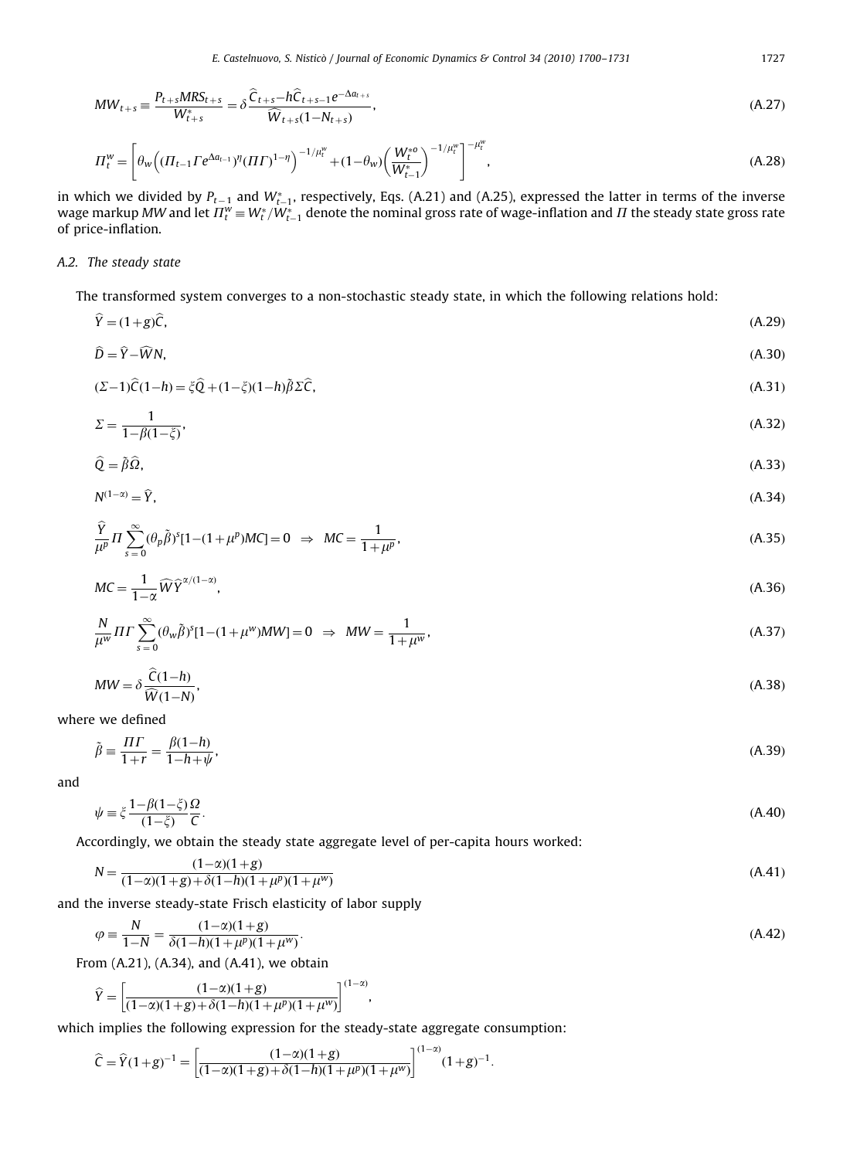$$
MW_{t+s} \equiv \frac{P_{t+s}MRS_{t+s}}{W_{t+s}^*} = \delta \frac{\hat{C}_{t+s} - h\hat{C}_{t+s-1}e^{-\Delta a_{t+s}}}{\widehat{W}_{t+s}(1 - N_{t+s})},
$$
\n(A.27)

$$
\Pi_t^{\mathbf{w}} = \left[ \theta_{\mathbf{w}} \left( (\Pi_{t-1} \Gamma e^{\Delta a_{t-1}})^{\eta} (\Pi \Gamma)^{1-\eta} \right)^{-1/\mu_t^{\mathbf{w}}} + (1 - \theta_{\mathbf{w}}) \left( \frac{W_t^{*0}}{W_{t-1}^*} \right)^{-1/\mu_t^{\mathbf{w}}} \right]^{-\mu_t^{\mathbf{w}}} , \tag{A.28}
$$

in which we divided by  $P_{t-1}$  and  $W_{t-1}^*$ , respectively, Eqs. (A.21) and (A.25), expressed the latter in terms of the inverse wage markup MW and let  $\varPi_t^w$   $\equiv$   $W_t^*/W_{t-1}^*$  denote the nominal gross rate of wage-inflation and  $\Pi$  the steady state gross rate of price-inflation.

# A.2. The steady state

The transformed system converges to a non-stochastic steady state, in which the following relations hold:

$$
\hat{Y} = (1+g)\hat{C},\tag{A.29}
$$

$$
\widehat{D} = \widehat{Y} - \widehat{W}N,\tag{A.30}
$$

$$
(\Sigma - 1)\hat{C}(1 - h) = \xi \hat{Q} + (1 - \xi)(1 - h)\tilde{\beta}\Sigma\hat{C},\tag{A.31}
$$

$$
\Sigma = \frac{1}{1 - \beta(1 - \xi)},\tag{A.32}
$$

$$
\widehat{Q} = \widetilde{\beta}\widehat{\Omega},\tag{A.33}
$$

$$
N^{(1-\alpha)} = \widehat{Y},\tag{A.34}
$$

$$
\frac{\hat{Y}}{\mu^p} \prod_{s=0}^{\infty} (\theta_p \tilde{\beta})^s [1 - (1 + \mu^p)MC] = 0 \implies MC = \frac{1}{1 + \mu^p},
$$
\n(A.35)

$$
MC = \frac{1}{1 - \alpha} \widehat{W} \widehat{Y}^{\alpha/(1 - \alpha)}, \tag{A.36}
$$

$$
\frac{N}{\mu^{w}} \Pi \Gamma \sum_{s=0}^{\infty} (\theta_{w} \tilde{\beta})^{s} [1 - (1 + \mu^{w}) M W] = 0 \implies M W = \frac{1}{1 + \mu^{w}},
$$
\n(A.37)

$$
MW = \delta \frac{\widehat{C}(1-h)}{\widehat{W}(1-N)},
$$
\n(A.38)

where we defined

$$
\tilde{\beta} \equiv \frac{\Pi \Gamma}{1+r} = \frac{\beta(1-h)}{1-h+\psi},\tag{A.39}
$$

and

$$
\psi \equiv \xi \frac{1 - \beta(1 - \xi)}{(1 - \xi)} \frac{\Omega}{C}.
$$
\n(A.40)

Accordingly, we obtain the steady state aggregate level of per-capita hours worked:

$$
N = \frac{(1 - \alpha)(1 + g)}{(1 - \alpha)(1 + g) + \delta(1 - h)(1 + \mu^p)(1 + \mu^w)}
$$
(A.41)

and the inverse steady-state Frisch elasticity of labor supply

$$
\varphi \equiv \frac{N}{1 - N} = \frac{(1 - \alpha)(1 + g)}{\delta(1 - h)(1 + \mu^p)(1 + \mu^w)}.
$$
\n(A.42)

From (A.21), (A.34), and (A.41), we obtain

$$
\widehat{Y} = \left[ \frac{(1-\alpha)(1+g)}{(1-\alpha)(1+g) + \delta(1-h)(1+\mu^p)(1+\mu^w)} \right]^{(1-\alpha)}
$$

which implies the following expression for the steady-state aggregate consumption:

,

$$
\widehat{C} = \widehat{Y}(1+g)^{-1} = \left[ \frac{(1-\alpha)(1+g)}{(1-\alpha)(1+g) + \delta(1-h)(1+\mu^p)(1+\mu^w)} \right]^{(1-\alpha)} (1+g)^{-1}.
$$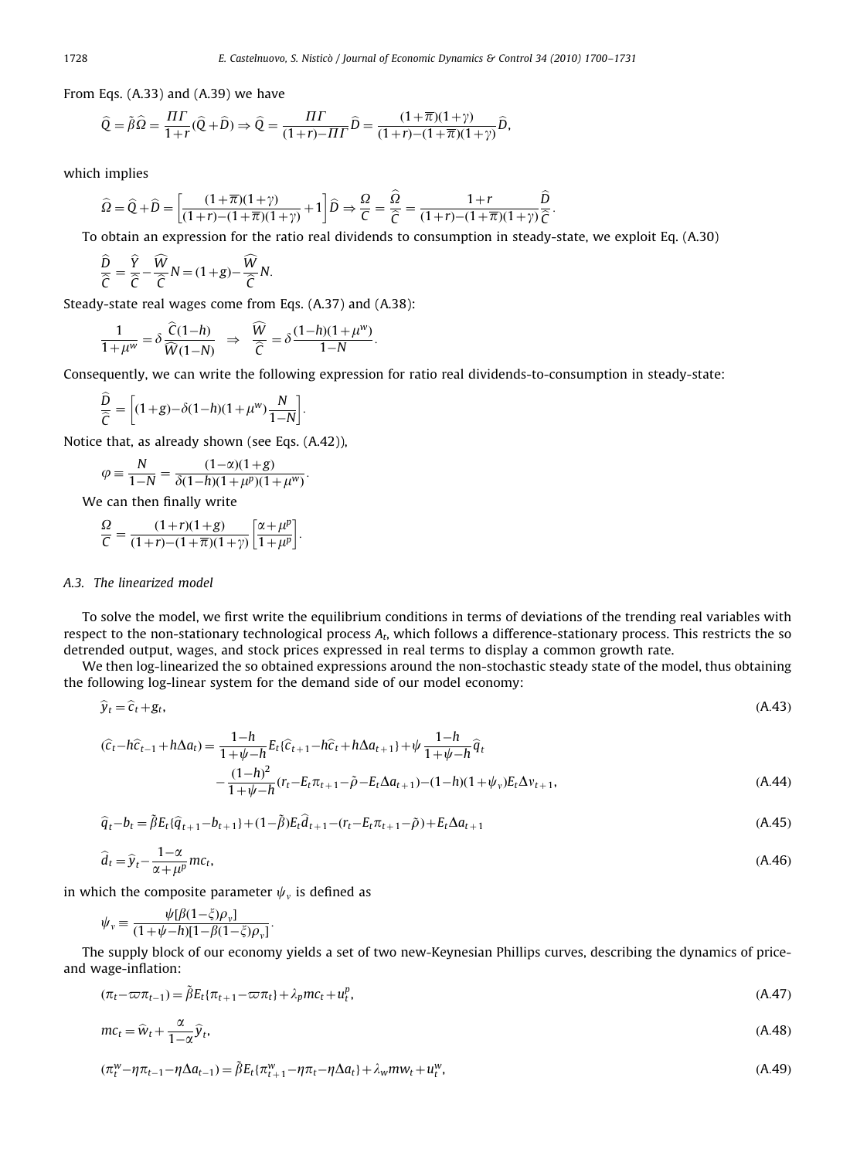From Eqs. (A.33) and (A.39) we have

$$
\widehat{Q} = \widetilde{\beta}\widehat{\Omega} = \frac{\Pi\Gamma}{1+r}(\widehat{Q} + \widehat{D}) \Rightarrow \widehat{Q} = \frac{\Pi\Gamma}{(1+r) - \Pi\Gamma}\widehat{D} = \frac{(1+\overline{\pi})(1+\gamma)}{(1+r) - (1+\overline{\pi})(1+\gamma)}\widehat{D},
$$

which implies

$$
\widehat{Q} = \widehat{Q} + \widehat{D} = \left[ \frac{(1+\overline{\pi})(1+\gamma)}{(1+r)(1+\overline{\pi})(1+\gamma)} + 1 \right] \widehat{D} \Rightarrow \frac{\Omega}{C} = \frac{\widehat{Q}}{\widehat{C}} = \frac{1+r}{(1+r)-(1+\overline{\pi})(1+\gamma)} \frac{\widehat{D}}{\widehat{C}}.
$$

To obtain an expression for the ratio real dividends to consumption in steady-state, we exploit Eq. (A.30)

$$
\frac{\widehat{D}}{\widehat{C}} = \frac{\widehat{Y}}{\widehat{C}} - \frac{\widehat{W}}{\widehat{C}}N = (1+g) - \frac{\widehat{W}}{\widehat{C}}N.
$$

Steady-state real wages come from Eqs. (A.37) and (A.38):

$$
\frac{1}{1+\mu^w} = \delta \frac{\widehat{C}(1-h)}{\widehat{W}(1-N)} \Rightarrow \frac{\widehat{W}}{\widehat{C}} = \delta \frac{(1-h)(1+\mu^w)}{1-N}.
$$

Consequently, we can write the following expression for ratio real dividends-to-consumption in steady-state:

$$
\frac{\widehat{D}}{\widehat{C}} = \left[ (1+g) - \delta(1-h)(1+\mu^w) \frac{N}{1-N} \right].
$$

Notice that, as already shown (see Eqs. (A.42)),

$$
\varphi \equiv \frac{N}{1-N} = \frac{(1-\alpha)(1+g)}{\delta(1-h)(1+\mu^p)(1+\mu^w)}.
$$

We can then finally write

$$
\frac{\Omega}{C} = \frac{(1+r)(1+g)}{(1+r)-(1+\overline{\pi})(1+\gamma)} \left[ \frac{\alpha+\mu^p}{1+\mu^p} \right].
$$

# A.3. The linearized model

To solve the model, we first write the equilibrium conditions in terms of deviations of the trending real variables with respect to the non-stationary technological process  $A_t$ , which follows a difference-stationary process. This restricts the so detrended output, wages, and stock prices expressed in real terms to display a common growth rate.

We then log-linearized the so obtained expressions around the non-stochastic steady state of the model, thus obtaining the following log-linear system for the demand side of our model economy:

$$
\hat{y}_t = \hat{c}_t + g_t,\tag{A.43}
$$

$$
(\hat{c}_t - h\hat{c}_{t-1} + h\Delta a_t) = \frac{1-h}{1+\psi-h} E_t \{\hat{c}_{t+1} - h\hat{c}_t + h\Delta a_{t+1}\} + \psi \frac{1-h}{1+\psi-h} \hat{q}_t - \frac{(1-h)^2}{1+\psi-h} (r_t - E_t \pi_{t+1} - \tilde{\rho} - E_t \Delta a_{t+1}) - (1-h)(1+\psi_v) E_t \Delta v_{t+1},
$$
\n(A.44)

$$
\hat{q}_t - b_t = \tilde{\beta} E_t (\hat{q}_{t+1} - b_{t+1}) + (1 - \tilde{\beta}) E_t \hat{d}_{t+1} - (r_t - E_t \pi_{t+1} - \tilde{\rho}) + E_t \Delta a_{t+1}
$$
\n(A.45)

$$
\widehat{d}_t = \widehat{y}_t - \frac{1 - \alpha}{\alpha + \mu^p} mc_t,
$$
\n(A.46)

in which the composite parameter  $\psi$ , is defined as

$$
\psi_{\nu} \equiv \frac{\psi[\beta(1-\xi)\rho_{\nu}]}{(1+\psi-h)[1-\beta(1-\xi)\rho_{\nu}]}.
$$

The supply block of our economy yields a set of two new-Keynesian Phillips curves, describing the dynamics of priceand wage-inflation:

$$
(\pi_t - \varpi \pi_{t-1}) = \tilde{\beta} E_t \{ \pi_{t+1} - \varpi \pi_t \} + \lambda_p m c_t + u_t^p, \tag{A.47}
$$

$$
mc_t = \hat{w}_t + \frac{\alpha}{1 - \alpha} \hat{y}_t, \tag{A.48}
$$

$$
(\pi_t^w - \eta \pi_{t-1} - \eta \Delta a_{t-1}) = \tilde{\beta} E_t \{ \pi_{t+1}^w - \eta \pi_t - \eta \Delta a_t \} + \lambda_w m w_t + u_t^w,
$$
\n(A.49)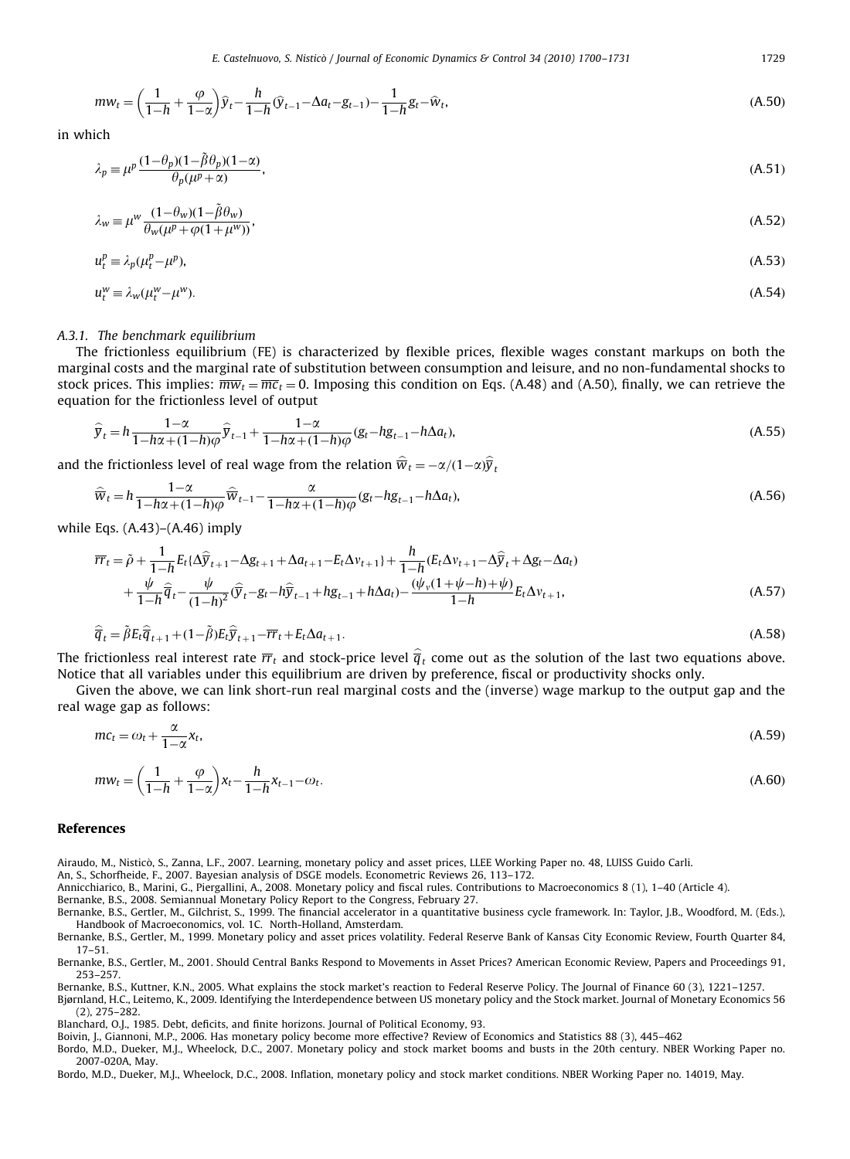<span id="page-29-0"></span>
$$
mw_t = \left(\frac{1}{1-h} + \frac{\varphi}{1-\alpha}\right)\hat{y}_t - \frac{h}{1-h}(\hat{y}_{t-1} - \Delta a_t - g_{t-1}) - \frac{1}{1-h}g_t - \hat{w}_t,
$$
\n(A.50)

in which

$$
\lambda_p = \mu^p \frac{(1 - \theta_p)(1 - \tilde{\beta}\theta_p)(1 - \alpha)}{\theta_p(\mu^p + \alpha)},
$$
\n(A.51)

$$
\lambda_w \equiv \mu^w \frac{(1 - \theta_w)(1 - \tilde{\beta}\theta_w)}{\theta_w(\mu^p + \varphi(1 + \mu^w))},\tag{A.52}
$$

$$
u_t^p \equiv \lambda_p (\mu_t^p - \mu^p),\tag{A.53}
$$

$$
u_t^w \equiv \lambda_w (\mu_t^w - \mu^w). \tag{A.54}
$$

# A.3.1. The benchmark equilibrium

The frictionless equilibrium (FE) is characterized by flexible prices, flexible wages constant markups on both the marginal costs and the marginal rate of substitution between consumption and leisure, and no non-fundamental shocks to stock prices. This implies:  $\overline{m}v_t = \overline{m}c_t = 0$ . Imposing this condition on Eqs. (A.48) and (A.50), finally, we can retrieve the equation for the frictionless level of output

$$
\widehat{\overline{y}}_t = h \frac{1 - \alpha}{1 - h\alpha + (1 - h)\varphi} \widehat{\overline{y}}_{t-1} + \frac{1 - \alpha}{1 - h\alpha + (1 - h)\varphi} (g_t - hg_{t-1} - h\Delta a_t),\tag{A.55}
$$

and the frictionless level of real wage from the relation  $\hat{\overline{w}}_t = -\alpha/(1-\alpha)\hat{\overline{y}}_t$ 

$$
\widehat{\overline{w}}_t = h \frac{1 - \alpha}{1 - h\alpha + (1 - h)\varphi} \widehat{\overline{w}}_{t-1} - \frac{\alpha}{1 - h\alpha + (1 - h)\varphi} (g_t - hg_{t-1} - h\Delta a_t),\tag{A.56}
$$

while Eqs. (A.43)–(A.46) imply

$$
\overline{rr}_{t} = \tilde{\rho} + \frac{1}{1-h} E_{t} \{ \Delta \hat{\overline{y}}_{t+1} - \Delta g_{t+1} + \Delta a_{t+1} - E_{t} \Delta v_{t+1} \} + \frac{h}{1-h} (E_{t} \Delta v_{t+1} - \Delta \hat{\overline{y}}_{t} + \Delta g_{t} - \Delta a_{t}) \n+ \frac{\psi}{1-h} \hat{\overline{q}}_{t} - \frac{\psi}{(1-h)^{2}} (\hat{\overline{y}}_{t} - g_{t} - h \hat{\overline{y}}_{t-1} + h g_{t-1} + h \Delta a_{t}) - \frac{(\psi_{v}(1+\psi-h)+\psi)}{1-h} E_{t} \Delta v_{t+1},
$$
\n(A.57)

$$
\widehat{\overline{q}}_t = \widetilde{\beta} E_t \widehat{\overline{q}}_{t+1} + (1 - \widetilde{\beta}) E_t \widehat{\overline{y}}_{t+1} - \overline{rr}_t + E_t \Delta a_{t+1}.
$$
\n(A.58)

The frictionless real interest rate  $\overline{r}_t$  and stock-price level  $\hat{\overline{q}}_t$  come out as the solution of the last two equations above. Notice that all variables under this equilibrium are driven by preference, fiscal or productivity shocks only.

Given the above, we can link short-run real marginal costs and the (inverse) wage markup to the output gap and the real wage gap as follows:

$$
mc_t = \omega_t + \frac{\alpha}{1 - \alpha} x_t,\tag{A.59}
$$

$$
mw_t = \left(\frac{1}{1-h} + \frac{\varphi}{1-\alpha}\right) x_t - \frac{h}{1-h} x_{t-1} - \omega_t.
$$
\n(A.60)

# References

Airaudo, M., Nisticò, S., Zanna, L.F., 2007. Learning, monetary policy and asset prices, LLEE Working Paper no. 48, LUISS Guido Carli.

An, S., Schorfheide, F., 2007. Bayesian analysis of DSGE models. Econometric Reviews 26, 113–172.

Annicchiarico, B., Marini, G., Piergallini, A., 2008. Monetary policy and fiscal rules. Contributions to Macroeconomics 8 (1), 1–40 (Article 4).

Bernanke, B.S., 2008. Semiannual Monetary Policy Report to the Congress, February 27.

Bernanke, B.S., Gertler, M., Gilchrist, S., 1999. The financial accelerator in a quantitative business cycle framework. In: Taylor, J.B., Woodford, M. (Eds.), Handbook of Macroeconomics, vol. 1C. North-Holland, Amsterdam.

Bernanke, B.S., Gertler, M., 1999. Monetary policy and asset prices volatility. Federal Reserve Bank of Kansas City Economic Review, Fourth Quarter 84, 17–51.

Bernanke, B.S., Gertler, M., 2001. Should Central Banks Respond to Movements in Asset Prices? American Economic Review, Papers and Proceedings 91, 253–257.

Bernanke, B.S., Kuttner, K.N., 2005. What explains the stock market's reaction to Federal Reserve Policy. The Journal of Finance 60 (3), 1221–1257. Bjørnland, H.C., Leitemo, K., 2009. Identifying the Interdependence between US monetary policy and the Stock market. Journal of Monetary Economics 56

(2), 275–282. Blanchard, O.J., 1985. Debt, deficits, and finite horizons. Journal of Political Economy, 93.

Boivin, J., Giannoni, M.P., 2006. Has monetary policy become more effective? Review of Economics and Statistics 88 (3), 445–462

Bordo, M.D., Dueker, M.J., Wheelock, D.C., 2007. Monetary policy and stock market booms and busts in the 20th century. NBER Working Paper no. 2007-020A, May.

Bordo, M.D., Dueker, M.J., Wheelock, D.C., 2008. Inflation, monetary policy and stock market conditions. NBER Working Paper no. 14019, May.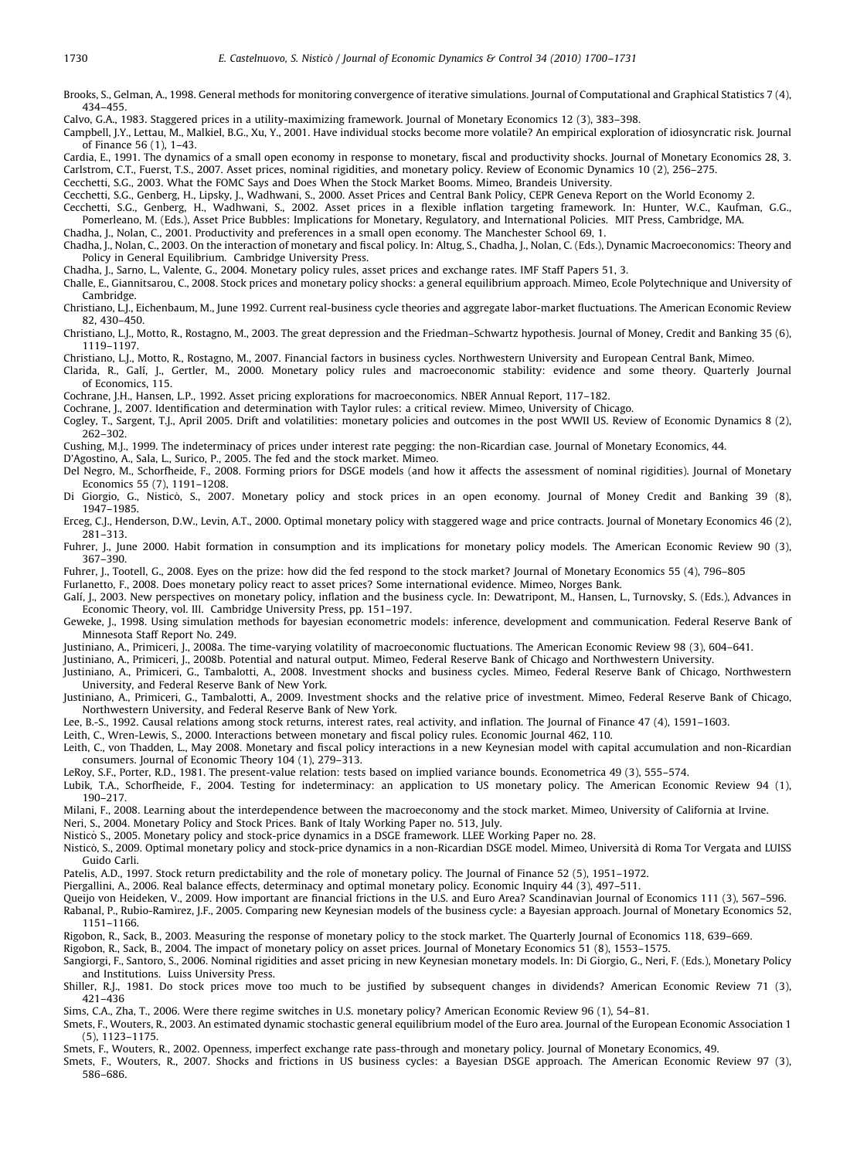<span id="page-30-0"></span>Brooks, S., Gelman, A., 1998. General methods for monitoring convergence of iterative simulations. Journal of Computational and Graphical Statistics 7 (4), 434–455.

Calvo, G.A., 1983. Staggered prices in a utility-maximizing framework. Journal of Monetary Economics 12 (3), 383–398.

Campbell, J.Y., Lettau, M., Malkiel, B.G., Xu, Y., 2001. Have individual stocks become more volatile? An empirical exploration of idiosyncratic risk. Journal of Finance 56 (1), 1–43.

Cardia, E., 1991. The dynamics of a small open economy in response to monetary, fiscal and productivity shocks. Journal of Monetary Economics 28, 3. Carlstrom, C.T., Fuerst, T.S., 2007. Asset prices, nominal rigidities, and monetary policy. Review of Economic Dynamics 10 (2), 256–275.

Cecchetti, S.G., 2003. What the FOMC Says and Does When the Stock Market Booms. Mimeo, Brandeis University.

Cecchetti, S.G., Genberg, H., Lipsky, J., Wadhwani, S., 2000. Asset Prices and Central Bank Policy, CEPR Geneva Report on the World Economy 2.

Cecchetti, S.G., Genberg, H., Wadhwani, S., 2002. Asset prices in a flexible inflation targeting framework. In: Hunter, W.C., Kaufman, G.G., Pomerleano, M. (Eds.), Asset Price Bubbles: Implications for Monetary, Regulatory, and International Policies. MIT Press, Cambridge, MA.

Chadha, J., Nolan, C., 2001. Productivity and preferences in a small open economy. The Manchester School 69, 1. Chadha, J., Nolan, C., 2003. On the interaction of monetary and fiscal policy. In: Altug, S., Chadha, J., Nolan, C. (Eds.), Dynamic Macroeconomics: Theory and Policy in General Equilibrium. Cambridge University Press.

Chadha, J., Sarno, L., Valente, G., 2004. Monetary policy rules, asset prices and exchange rates. IMF Staff Papers 51, 3.

Challe, E., Giannitsarou, C., 2008. Stock prices and monetary policy shocks: a general equilibrium approach. Mimeo, Ecole Polytechnique and University of Cambridge.

Christiano, L.J., Eichenbaum, M., June 1992. Current real-business cycle theories and aggregate labor-market fluctuations. The American Economic Review 82, 430–450.

Christiano, L.J., Motto, R., Rostagno, M., 2003. The great depression and the Friedman–Schwartz hypothesis. Journal of Money, Credit and Banking 35 (6), 1119–1197.

Christiano, L.J., Motto, R., Rostagno, M., 2007. Financial factors in business cycles. Northwestern University and European Central Bank, Mimeo.

Clarida, R., Galı´, J., Gertler, M., 2000. Monetary policy rules and macroeconomic stability: evidence and some theory. Quarterly Journal of Economics, 115.

Cochrane, J.H., Hansen, L.P., 1992. Asset pricing explorations for macroeconomics. NBER Annual Report, 117–182.

Cochrane, J., 2007. Identification and determination with Taylor rules: a critical review. Mimeo, University of Chicago.

Cogley, T., Sargent, T.J., April 2005. Drift and volatilities: monetary policies and outcomes in the post WWII US. Review of Economic Dynamics 8 (2), 262–302.

Cushing, M.J., 1999. The indeterminacy of prices under interest rate pegging: the non-Ricardian case. Journal of Monetary Economics, 44.

D'Agostino, A., Sala, L., Surico, P., 2005. The fed and the stock market. Mimeo.

Del Negro, M., Schorfheide, F., 2008. Forming priors for DSGE models (and how it affects the assessment of nominal rigidities). Journal of Monetary Economics 55 (7), 1191–1208.

Di Giorgio, G., Nisticò, S., 2007. Monetary policy and stock prices in an open economy. Journal of Money Credit and Banking 39 (8), 1947–1985.

Erceg, C.J., Henderson, D.W., Levin, A.T., 2000. Optimal monetary policy with staggered wage and price contracts. Journal of Monetary Economics 46 (2), 281–313.

Fuhrer, J., June 2000. Habit formation in consumption and its implications for monetary policy models. The American Economic Review 90 (3), 367–390.

Fuhrer, J., Tootell, G., 2008. Eyes on the prize: how did the fed respond to the stock market? Journal of Monetary Economics 55 (4), 796–805

Furlanetto, F., 2008. Does monetary policy react to asset prices? Some international evidence. Mimeo, Norges Bank.

Galí, J., 2003. New perspectives on monetary policy, inflation and the business cycle. In: Dewatripont, M., Hansen, L., Turnovsky, S. (Eds.), Advances in Economic Theory, vol. III. Cambridge University Press, pp. 151–197.

Geweke, J., 1998. Using simulation methods for bayesian econometric models: inference, development and communication. Federal Reserve Bank of Minnesota Staff Report No. 249.

Justiniano, A., Primiceri, J., 2008a. The time-varying volatility of macroeconomic fluctuations. The American Economic Review 98 (3), 604–641.

Justiniano, A., Primiceri, J., 2008b. Potential and natural output. Mimeo, Federal Reserve Bank of Chicago and Northwestern University.

Justiniano, A., Primiceri, G., Tambalotti, A., 2008. Investment shocks and business cycles. Mimeo, Federal Reserve Bank of Chicago, Northwestern University, and Federal Reserve Bank of New York.

Justiniano, A., Primiceri, G., Tambalotti, A., 2009. Investment shocks and the relative price of investment. Mimeo, Federal Reserve Bank of Chicago, Northwestern University, and Federal Reserve Bank of New York.

Lee, B.-S., 1992. Causal relations among stock returns, interest rates, real activity, and inflation. The Journal of Finance 47 (4), 1591–1603.

Leith, C., Wren-Lewis, S., 2000. Interactions between monetary and fiscal policy rules. Economic Journal 462, 110.

Leith, C., von Thadden, L., May 2008. Monetary and fiscal policy interactions in a new Keynesian model with capital accumulation and non-Ricardian consumers. Journal of Economic Theory 104 (1), 279–313.

LeRoy, S.F., Porter, R.D., 1981. The present-value relation: tests based on implied variance bounds. Econometrica 49 (3), 555–574.

Lubik, T.A., Schorfheide, F., 2004. Testing for indeterminacy: an application to US monetary policy. The American Economic Review 94 (1), 190–217.

Milani, F., 2008. Learning about the interdependence between the macroeconomy and the stock market. Mimeo, University of California at Irvine. Neri, S., 2004. Monetary Policy and Stock Prices. Bank of Italy Working Paper no. 513, July.

Nisticò S., 2005. Monetary policy and stock-price dynamics in a DSGE framework. LLEE Working Paper no. 28.

Nisticò, S., 2009. Optimal monetary policy and stock-price dynamics in a non-Ricardian DSGE model. Mimeo, Università di Roma Tor Vergata and LUISS

Guido Carli.

Patelis, A.D., 1997. Stock return predictability and the role of monetary policy. The Journal of Finance 52 (5), 1951–1972.

Piergallini, A., 2006. Real balance effects, determinacy and optimal monetary policy. Economic Inquiry 44 (3), 497–511.

Queijo von Heideken, V., 2009. How important are financial frictions in the U.S. and Euro Area? Scandinavian Journal of Economics 111 (3), 567–596. Rabanal, P., Rubio-Ramìrez, J.F., 2005. Comparing new Keynesian models of the business cycle: a Bayesian approach. Journal of Monetary Economics 52. 1151–1166.

Rigobon, R., Sack, B., 2003. Measuring the response of monetary policy to the stock market. The Quarterly Journal of Economics 118, 639–669.

Rigobon, R., Sack, B., 2004. The impact of monetary policy on asset prices. Journal of Monetary Economics 51 (8), 1553–1575.

Sangiorgi, F., Santoro, S., 2006. Nominal rigidities and asset pricing in new Keynesian monetary models. In: Di Giorgio, G., Neri, F. (Eds.), Monetary Policy and Institutions. Luiss University Press.

Shiller, R.J., 1981. Do stock prices move too much to be justified by subsequent changes in dividends? American Economic Review 71 (3), 421–436

Sims, C.A., Zha, T., 2006. Were there regime switches in U.S. monetary policy? American Economic Review 96 (1), 54–81.

Smets, F., Wouters, R., 2003. An estimated dynamic stochastic general equilibrium model of the Euro area. Journal of the European Economic Association 1 (5), 1123–1175.

Smets, F., Wouters, R., 2002. Openness, imperfect exchange rate pass-through and monetary policy. Journal of Monetary Economics, 49.

Smets, F., Wouters, R., 2007. Shocks and frictions in US business cycles: a Bayesian DSGE approach. The American Economic Review 97 (3), 586–686.